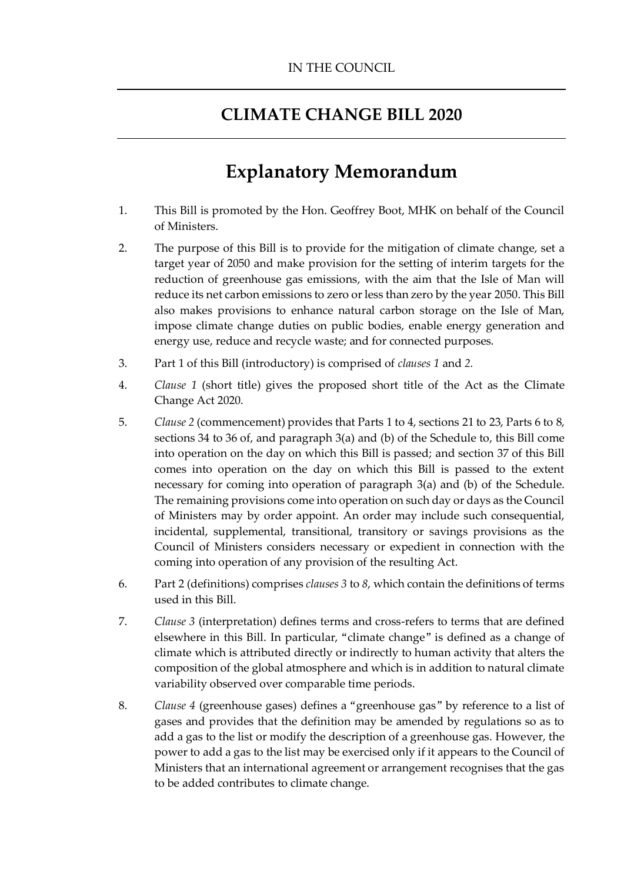# **CLIMATE CHANGE BILL 2020**

# **Explanatory Memorandum**

- 1. This Bill is promoted by the Hon. Geoffrey Boot, MHK on behalf of the Council of Ministers.
- 2. The purpose of this Bill is to provide for the mitigation of climate change, set a target year of 2050 and make provision for the setting of interim targets for the reduction of greenhouse gas emissions, with the aim that the Isle of Man will reduce its net carbon emissions to zero or less than zero by the year 2050. This Bill also makes provisions to enhance natural carbon storage on the Isle of Man, impose climate change duties on public bodies, enable energy generation and energy use, reduce and recycle waste; and for connected purposes.
- 3. Part 1 of this Bill (introductory) is comprised of *clauses [1](#page-12-0)* and *[2.](#page-12-1)*
- 4. *Clause [1](#page-12-0)* (short title) gives the proposed short title of the Act as the Climate Change Act 2020.
- 5. *Claus[e 2](#page-12-1)* (commencement) provides that Parts 1 to 4, sections 21 to 23, Parts 6 to 8, sections 34 to 36 of, and paragraph 3(a) and (b) of the Schedule to, this Bill come into operation on the day on which this Bill is passed; and section 37 of this Bill comes into operation on the day on which this Bill is passed to the extent necessary for coming into operation of paragraph 3(a) and (b) of the Schedule. The remaining provisions come into operation on such day or days as the Council of Ministers may by order appoint. An order may include such consequential, incidental, supplemental, transitional, transitory or savings provisions as the Council of Ministers considers necessary or expedient in connection with the coming into operation of any provision of the resulting Act.
- 6. Part 2 (definitions) comprises *clauses 3* to *8*, which contain the definitions of terms used in this Bill.
- 7. *Clause [3](#page-13-0)* (interpretation) defines terms and cross-refers to terms that are defined elsewhere in this Bill. In particular, "climate change" is defined as a change of climate which is attributed directly or indirectly to human activity that alters the composition of the global atmosphere and which is in addition to natural climate variability observed over comparable time periods.
- 8. *Clause [4](#page-14-0)* (greenhouse gases) defines a "greenhouse gas" by reference to a list of gases and provides that the definition may be amended by regulations so as to add a gas to the list or modify the description of a greenhouse gas. However, the power to add a gas to the list may be exercised only if it appears to the Council of Ministers that an international agreement or arrangement recognises that the gas to be added contributes to climate change.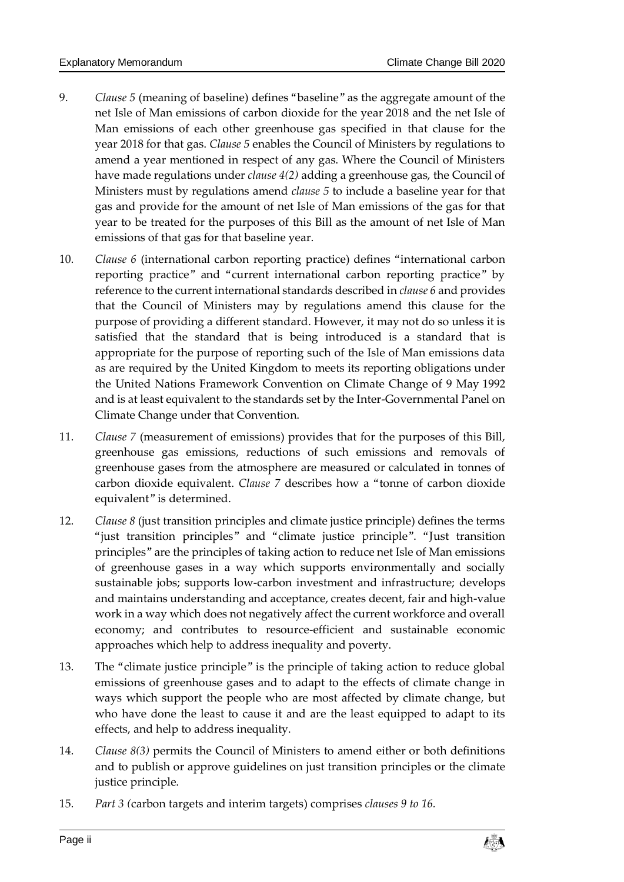- 9. *Clause [5](#page-15-0)* (meaning of baseline) defines "baseline" as the aggregate amount of the net Isle of Man emissions of carbon dioxide for the year 2018 and the net Isle of Man emissions of each other greenhouse gas specified in that clause for the year 2018 for that gas. *Clause 5* enables the Council of Ministers by regulations to amend a year mentioned in respect of any gas. Where the Council of Ministers have made regulations under *clause 4(2)* adding a greenhouse gas, the Council of Ministers must by regulations amend *clause 5* to include a baseline year for that gas and provide for the amount of net Isle of Man emissions of the gas for that year to be treated for the purposes of this Bill as the amount of net Isle of Man emissions of that gas for that baseline year.
- 10. *Clause [6](#page-16-0)* (international carbon reporting practice) defines "international carbon reporting practice" and "current international carbon reporting practice" by reference to the current international standards described in *clause 6* and provides that the Council of Ministers may by regulations amend this clause for the purpose of providing a different standard. However, it may not do so unless it is satisfied that the standard that is being introduced is a standard that is appropriate for the purpose of reporting such of the Isle of Man emissions data as are required by the United Kingdom to meets its reporting obligations under the United Nations Framework Convention on Climate Change of 9 May 1992 and is at least equivalent to the standards set by the Inter-Governmental Panel on Climate Change under that Convention.
- 11. *Clause [7](#page-16-1)* (measurement of emissions) provides that for the purposes of this Bill, greenhouse gas emissions, reductions of such emissions and removals of greenhouse gases from the atmosphere are measured or calculated in tonnes of carbon dioxide equivalent. *Clause 7* describes how a "tonne of carbon dioxide equivalent" is determined.
- 12. *Clause [8](#page-16-2)* (just transition principles and climate justice principle) defines the terms "just transition principles" and "climate justice principle". "Just transition principles" are the principles of taking action to reduce net Isle of Man emissions of greenhouse gases in a way which supports environmentally and socially sustainable jobs; supports low-carbon investment and infrastructure; develops and maintains understanding and acceptance, creates decent, fair and high-value work in a way which does not negatively affect the current workforce and overall economy; and contributes to resource-efficient and sustainable economic approaches which help to address inequality and poverty.
- 13. The "climate justice principle" is the principle of taking action to reduce global emissions of greenhouse gases and to adapt to the effects of climate change in ways which support the people who are most affected by climate change, but who have done the least to cause it and are the least equipped to adapt to its effects, and help to address inequality.
- 14. *Clause [8\(3\)](#page-17-0)* permits the Council of Ministers to amend either or both definitions and to publish or approve guidelines on just transition principles or the climate justice principle.
- 15. *Part 3 (*carbon targets and interim targets) comprises *clauses [9](#page-17-1) to [16.](#page-20-0)*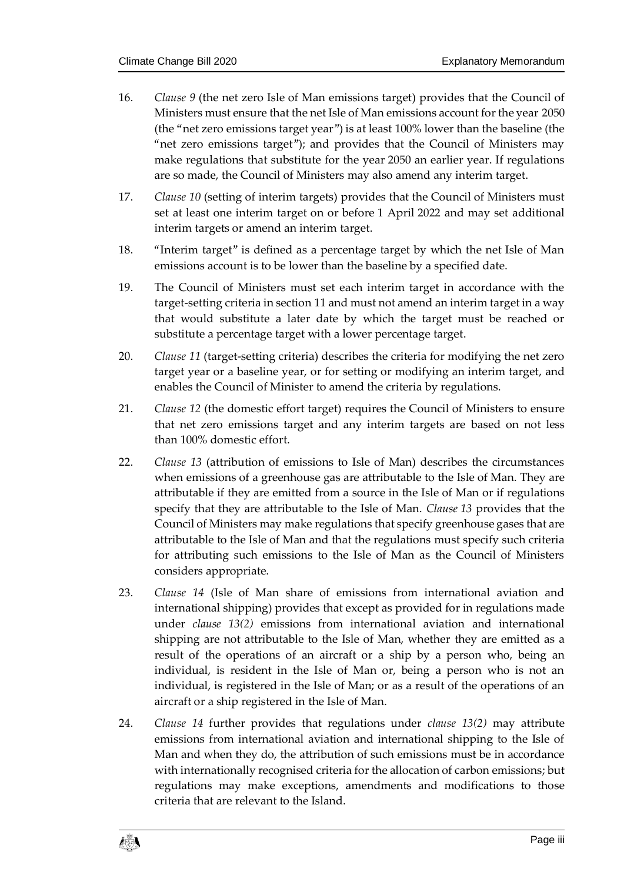- 16. *Clause [9](#page-17-1)* (the net zero Isle of Man emissions target) provides that the Council of Ministers must ensure that the net Isle of Man emissions account for the year 2050 (the "net zero emissions target year") is at least 100% lower than the baseline (the "net zero emissions target"); and provides that the Council of Ministers may make regulations that substitute for the year 2050 an earlier year. If regulations are so made, the Council of Ministers may also amend any interim target.
- 17. *Clause [10](#page-17-2)* (setting of interim targets) provides that the Council of Ministers must set at least one interim target on or before 1 April 2022 and may set additional interim targets or amend an interim target.
- 18. "Interim target" is defined as a percentage target by which the net Isle of Man emissions account is to be lower than the baseline by a specified date.
- 19. The Council of Ministers must set each interim target in accordance with the target-setting criteria in section 11 and must not amend an interim target in a way that would substitute a later date by which the target must be reached or substitute a percentage target with a lower percentage target.
- 20. *Clause [11](#page-18-0)* (target-setting criteria) describes the criteria for modifying the net zero target year or a baseline year, or for setting or modifying an interim target, and enables the Council of Minister to amend the criteria by regulations.
- 21. *Clause [12](#page-19-0)* (the domestic effort target) requires the Council of Ministers to ensure that net zero emissions target and any interim targets are based on not less than 100% domestic effort.
- 22. *Clause [13](#page-19-1)* (attribution of emissions to Isle of Man) describes the circumstances when emissions of a greenhouse gas are attributable to the Isle of Man. They are attributable if they are emitted from a source in the Isle of Man or if regulations specify that they are attributable to the Isle of Man. *Clause 13* provides that the Council of Ministers may make regulations that specify greenhouse gases that are attributable to the Isle of Man and that the regulations must specify such criteria for attributing such emissions to the Isle of Man as the Council of Ministers considers appropriate.
- 23. *Clause [14](#page-19-2)* (Isle of Man share of emissions from international aviation and international shipping) provides that except as provided for in regulations made under *clause [13\(2\)](#page-19-3)* emissions from international aviation and international shipping are not attributable to the Isle of Man, whether they are emitted as a result of the operations of an aircraft or a ship by a person who, being an individual, is resident in the Isle of Man or, being a person who is not an individual, is registered in the Isle of Man; or as a result of the operations of an aircraft or a ship registered in the Isle of Man.
- 24. *Clause [14](#page-19-2)* further provides that regulations under *clause [13\(2\)](#page-19-3)* may attribute emissions from international aviation and international shipping to the Isle of Man and when they do, the attribution of such emissions must be in accordance with internationally recognised criteria for the allocation of carbon emissions; but regulations may make exceptions, amendments and modifications to those criteria that are relevant to the Island.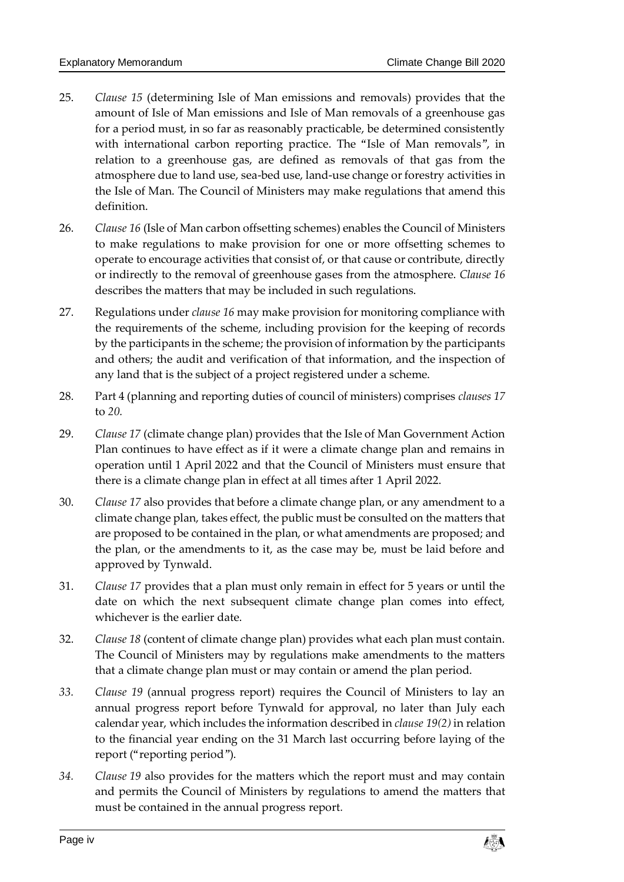- 25. *Clause [15](#page-20-1)* (determining Isle of Man emissions and removals) provides that the amount of Isle of Man emissions and Isle of Man removals of a greenhouse gas for a period must, in so far as reasonably practicable, be determined consistently with international carbon reporting practice. The "Isle of Man removals", in relation to a greenhouse gas, are defined as removals of that gas from the atmosphere due to land use, sea-bed use, land-use change or forestry activities in the Isle of Man. The Council of Ministers may make regulations that amend this definition.
- 26. *Clause [16](#page-20-0)* (Isle of Man carbon offsetting schemes) enables the Council of Ministers to make regulations to make provision for one or more offsetting schemes to operate to encourage activities that consist of, or that cause or contribute, directly or indirectly to the removal of greenhouse gases from the atmosphere. *Clause 16* describes the matters that may be included in such regulations.
- 27. Regulations under *claus[e 16](#page-20-0)* may make provision for monitoring compliance with the requirements of the scheme, including provision for the keeping of records by the participants in the scheme; the provision of information by the participants and others; the audit and verification of that information, and the inspection of any land that is the subject of a project registered under a scheme.
- 28. Part 4 (planning and reporting duties of council of ministers) comprises *clauses [17](#page-22-0)* to *[20.](#page-25-0)*
- 29. *Clause [17](#page-22-0)* (climate change plan) provides that the Isle of Man Government Action Plan continues to have effect as if it were a climate change plan and remains in operation until 1 April 2022 and that the Council of Ministers must ensure that there is a climate change plan in effect at all times after 1 April 2022.
- 30. *Clause [17](#page-22-0)* also provides that before a climate change plan, or any amendment to a climate change plan, takes effect, the public must be consulted on the matters that are proposed to be contained in the plan, or what amendments are proposed; and the plan, or the amendments to it, as the case may be, must be laid before and approved by Tynwald.
- 31. *Clause [17](#page-22-0)* provides that a plan must only remain in effect for 5 years or until the date on which the next subsequent climate change plan comes into effect, whichever is the earlier date.
- 32. *Clause [18](#page-22-1)* (content of climate change plan) provides what each plan must contain. The Council of Ministers may by regulations make amendments to the matters that a climate change plan must or may contain or amend the plan period.
- *33. Clause [19](#page-24-0)* (annual progress report) requires the Council of Ministers to lay an annual progress report before Tynwald for approval, no later than July each calendar year, which includes the information described in *clause [19\(2\)](#page-24-1)* in relation to the financial year ending on the 31 March last occurring before laying of the report ("reporting period").
- *34. Clause [19](#page-24-0)* also provides for the matters which the report must and may contain and permits the Council of Ministers by regulations to amend the matters that must be contained in the annual progress report*.*

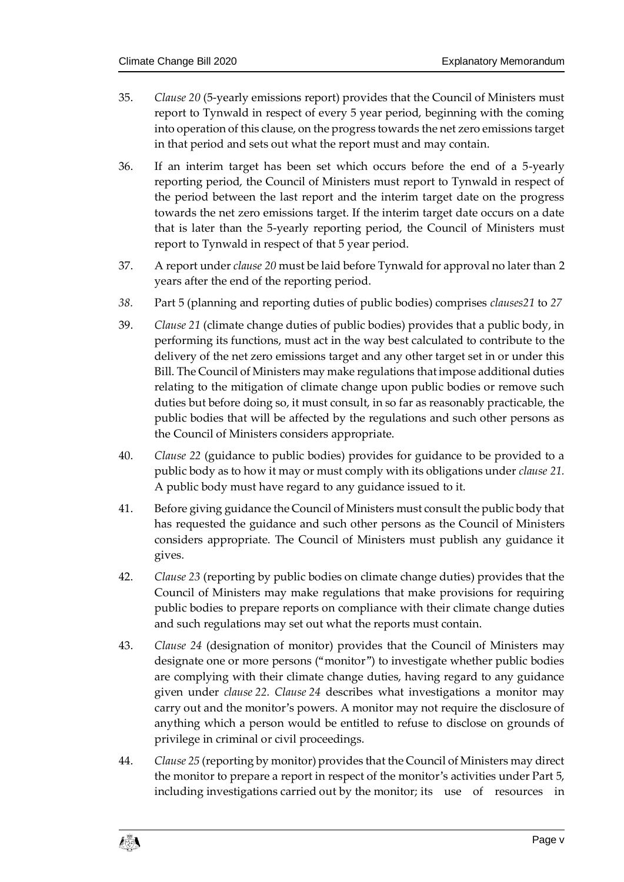- 35. *Clause [20](#page-25-0)* (5-yearly emissions report) provides that the Council of Ministers must report to Tynwald in respect of every 5 year period, beginning with the coming into operation of this clause, on the progress towards the net zero emissions target in that period and sets out what the report must and may contain.
- 36. If an interim target has been set which occurs before the end of a 5-yearly reporting period, the Council of Ministers must report to Tynwald in respect of the period between the last report and the interim target date on the progress towards the net zero emissions target. If the interim target date occurs on a date that is later than the 5-yearly reporting period, the Council of Ministers must report to Tynwald in respect of that 5 year period.
- 37. A report under *clause 20* must be laid before Tynwald for approval no later than 2 years after the end of the reporting period.
- *38.* Part 5 (planning and reporting duties of public bodies) comprises *clause[s21](#page-27-0)* to *[27](#page-30-0)*
- 39. *Clause [21](#page-27-0)* (climate change duties of public bodies) provides that a public body, in performing its functions, must act in the way best calculated to contribute to the delivery of the net zero emissions target and any other target set in or under this Bill. The Council of Ministers may make regulations that impose additional duties relating to the mitigation of climate change upon public bodies or remove such duties but before doing so, it must consult, in so far as reasonably practicable, the public bodies that will be affected by the regulations and such other persons as the Council of Ministers considers appropriate.
- 40. *Clause [22](#page-27-1)* (guidance to public bodies) provides for guidance to be provided to a public body as to how it may or must comply with its obligations under *clause [21.](#page-27-0)* A public body must have regard to any guidance issued to it.
- 41. Before giving guidance the Council of Ministers must consult the public body that has requested the guidance and such other persons as the Council of Ministers considers appropriate. The Council of Ministers must publish any guidance it gives.
- 42. *Clause [23](#page-28-0)* (reporting by public bodies on climate change duties) provides that the Council of Ministers may make regulations that make provisions for requiring public bodies to prepare reports on compliance with their climate change duties and such regulations may set out what the reports must contain.
- 43. *Clause [24](#page-28-1)* (designation of monitor) provides that the Council of Ministers may designate one or more persons ("monitor") to investigate whether public bodies are complying with their climate change duties, having regard to any guidance given under *clause 22. Clause 24* describes what investigations a monitor may carry out and the monitor's powers. A monitor may not require the disclosure of anything which a person would be entitled to refuse to disclose on grounds of privilege in criminal or civil proceedings.
- 44. *Claus[e 25](#page-29-0)* (reporting by monitor) provides that the Council of Ministers may direct the monitor to prepare a report in respect of the monitor's activities under Part 5, including investigations carried out by the monitor; its use of resources in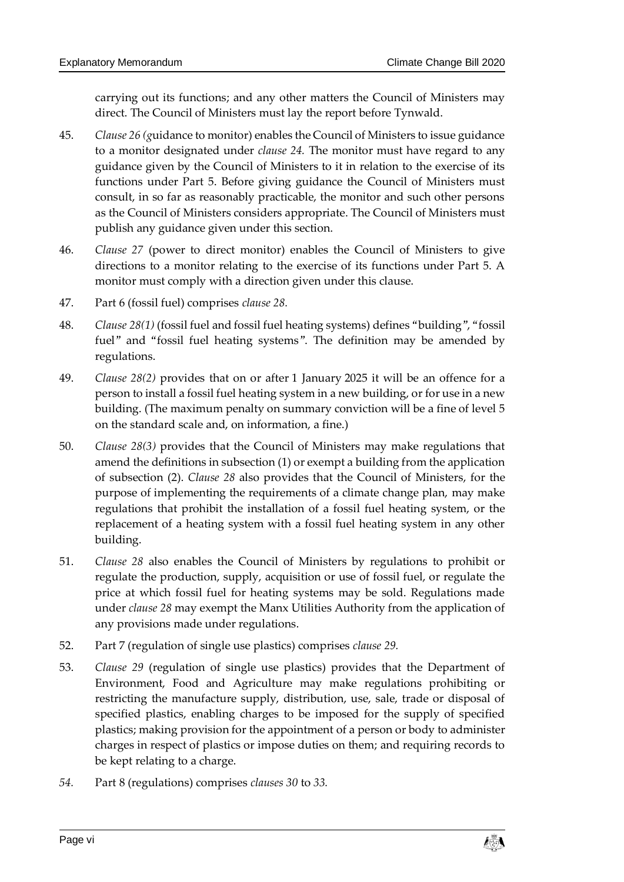carrying out its functions; and any other matters the Council of Ministers may direct. The Council of Ministers must lay the report before Tynwald.

- 45. *Clause [26](#page-29-1) (g*uidance to monitor) enables the Council of Ministers to issue guidance to a monitor designated under *clause [24.](#page-28-1)* The monitor must have regard to any guidance given by the Council of Ministers to it in relation to the exercise of its functions under Part 5. Before giving guidance the Council of Ministers must consult, in so far as reasonably practicable, the monitor and such other persons as the Council of Ministers considers appropriate. The Council of Ministers must publish any guidance given under this section.
- 46. *Clause [27](#page-30-0)* (power to direct monitor) enables the Council of Ministers to give directions to a monitor relating to the exercise of its functions under Part 5. A monitor must comply with a direction given under this clause.
- 47. Part 6 (fossil fuel) comprises *clause [28.](#page-30-1)*
- 48. *Clause [28\(1\)](#page-30-2)* (fossil fuel and fossil fuel heating systems) defines "building", "fossil fuel" and "fossil fuel heating systems". The definition may be amended by regulations.
- 49. *Clause [28\(2\)](#page-30-3)* provides that on or after 1 January 2025 it will be an offence for a person to install a fossil fuel heating system in a new building, or for use in a new building. (The maximum penalty on summary conviction will be a fine of level 5 on the standard scale and, on information, a fine.)
- 50. *Clause [28\(3\)](#page-30-4)* provides that the Council of Ministers may make regulations that amend the definitions in subsection (1) or exempt a building from the application of subsection (2). *Clause [28](#page-30-1)* also provides that the Council of Ministers, for the purpose of implementing the requirements of a climate change plan, may make regulations that prohibit the installation of a fossil fuel heating system, or the replacement of a heating system with a fossil fuel heating system in any other building.
- 51. *Clause [28](#page-30-1)* also enables the Council of Ministers by regulations to prohibit or regulate the production, supply, acquisition or use of fossil fuel, or regulate the price at which fossil fuel for heating systems may be sold. Regulations made under *clause [28](#page-30-1)* may exempt the Manx Utilities Authority from the application of any provisions made under regulations.
- 52. Part 7 (regulation of single use plastics) comprises *clause [29.](#page-31-0)*
- 53. *Clause [29](#page-31-0)* (regulation of single use plastics) provides that the Department of Environment, Food and Agriculture may make regulations prohibiting or restricting the manufacture supply, distribution, use, sale, trade or disposal of specified plastics, enabling charges to be imposed for the supply of specified plastics; making provision for the appointment of a person or body to administer charges in respect of plastics or impose duties on them; and requiring records to be kept relating to a charge.
- *54.* Part 8 (regulations) comprises *clauses [30](#page-32-0)* to *[33.](#page-35-0)*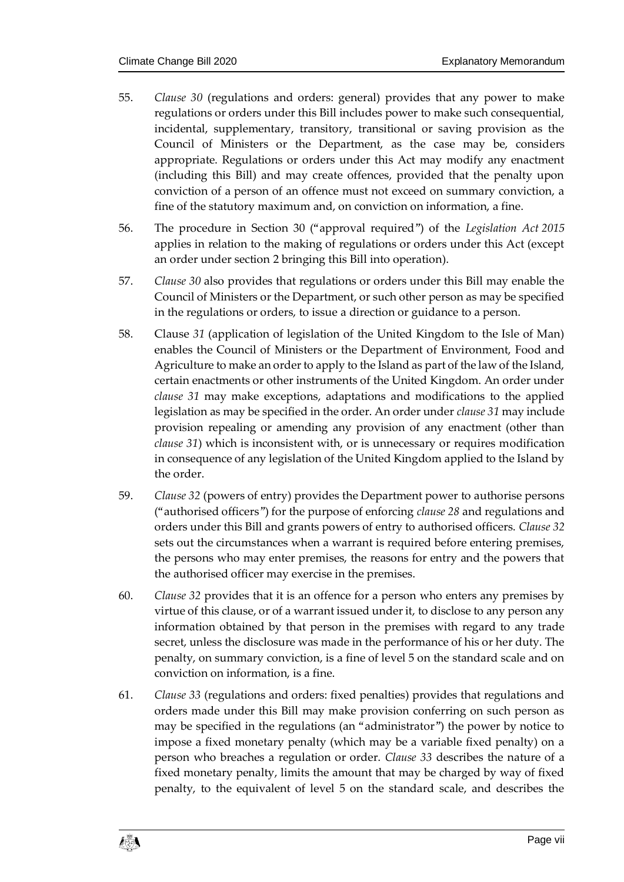- 55. *Clause [30](#page-32-0)* (regulations and orders: general) provides that any power to make regulations or orders under this Bill includes power to make such consequential, incidental, supplementary, transitory, transitional or saving provision as the Council of Ministers or the Department, as the case may be, considers appropriate. Regulations or orders under this Act may modify any enactment (including this Bill) and may create offences, provided that the penalty upon conviction of a person of an offence must not exceed on summary conviction, a fine of the statutory maximum and, on conviction on information, a fine.
- 56. The procedure in Section 30 ("approval required") of the *Legislation Act 2015* applies in relation to the making of regulations or orders under this Act (except an order under section 2 bringing this Bill into operation).
- 57. *Clause [30](#page-32-0)* also provides that regulations or orders under this Bill may enable the Council of Ministers or the Department, or such other person as may be specified in the regulations or orders, to issue a direction or guidance to a person.
- 58. Clause *[31](#page-32-1)* (application of legislation of the United Kingdom to the Isle of Man) enables the Council of Ministers or the Department of Environment, Food and Agriculture to make an order to apply to the Island as part of the law of the Island, certain enactments or other instruments of the United Kingdom. An order under *clause [31](#page-32-1)* may make exceptions, adaptations and modifications to the applied legislation as may be specified in the order. An order under *claus[e 31](#page-32-1)* may include provision repealing or amending any provision of any enactment (other than *clause [31](#page-32-1)*) which is inconsistent with, or is unnecessary or requires modification in consequence of any legislation of the United Kingdom applied to the Island by the order.
- 59. *Clause [32](#page-33-0)* (powers of entry) provides the Department power to authorise persons ("authorised officers") for the purpose of enforcing *clause [28](#page-30-1)* and regulations and orders under this Bill and grants powers of entry to authorised officers. *Claus[e 32](#page-33-0)* sets out the circumstances when a warrant is required before entering premises, the persons who may enter premises, the reasons for entry and the powers that the authorised officer may exercise in the premises.
- 60. *Clause [32](#page-33-0)* provides that it is an offence for a person who enters any premises by virtue of this clause, or of a warrant issued under it, to disclose to any person any information obtained by that person in the premises with regard to any trade secret, unless the disclosure was made in the performance of his or her duty. The penalty, on summary conviction, is a fine of level 5 on the standard scale and on conviction on information, is a fine.
- 61. *Clause [33](#page-35-0)* (regulations and orders: fixed penalties) provides that regulations and orders made under this Bill may make provision conferring on such person as may be specified in the regulations (an "administrator") the power by notice to impose a fixed monetary penalty (which may be a variable fixed penalty) on a person who breaches a regulation or order. *Clause [33](#page-35-0)* describes the nature of a fixed monetary penalty, limits the amount that may be charged by way of fixed penalty, to the equivalent of level 5 on the standard scale, and describes the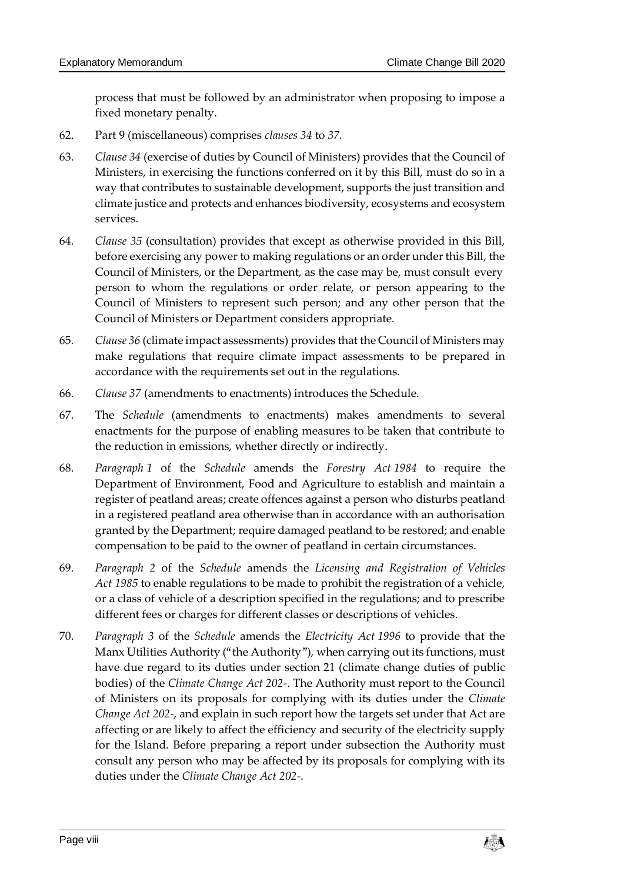process that must be followed by an administrator when proposing to impose a fixed monetary penalty.

- 62. Part 9 (miscellaneous) comprises *clause[s 34](#page-36-0)* to *[37.](#page-37-0)*
- 63. *Clause [34](#page-36-0)* (exercise of duties by Council of Ministers) provides that the Council of Ministers, in exercising the functions conferred on it by this Bill, must do so in a way that contributes to sustainable development, supports the just transition and climate justice and protects and enhances biodiversity, ecosystems and ecosystem services.
- 64. *Clause [35](#page-37-1)* (consultation) provides that except as otherwise provided in this Bill, before exercising any power to making regulations or an order under this Bill, the Council of Ministers, or the Department, as the case may be, must consult every person to whom the regulations or order relate, or person appearing to the Council of Ministers to represent such person; and any other person that the Council of Ministers or Department considers appropriate.
- 65. *Claus[e 36](#page-37-2)* (climate impact assessments) provides that the Council of Ministers may make regulations that require climate impact assessments to be prepared in accordance with the requirements set out in the regulations.
- 66. *Clause [37](#page-37-0)* (amendments to enactments) introduces the Schedule.
- 67. The *Schedule* (amendments to enactments) makes amendments to several enactments for the purpose of enabling measures to be taken that contribute to the reduction in emissions, whether directly or indirectly.
- 68. *Paragraph [1](#page-38-0)* of the *Schedule* amends the *Forestry Act 1984* to require the Department of Environment, Food and Agriculture to establish and maintain a register of peatland areas; create offences against a person who disturbs peatland in a registered peatland area otherwise than in accordance with an authorisation granted by the Department; require damaged peatland to be restored; and enable compensation to be paid to the owner of peatland in certain circumstances.
- 69. *Paragraph [2](#page-47-0)* of the *Schedule* amends the *Licensing and Registration of Vehicles Act 1985* to enable regulations to be made to prohibit the registration of a vehicle, or a class of vehicle of a description specified in the regulations; and to prescribe different fees or charges for different classes or descriptions of vehicles.
- 70. *Paragraph [3](#page-47-1)* of the *Schedule* amends the *Electricity Act 1996* to provide that the Manx Utilities Authority ("the Authority"), when carrying out its functions, must have due regard to its duties under section 21 (climate change duties of public bodies) of the *Climate Change Act 202-*. The Authority must report to the Council of Ministers on its proposals for complying with its duties under the *Climate Change Act 202-*, and explain in such report how the targets set under that Act are affecting or are likely to affect the efficiency and security of the electricity supply for the Island. Before preparing a report under subsection the Authority must consult any person who may be affected by its proposals for complying with its duties under the *Climate Change Act 202-*.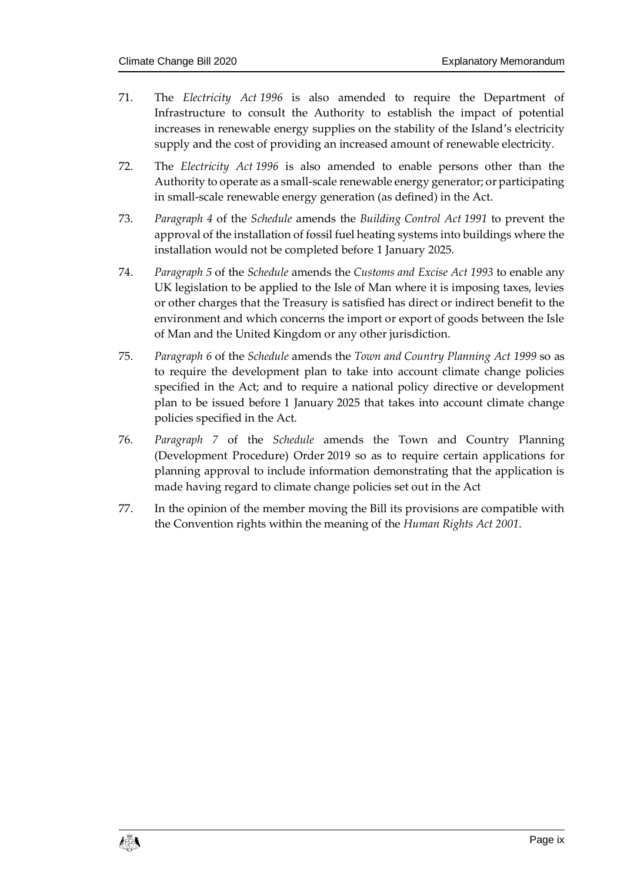- 71. The *Electricity Act 1996* is also amended to require the Department of Infrastructure to consult the Authority to establish the impact of potential increases in renewable energy supplies on the stability of the Island's electricity supply and the cost of providing an increased amount of renewable electricity.
- 72. The *Electricity Act 1996* is also amended to enable persons other than the Authority to operate as a small-scale renewable energy generator; or participating in small-scale renewable energy generation (as defined) in the Act.
- 73. *Paragraph [4](#page-49-0)* of the *Schedule* amends the *Building Control Act 1991* to prevent the approval of the installation of fossil fuel heating systems into buildings where the installation would not be completed before 1 January 2025.
- 74. *Paragraph [5](#page-50-0)* of the *Schedule* amends the *Customs and Excise Act 1993* to enable any UK legislation to be applied to the Isle of Man where it is imposing taxes, levies or other charges that the Treasury is satisfied has direct or indirect benefit to the environment and which concerns the import or export of goods between the Isle of Man and the United Kingdom or any other jurisdiction.
- 75. *Paragraph [6](#page-50-1)* of the *Schedule* amends the *Town and Country Planning Act 1999* so as to require the development plan to take into account climate change policies specified in the Act; and to require a national policy directive or development plan to be issued before 1 January 2025 that takes into account climate change policies specified in the Act.
- 76. *Paragraph [7](#page-51-0)* of the *Schedule* amends the Town and Country Planning (Development Procedure) Order 2019 so as to require certain applications for planning approval to include information demonstrating that the application is made having regard to climate change policies set out in the Act
- 77. In the opinion of the member moving the Bill its provisions are compatible with the Convention rights within the meaning of the *Human Rights Act 2001*.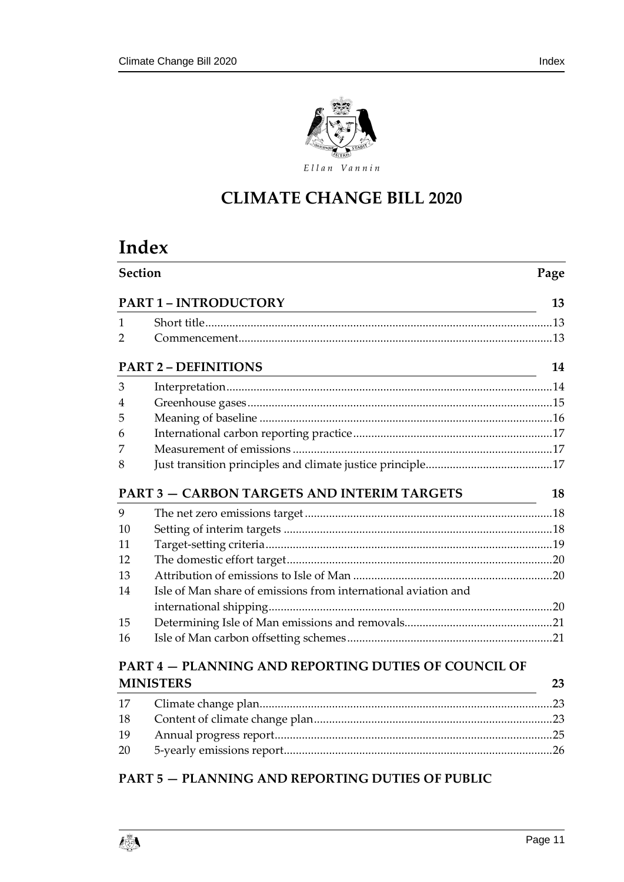

# **CLIMATE CHANGE BILL 2020**

# **Index**

|    | Section<br>Page                                                |    |  |  |  |  |
|----|----------------------------------------------------------------|----|--|--|--|--|
|    | <b>PART 1 - INTRODUCTORY</b>                                   | 13 |  |  |  |  |
| 1  |                                                                |    |  |  |  |  |
| 2  |                                                                |    |  |  |  |  |
|    | <b>PART 2 - DEFINITIONS</b>                                    | 14 |  |  |  |  |
| 3  |                                                                |    |  |  |  |  |
| 4  |                                                                |    |  |  |  |  |
| 5  |                                                                |    |  |  |  |  |
| 6  |                                                                |    |  |  |  |  |
| 7  |                                                                |    |  |  |  |  |
| 8  |                                                                |    |  |  |  |  |
|    | <b>PART 3 - CARBON TARGETS AND INTERIM TARGETS</b>             | 18 |  |  |  |  |
| 9  |                                                                |    |  |  |  |  |
| 10 |                                                                |    |  |  |  |  |
| 11 |                                                                |    |  |  |  |  |
| 12 |                                                                |    |  |  |  |  |
| 13 |                                                                |    |  |  |  |  |
| 14 | Isle of Man share of emissions from international aviation and |    |  |  |  |  |
|    |                                                                |    |  |  |  |  |
| 15 |                                                                |    |  |  |  |  |
| 16 |                                                                |    |  |  |  |  |
|    | <b>PART 4 – PLANNING AND REPORTING DUTIES OF COUNCIL OF</b>    |    |  |  |  |  |
|    | <b>MINISTERS</b>                                               | 23 |  |  |  |  |
| 17 |                                                                |    |  |  |  |  |
| 18 |                                                                |    |  |  |  |  |
| 19 |                                                                |    |  |  |  |  |
| 20 |                                                                |    |  |  |  |  |

### **PART 5 — [PLANNING AND REPORTING DUTIES OF PUBLIC](#page-27-2)**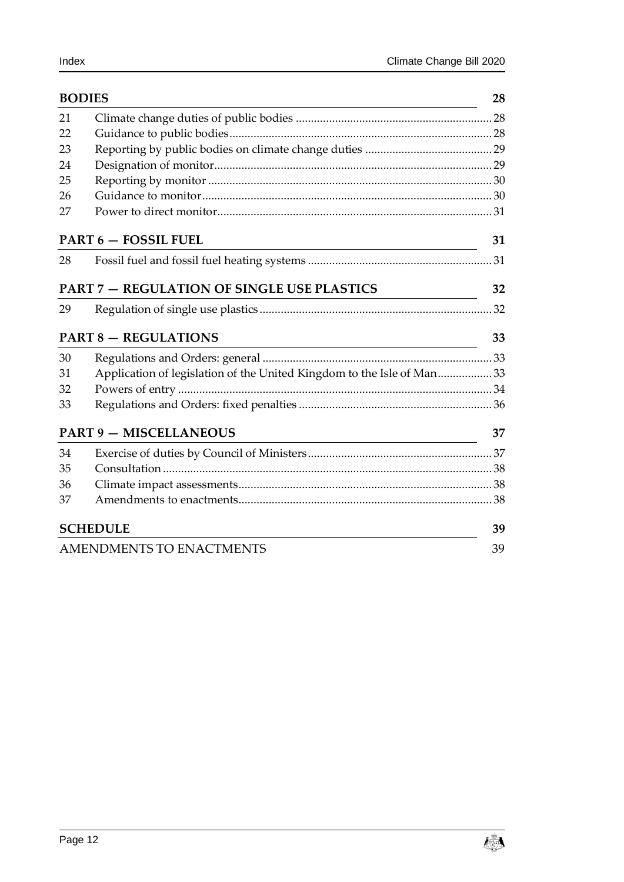| <b>BODIES</b> |                                                                                     | 28 |
|---------------|-------------------------------------------------------------------------------------|----|
| 21            |                                                                                     |    |
| 22            |                                                                                     |    |
| 23            |                                                                                     |    |
| 24            |                                                                                     |    |
| 25            |                                                                                     |    |
| 26            |                                                                                     |    |
| 27            |                                                                                     |    |
|               | <b>PART 6 - FOSSIL FUEL</b>                                                         | 31 |
| 28            |                                                                                     |    |
|               | <b>PART 7 - REGULATION OF SINGLE USE PLASTICS</b>                                   | 32 |
| 29            |                                                                                     |    |
|               | <b>PART 8 - REGULATIONS</b><br><u> 1980 - Johann Barn, fransk politik (f. 1980)</u> | 33 |
| 30            |                                                                                     |    |
| 31            | Application of legislation of the United Kingdom to the Isle of Man33               |    |
| 32            |                                                                                     |    |
| 33            |                                                                                     |    |
|               | <b>PART 9 - MISCELLANEOUS</b>                                                       | 37 |
| 34            |                                                                                     |    |
| 35            |                                                                                     |    |
| 36            |                                                                                     |    |
| 37            |                                                                                     |    |
|               | <b>SCHEDULE</b>                                                                     | 39 |
|               | AMENDMENTS TO ENACTMENTS                                                            | 39 |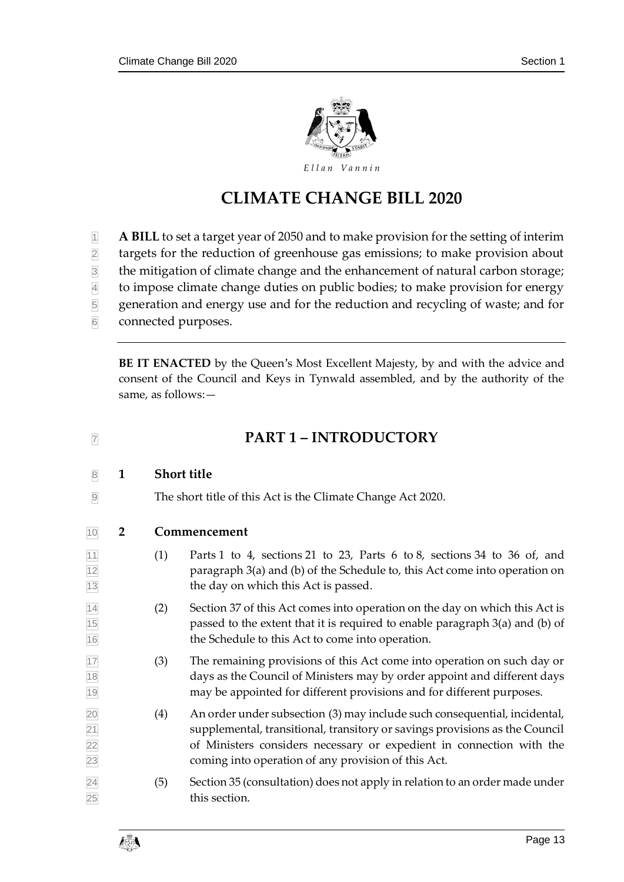

# **CLIMATE CHANGE BILL 2020**

- **A BILL** to set a target year of 2050 and to make provision for the setting of interim
- targets for the reduction of greenhouse gas emissions; to make provision about
- the mitigation of climate change and the enhancement of natural carbon storage;
- to impose climate change duties on public bodies; to make provision for energy
- generation and energy use and for the reduction and recycling of waste; and for
- connected purposes.

**BE IT ENACTED** by the Queen's Most Excellent Majesty, by and with the advice and consent of the Council and Keys in Tynwald assembled, and by the authority of the same, as follows:—

# <span id="page-12-2"></span>**PART 1 – INTRODUCTORY**

- <span id="page-12-0"></span>**1 Short title**
- <span id="page-12-1"></span>The short title of this Act is the Climate Change Act 2020.
- **2 Commencement**
- $\overline{11}$  (1) Parts 1 to 4, sections [21](#page-27-0) to [23,](#page-28-0) Parts 6 to 8, sections [34](#page-36-0) to [36](#page-37-2) of, and paragraph [3\(](#page-47-1)a) and (b) of the Schedule to, this Act come into operation on the day on which this Act is passed.
- $|14|$  (2) Section [37](#page-37-0) of this Act comes into operation on the day on which this Act is passed to the extent that it is required to enable paragraph [3\(](#page-47-1)a) and (b) of the Schedule to this Act to come into operation.
- (3) The remaining provisions of this Act come into operation on such day or days as the Council of Ministers may by order appoint and different days may be appointed for different provisions and for different purposes.
- $|20|$  (4) An order under subsection (3) may include such consequential, incidental, supplemental, transitional, transitory or savings provisions as the Council of Ministers considers necessary or expedient in connection with the coming into operation of any provision of this Act.
- $\sqrt{24}$  (5) Sectio[n 35](#page-37-1) (consultation) does not apply in relation to an order made under this section.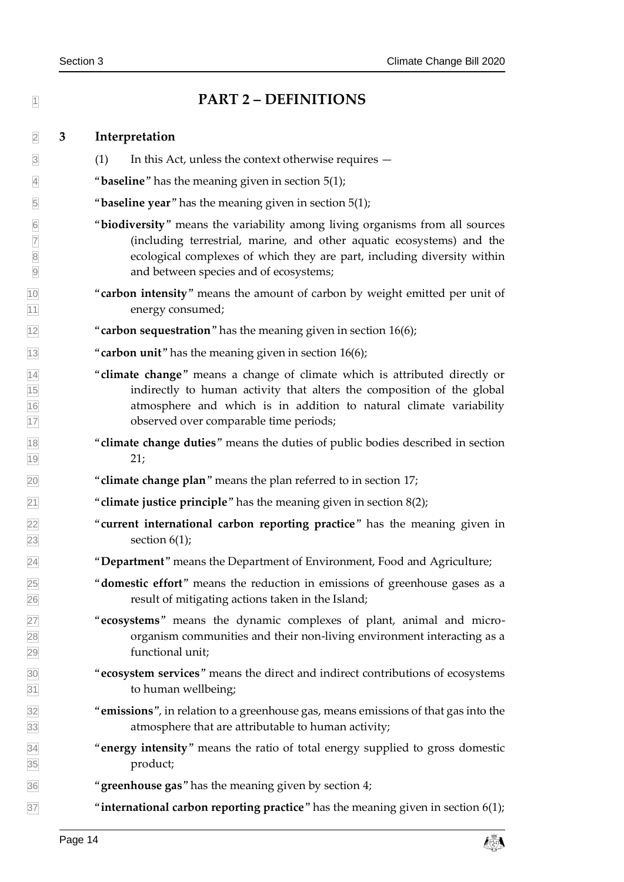<span id="page-13-1"></span><span id="page-13-0"></span>

| $\overline{1}$                  |   | <b>PART 2 - DEFINITIONS</b>                                                                                                                                                                                                                                                |
|---------------------------------|---|----------------------------------------------------------------------------------------------------------------------------------------------------------------------------------------------------------------------------------------------------------------------------|
| $\overline{2}$                  | 3 | Interpretation                                                                                                                                                                                                                                                             |
| $\overline{\mathbf{3}}$         |   | (1)<br>In this Act, unless the context otherwise requires —                                                                                                                                                                                                                |
| $\overline{4}$                  |   | " <b>baseline</b> " has the meaning given in section $5(1)$ ;                                                                                                                                                                                                              |
| $\overline{5}$                  |   | " <b>baseline year</b> " has the meaning given in section $5(1)$ ;                                                                                                                                                                                                         |
| $6\overline{6}$                 |   | "biodiversity" means the variability among living organisms from all sources<br>(including terrestrial, marine, and other aquatic ecosystems) and the<br>ecological complexes of which they are part, including diversity within<br>and between species and of ecosystems; |
| $\frac{10}{11}$                 |   | "carbon intensity" means the amount of carbon by weight emitted per unit of<br>energy consumed;                                                                                                                                                                            |
| $\overline{12}$                 |   | "carbon sequestration" has the meaning given in section $16(6)$ ;                                                                                                                                                                                                          |
| $\overline{13}$                 |   | "carbon unit" has the meaning given in section 16(6);                                                                                                                                                                                                                      |
| $\frac{14}{15}$ $\frac{16}{17}$ |   | "climate change" means a change of climate which is attributed directly or<br>indirectly to human activity that alters the composition of the global<br>atmosphere and which is in addition to natural climate variability<br>observed over comparable time periods;       |
| $\frac{18}{19}$                 |   | "climate change duties" means the duties of public bodies described in section<br>21;                                                                                                                                                                                      |
| $\overline{20}$                 |   | "climate change plan" means the plan referred to in section 17;                                                                                                                                                                                                            |
| $\overline{21}$                 |   | "climate justice principle" has the meaning given in section $8(2)$ ;                                                                                                                                                                                                      |
| $\frac{22}{23}$                 |   | "current international carbon reporting practice" has the meaning given in<br>section $6(1)$ ;                                                                                                                                                                             |
| $\overline{24}$                 |   | "Department" means the Department of Environment, Food and Agriculture;                                                                                                                                                                                                    |
|                                 |   | " <b>domestic effort</b> " means the reduction in emissions of greenhouse gases as a<br>result of mitigating actions taken in the Island;                                                                                                                                  |
| 25<br>26<br>27<br>28<br>29      |   | "ecosystems" means the dynamic complexes of plant, animal and micro-<br>organism communities and their non-living environment interacting as a<br>functional unit;                                                                                                         |
| $\frac{30}{31}$                 |   | "ecosystem services" means the direct and indirect contributions of ecosystems<br>to human wellbeing;                                                                                                                                                                      |
| $\frac{32}{33}$                 |   | "emissions", in relation to a greenhouse gas, means emissions of that gas into the<br>atmosphere that are attributable to human activity;                                                                                                                                  |
| $\frac{34}{35}$                 |   | "energy intensity" means the ratio of total energy supplied to gross domestic<br>product;                                                                                                                                                                                  |
| $\frac{1}{36}$                  |   | "greenhouse gas" has the meaning given by section 4;                                                                                                                                                                                                                       |
| $\overline{37}$                 |   | "international carbon reporting practice" has the meaning given in section $6(1)$ ;                                                                                                                                                                                        |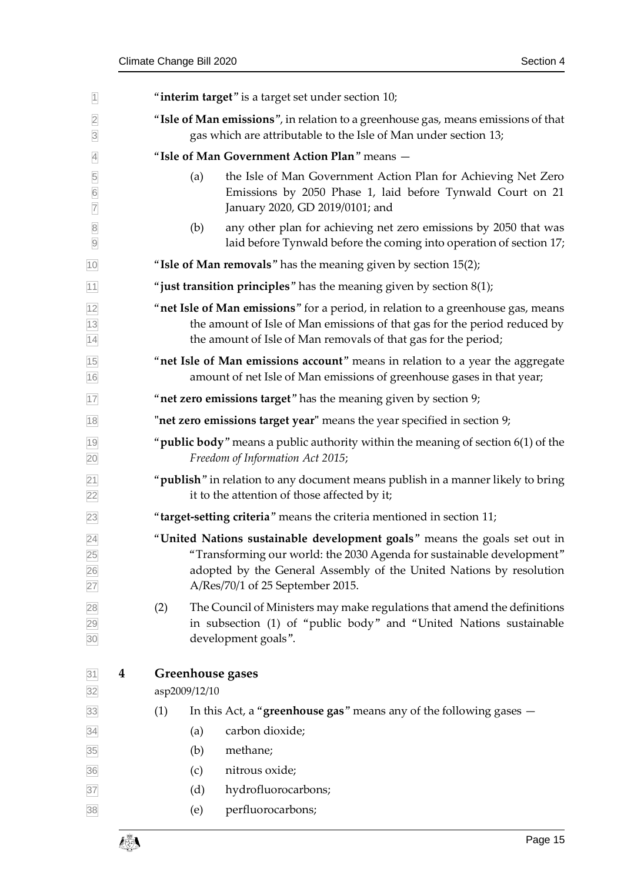<span id="page-14-0"></span>

| $\overline{1}$                        | "interim target" is a target set under section 10;                                                                                                     |                                                                                                                                                                                                                                                               |  |  |  |  |
|---------------------------------------|--------------------------------------------------------------------------------------------------------------------------------------------------------|---------------------------------------------------------------------------------------------------------------------------------------------------------------------------------------------------------------------------------------------------------------|--|--|--|--|
| $\overline{2}$<br>$\overline{3}$      | "Isle of Man emissions", in relation to a greenhouse gas, means emissions of that<br>gas which are attributable to the Isle of Man under section 13;   |                                                                                                                                                                                                                                                               |  |  |  |  |
| $\overline{4}$                        | "Isle of Man Government Action Plan" means -                                                                                                           |                                                                                                                                                                                                                                                               |  |  |  |  |
| 5<br>$\overline{6}$<br>$\overline{7}$ |                                                                                                                                                        | the Isle of Man Government Action Plan for Achieving Net Zero<br>(a)<br>Emissions by 2050 Phase 1, laid before Tynwald Court on 21<br>January 2020, GD 2019/0101; and                                                                                         |  |  |  |  |
| $\overline{8}$<br>$\overline{9}$      |                                                                                                                                                        | any other plan for achieving net zero emissions by 2050 that was<br>(b)<br>laid before Tynwald before the coming into operation of section 17;                                                                                                                |  |  |  |  |
| 10                                    |                                                                                                                                                        | "Isle of Man removals" has the meaning given by section 15(2);                                                                                                                                                                                                |  |  |  |  |
| 11                                    |                                                                                                                                                        | "just transition principles" has the meaning given by section $8(1)$ ;                                                                                                                                                                                        |  |  |  |  |
| 12<br>$\frac{13}{14}$                 |                                                                                                                                                        | "net Isle of Man emissions" for a period, in relation to a greenhouse gas, means<br>the amount of Isle of Man emissions of that gas for the period reduced by<br>the amount of Isle of Man removals of that gas for the period;                               |  |  |  |  |
| 15<br>16                              | "net Isle of Man emissions account" means in relation to a year the aggregate<br>amount of net Isle of Man emissions of greenhouse gases in that year; |                                                                                                                                                                                                                                                               |  |  |  |  |
| 17                                    |                                                                                                                                                        | "net zero emissions target" has the meaning given by section 9;                                                                                                                                                                                               |  |  |  |  |
| 18                                    |                                                                                                                                                        | "net zero emissions target year" means the year specified in section 9;                                                                                                                                                                                       |  |  |  |  |
| 19<br>20                              |                                                                                                                                                        | " $p$ ublic body" means a public authority within the meaning of section $6(1)$ of the<br>Freedom of Information Act 2015;                                                                                                                                    |  |  |  |  |
| $\overline{21}$<br>$\overline{22}$    |                                                                                                                                                        | " <b>publish</b> " in relation to any document means publish in a manner likely to bring<br>it to the attention of those affected by it;                                                                                                                      |  |  |  |  |
| 23                                    |                                                                                                                                                        | "target-setting criteria" means the criteria mentioned in section 11;                                                                                                                                                                                         |  |  |  |  |
| $\overline{24}$<br>25                 |                                                                                                                                                        | "United Nations sustainable development goals" means the goals set out in<br>"Transforming our world: the 2030 Agenda for sustainable development"<br>adopted by the General Assembly of the United Nations by resolution<br>A/Res/70/1 of 25 September 2015. |  |  |  |  |
| 26<br>27<br>28<br>29<br>30            | (2)                                                                                                                                                    | The Council of Ministers may make regulations that amend the definitions<br>in subsection (1) of "public body" and "United Nations sustainable<br>development goals".                                                                                         |  |  |  |  |
| 31<br>4<br>32                         |                                                                                                                                                        | Greenhouse gases<br>asp2009/12/10                                                                                                                                                                                                                             |  |  |  |  |
| 33                                    | (1)                                                                                                                                                    | In this Act, a "greenhouse gas" means any of the following gases $-$                                                                                                                                                                                          |  |  |  |  |
| 34                                    |                                                                                                                                                        | carbon dioxide;<br>(a)                                                                                                                                                                                                                                        |  |  |  |  |
| 35                                    |                                                                                                                                                        | methane;<br>(b)                                                                                                                                                                                                                                               |  |  |  |  |
| 36                                    |                                                                                                                                                        | nitrous oxide;<br>(c)                                                                                                                                                                                                                                         |  |  |  |  |
| 37                                    |                                                                                                                                                        | hydrofluorocarbons;<br>(d)                                                                                                                                                                                                                                    |  |  |  |  |
| $38\,$                                |                                                                                                                                                        | perfluorocarbons;<br>(e)                                                                                                                                                                                                                                      |  |  |  |  |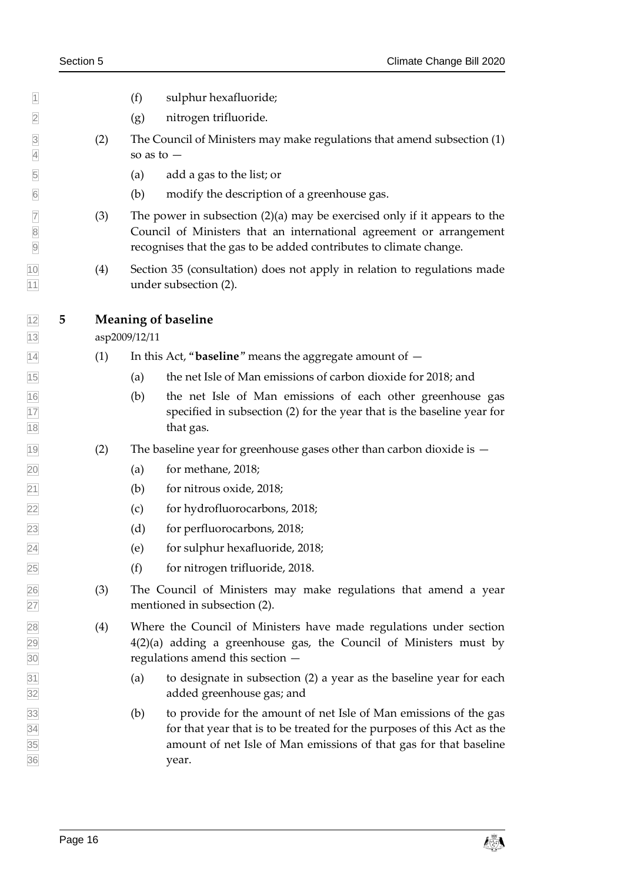- (f) sulphur hexafluoride;
- (g) nitrogen trifluoride.
- <span id="page-15-2"></span> (2) The Council of Ministers may make regulations that amend subsection (1)  $4 \quad$  so as to  $-$
- (a) add a gas to the list; or
- (b) modify the description of a greenhouse gas.
- $\boxed{7}$  (3) The power in subsection (2)(a) may be exercised only if it appears to the Council of Ministers that an international agreement or arrangement recognises that the gas to be added contributes to climate change.
- (4) Section [35](#page-37-1) (consultation) does not apply in relation to regulations made 11 under subsection (2).

#### <span id="page-15-0"></span>**5 Meaning of baseline**

asp2009/12/11

- <span id="page-15-1"></span>(1) In this Act, "**baseline**" means the aggregate amount of —
- (a) the net Isle of Man emissions of carbon dioxide for 2018; and
- (b) the net Isle of Man emissions of each other greenhouse gas specified in subsection (2) for the year that is the baseline year for 18 that gas.
- $\overline{19}$  (2) The baseline year for greenhouse gases other than carbon dioxide is  $-$
- (a) for methane, 2018;
- (b) for nitrous oxide, 2018;
- (c) for hydrofluorocarbons, 2018;
- (d) for perfluorocarbons, 2018;
- (e) for sulphur hexafluoride, 2018;
- (f) for nitrogen trifluoride, 2018.
- (3) The Council of Ministers may make regulations that amend a year mentioned in subsection (2).
- (4) Where the Council of Ministers have made regulations under section [4\(2\)\(](#page-15-2)a) adding a greenhouse gas, the Council of Ministers must by regulations amend this section —
- (a) to designate in subsection (2) a year as the baseline year for each added greenhouse gas; and
- (b) to provide for the amount of net Isle of Man emissions of the gas for that year that is to be treated for the purposes of this Act as the amount of net Isle of Man emissions of that gas for that baseline year.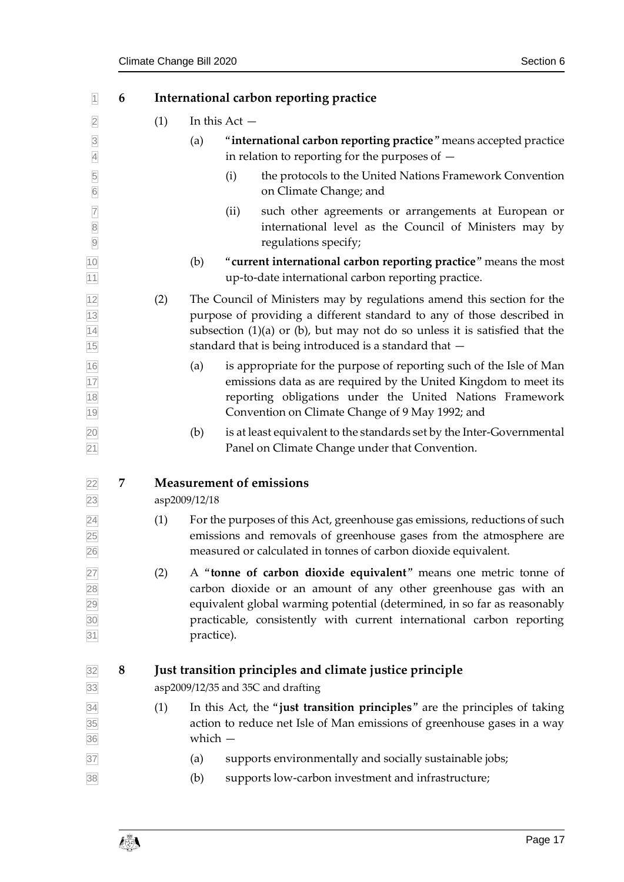<span id="page-16-4"></span><span id="page-16-3"></span><span id="page-16-2"></span><span id="page-16-1"></span><span id="page-16-0"></span>

| $\overline{1}$                     | 6 |     | International carbon reporting practice                                                                                                                                                                                                                                                                |
|------------------------------------|---|-----|--------------------------------------------------------------------------------------------------------------------------------------------------------------------------------------------------------------------------------------------------------------------------------------------------------|
| $\overline{2}$                     |   | (1) | In this $Act -$                                                                                                                                                                                                                                                                                        |
| $\overline{3}$<br>$\overline{4}$   |   |     | "international carbon reporting practice" means accepted practice<br>(a)<br>in relation to reporting for the purposes of $-$                                                                                                                                                                           |
| $\overline{5}$<br>$\overline{6}$   |   |     | the protocols to the United Nations Framework Convention<br>(i)<br>on Climate Change; and                                                                                                                                                                                                              |
|                                    |   |     | such other agreements or arrangements at European or<br>(ii)<br>international level as the Council of Ministers may by<br>regulations specify;                                                                                                                                                         |
| 10<br>11                           |   |     | "current international carbon reporting practice" means the most<br>(b)<br>up-to-date international carbon reporting practice.                                                                                                                                                                         |
| $\frac{12}{13}$<br>$\frac{14}{15}$ |   | (2) | The Council of Ministers may by regulations amend this section for the<br>purpose of providing a different standard to any of those described in<br>subsection $(1)(a)$ or $(b)$ , but may not do so unless it is satisfied that the<br>standard that is being introduced is a standard that -         |
| 16<br>17<br>18<br>19               |   |     | is appropriate for the purpose of reporting such of the Isle of Man<br>(a)<br>emissions data as are required by the United Kingdom to meet its<br>reporting obligations under the United Nations Framework<br>Convention on Climate Change of 9 May 1992; and                                          |
| 20<br>21                           |   |     | is at least equivalent to the standards set by the Inter-Governmental<br>(b)<br>Panel on Climate Change under that Convention.                                                                                                                                                                         |
| 22 <br>23                          | 7 |     | <b>Measurement of emissions</b><br>asp2009/12/18                                                                                                                                                                                                                                                       |
| $\overline{24}$<br>25<br>26        |   | (1) | For the purposes of this Act, greenhouse gas emissions, reductions of such<br>emissions and removals of greenhouse gases from the atmosphere are<br>measured or calculated in tonnes of carbon dioxide equivalent.                                                                                     |
| 27<br>28<br>29<br>30<br>31         |   | (2) | A "tonne of carbon dioxide equivalent" means one metric tonne of<br>carbon dioxide or an amount of any other greenhouse gas with an<br>equivalent global warming potential (determined, in so far as reasonably<br>practicable, consistently with current international carbon reporting<br>practice). |
| 32<br>33                           | 8 |     | Just transition principles and climate justice principle<br>asp2009/12/35 and 35C and drafting                                                                                                                                                                                                         |
| $\frac{34}{35}$ $\frac{35}{36}$    |   | (1) | In this Act, the "just transition principles" are the principles of taking<br>action to reduce net Isle of Man emissions of greenhouse gases in a way<br>which $-$                                                                                                                                     |
| 37<br>38                           |   |     | supports environmentally and socially sustainable jobs;<br>(a)<br>supports low-carbon investment and infrastructure;<br>(b)                                                                                                                                                                            |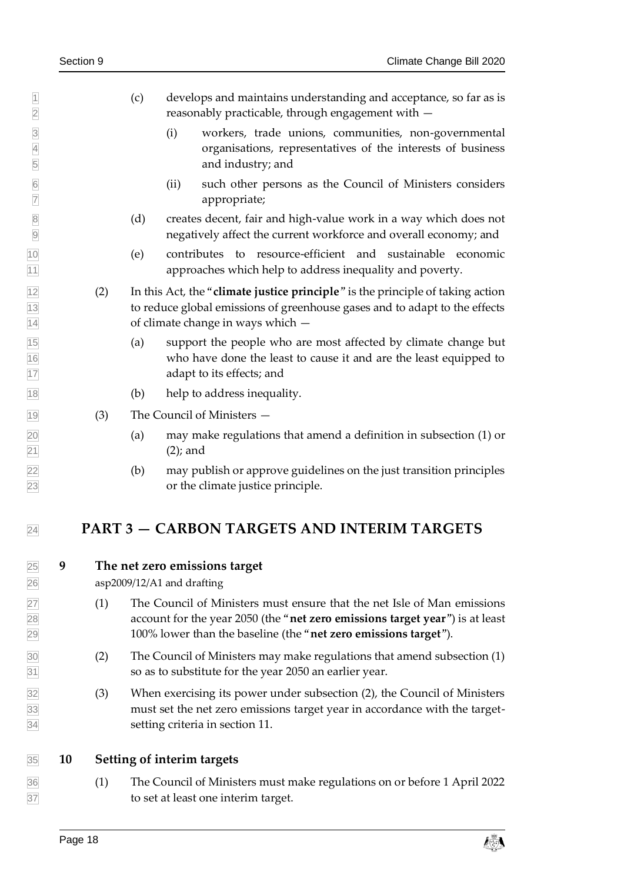- (c) develops and maintains understanding and acceptance, so far as is reasonably practicable, through engagement with —
- (i) workers, trade unions, communities, non-governmental organisations, representatives of the interests of business and industry; and
- (ii) such other persons as the Council of Ministers considers appropriate;
- 8 (d) creates decent, fair and high-value work in a way which does not negatively affect the current workforce and overall economy; and
- (e) contributes to resource-efficient and sustainable economic approaches which help to address inequality and poverty.
- <span id="page-17-4"></span> (2) In this Act, the "**climate justice principle**" is the principle of taking action to reduce global emissions of greenhouse gases and to adapt to the effects of climate change in ways which —
- (a) support the people who are most affected by climate change but who have done the least to cause it and are the least equipped to adapt to its effects; and
- (b) help to address inequality.
- <span id="page-17-0"></span>(3) The Council of Ministers —
- (a) may make regulations that amend a definition in subsection (1) or (2); and
- (b) may publish or approve guidelines on the just transition principles or the climate justice principle.

## <span id="page-17-3"></span><span id="page-17-1"></span>**PART 3 — CARBON TARGETS AND INTERIM TARGETS**

#### **9 The net zero emissions target**

asp2009/12/A1 and drafting

- (1) The Council of Ministers must ensure that the net Isle of Man emissions account for the year 2050 (the "**net zero emissions target year**") is at least 100% lower than the baseline (the "**net zero emissions target**").
- (2) The Council of Ministers may make regulations that amend subsection (1) so as to substitute for the year 2050 an earlier year.
- (3) When exercising its power under subsection (2), the Council of Ministers must set the net zero emissions target year in accordance with the target-setting criteria in section [11.](#page-18-0)

#### <span id="page-17-2"></span>**10 Setting of interim targets**

 (1) The Council of Ministers must make regulations on or before 1 April 2022 to set at least one interim target.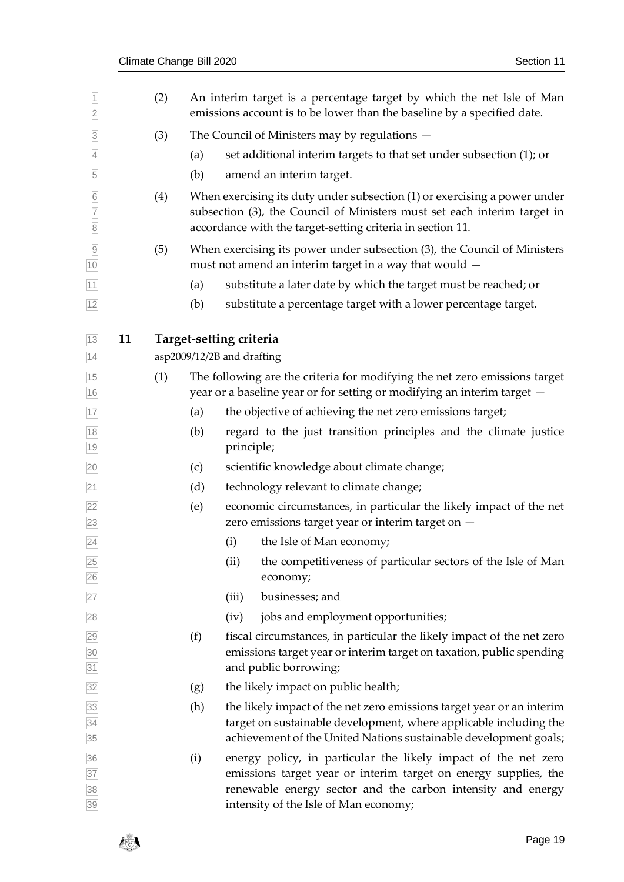<span id="page-18-0"></span>

| $\overline{1}$<br>$\overline{2}$                    |    | (2) |                                                       |            | An interim target is a percentage target by which the net Isle of Man<br>emissions account is to be lower than the baseline by a specified date.                                                                                          |
|-----------------------------------------------------|----|-----|-------------------------------------------------------|------------|-------------------------------------------------------------------------------------------------------------------------------------------------------------------------------------------------------------------------------------------|
| $\overline{3}$                                      |    | (3) |                                                       |            | The Council of Ministers may by regulations $-$                                                                                                                                                                                           |
| $\overline{4}$                                      |    |     | (a)                                                   |            | set additional interim targets to that set under subsection (1); or                                                                                                                                                                       |
| 5                                                   |    |     | (b)                                                   |            | amend an interim target.                                                                                                                                                                                                                  |
| $6\overline{6}$<br>$\overline{7}$<br>$\overline{8}$ |    | (4) |                                                       |            | When exercising its duty under subsection (1) or exercising a power under<br>subsection (3), the Council of Ministers must set each interim target in<br>accordance with the target-setting criteria in section 11.                       |
| $\overline{9}$<br>10                                |    | (5) |                                                       |            | When exercising its power under subsection (3), the Council of Ministers<br>must not amend an interim target in a way that would $-$                                                                                                      |
| 11                                                  |    |     | (a)                                                   |            | substitute a later date by which the target must be reached; or                                                                                                                                                                           |
| 12                                                  |    |     | (b)                                                   |            | substitute a percentage target with a lower percentage target.                                                                                                                                                                            |
| 13<br>14                                            | 11 |     | Target-setting criteria<br>asp2009/12/2B and drafting |            |                                                                                                                                                                                                                                           |
| 15<br>16                                            |    | (1) |                                                       |            | The following are the criteria for modifying the net zero emissions target<br>year or a baseline year or for setting or modifying an interim target -                                                                                     |
| $17$                                                |    |     | (a)                                                   |            | the objective of achieving the net zero emissions target;                                                                                                                                                                                 |
| 18<br>19                                            |    |     | (b)                                                   | principle; | regard to the just transition principles and the climate justice                                                                                                                                                                          |
| 20                                                  |    |     | (c)                                                   |            | scientific knowledge about climate change;                                                                                                                                                                                                |
| 21                                                  |    |     | (d)                                                   |            | technology relevant to climate change;                                                                                                                                                                                                    |
| 22<br>23                                            |    |     | (e)                                                   |            | economic circumstances, in particular the likely impact of the net<br>zero emissions target year or interim target on -                                                                                                                   |
| 24                                                  |    |     |                                                       | (i)        | the Isle of Man economy;                                                                                                                                                                                                                  |
| 25<br>26                                            |    |     |                                                       | (ii)       | the competitiveness of particular sectors of the Isle of Man<br>economy;                                                                                                                                                                  |
| 27                                                  |    |     |                                                       | (iii)      | businesses; and                                                                                                                                                                                                                           |
| 28                                                  |    |     |                                                       | (iv)       | jobs and employment opportunities;                                                                                                                                                                                                        |
| 29<br>30<br>31                                      |    |     | (f)                                                   |            | fiscal circumstances, in particular the likely impact of the net zero<br>emissions target year or interim target on taxation, public spending<br>and public borrowing;                                                                    |
| 32                                                  |    |     | (g)                                                   |            | the likely impact on public health;                                                                                                                                                                                                       |
| 33<br>$\frac{34}{35}$                               |    |     | (h)                                                   |            | the likely impact of the net zero emissions target year or an interim<br>target on sustainable development, where applicable including the<br>achievement of the United Nations sustainable development goals;                            |
| 36<br>37<br>38<br>39                                |    |     | (i)                                                   |            | energy policy, in particular the likely impact of the net zero<br>emissions target year or interim target on energy supplies, the<br>renewable energy sector and the carbon intensity and energy<br>intensity of the Isle of Man economy; |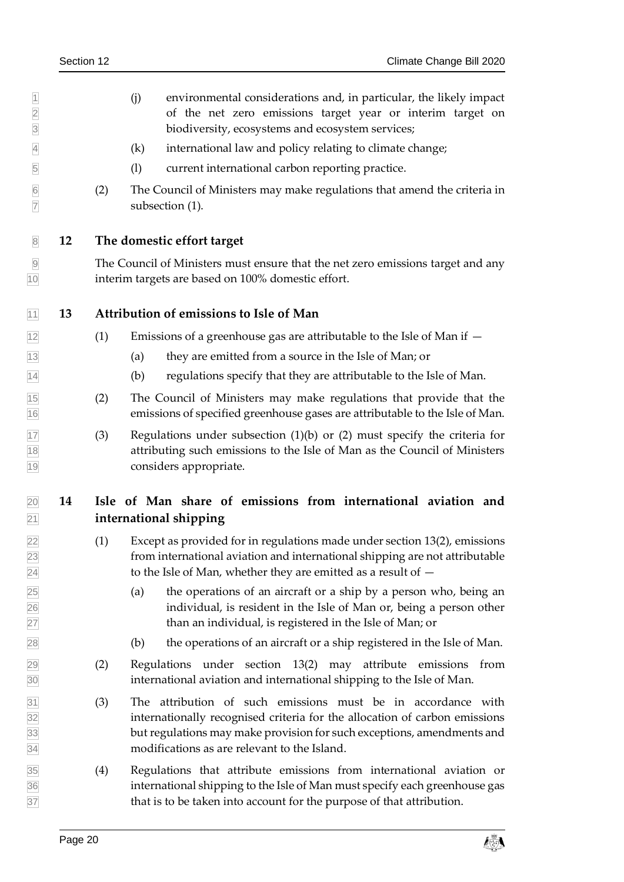- 1 (j) environmental considerations and, in particular, the likely impact of the net zero emissions target year or interim target on of the net zero emissions target year or interim target on biodiversity, ecosystems and ecosystem services;
- (k) international law and policy relating to climate change;
- (l) current international carbon reporting practice.
- (2) The Council of Ministers may make regulations that amend the criteria in subsection (1).
- <span id="page-19-0"></span>**12 The domestic effort target**

 The Council of Ministers must ensure that the net zero emissions target and any interim targets are based on 100% domestic effort.

- <span id="page-19-1"></span>**13 Attribution of emissions to Isle of Man**
- (1) Emissions of a greenhouse gas are attributable to the Isle of Man if  $-$
- (a) they are emitted from a source in the Isle of Man; or
- (b) regulations specify that they are attributable to the Isle of Man.
- <span id="page-19-3"></span> (2) The Council of Ministers may make regulations that provide that the emissions of specified greenhouse gases are attributable to the Isle of Man.
- (3) Regulations under subsection (1)(b) or (2) must specify the criteria for attributing such emissions to the Isle of Man as the Council of Ministers considers appropriate.

## <span id="page-19-2"></span> **14 Isle of Man share of emissions from international aviation and international shipping**

- (1) Except as provided for in regulations made under section [13\(2\),](#page-19-3) emissions from international aviation and international shipping are not attributable  $\sqrt{24}$  to the Isle of Man, whether they are emitted as a result of  $-$
- (a) the operations of an aircraft or a ship by a person who, being an individual, is resident in the Isle of Man or, being a person other than an individual, is registered in the Isle of Man; or
- (b) the operations of an aircraft or a ship registered in the Isle of Man.
- (2) Regulations under section [13\(2\)](#page-19-3) may attribute emissions from international aviation and international shipping to the Isle of Man.
- (3) The attribution of such emissions must be in accordance with internationally recognised criteria for the allocation of carbon emissions but regulations may make provision for such exceptions, amendments and modifications as are relevant to the Island.
- (4) Regulations that attribute emissions from international aviation or international shipping to the Isle of Man must specify each greenhouse gas that is to be taken into account for the purpose of that attribution.

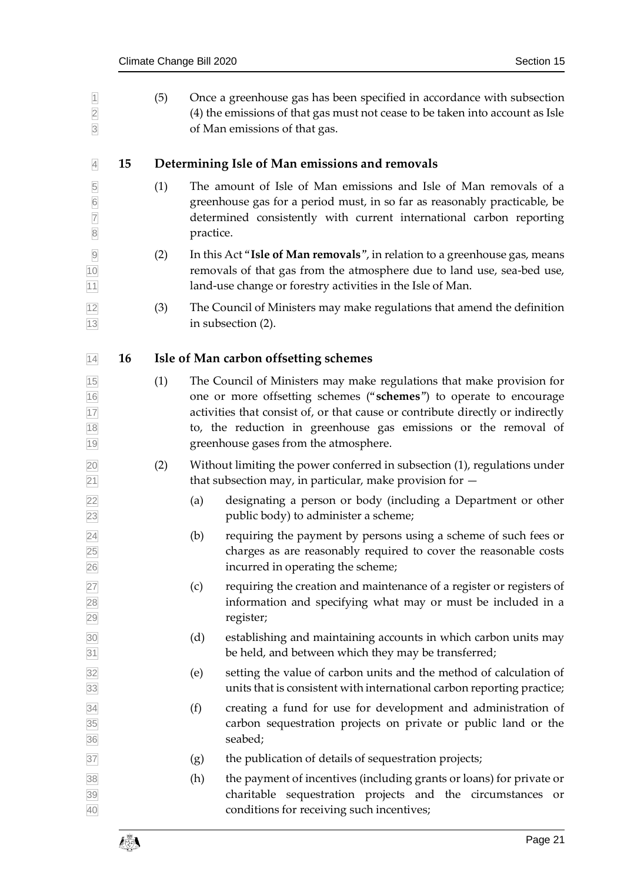<span id="page-20-2"></span><span id="page-20-1"></span><span id="page-20-0"></span>

| $\overline{1}$<br>$\overline{2}$<br>$\overline{3}$ |    | (5) |           | Once a greenhouse gas has been specified in accordance with subsection<br>(4) the emissions of that gas must not cease to be taken into account as Isle<br>of Man emissions of that gas.                                                                                                                                                  |
|----------------------------------------------------|----|-----|-----------|-------------------------------------------------------------------------------------------------------------------------------------------------------------------------------------------------------------------------------------------------------------------------------------------------------------------------------------------|
| $\overline{4}$                                     | 15 |     |           | Determining Isle of Man emissions and removals                                                                                                                                                                                                                                                                                            |
| 5<br>6<br>7<br>8                                   |    | (1) | practice. | The amount of Isle of Man emissions and Isle of Man removals of a<br>greenhouse gas for a period must, in so far as reasonably practicable, be<br>determined consistently with current international carbon reporting                                                                                                                     |
| $\overline{9}$<br>10<br>11                         |    | (2) |           | In this Act "Isle of Man removals", in relation to a greenhouse gas, means<br>removals of that gas from the atmosphere due to land use, sea-bed use,<br>land-use change or forestry activities in the Isle of Man.                                                                                                                        |
| 12<br>13                                           |    | (3) |           | The Council of Ministers may make regulations that amend the definition<br>in subsection (2).                                                                                                                                                                                                                                             |
| 14                                                 | 16 |     |           | Isle of Man carbon offsetting schemes                                                                                                                                                                                                                                                                                                     |
| 15<br>16<br>17<br>18<br>19                         |    | (1) |           | The Council of Ministers may make regulations that make provision for<br>one or more offsetting schemes ("schemes") to operate to encourage<br>activities that consist of, or that cause or contribute directly or indirectly<br>to, the reduction in greenhouse gas emissions or the removal of<br>greenhouse gases from the atmosphere. |
| 20<br>$\overline{21}$                              |    | (2) |           | Without limiting the power conferred in subsection (1), regulations under<br>that subsection may, in particular, make provision for $-$                                                                                                                                                                                                   |
| 22<br>23                                           |    |     | (a)       | designating a person or body (including a Department or other<br>public body) to administer a scheme;                                                                                                                                                                                                                                     |
| $\overline{24}$<br>25<br>26                        |    |     | (b)       | requiring the payment by persons using a scheme of such fees or<br>charges as are reasonably required to cover the reasonable costs<br>incurred in operating the scheme;                                                                                                                                                                  |
| 27<br>28<br>29                                     |    |     | (c)       | requiring the creation and maintenance of a register or registers of<br>information and specifying what may or must be included in a<br>register;                                                                                                                                                                                         |
| 30<br>31                                           |    |     | (d)       | establishing and maintaining accounts in which carbon units may<br>be held, and between which they may be transferred;                                                                                                                                                                                                                    |
| 32<br>33                                           |    |     | (e)       | setting the value of carbon units and the method of calculation of<br>units that is consistent with international carbon reporting practice;                                                                                                                                                                                              |
| 34<br>35<br>36                                     |    |     | (f)       | creating a fund for use for development and administration of<br>carbon sequestration projects on private or public land or the<br>seabed;                                                                                                                                                                                                |
| 37                                                 |    |     | (g)       | the publication of details of sequestration projects;                                                                                                                                                                                                                                                                                     |
| 38<br>39<br>40                                     |    |     | (h)       | the payment of incentives (including grants or loans) for private or<br>charitable sequestration projects and the circumstances or<br>conditions for receiving such incentives;                                                                                                                                                           |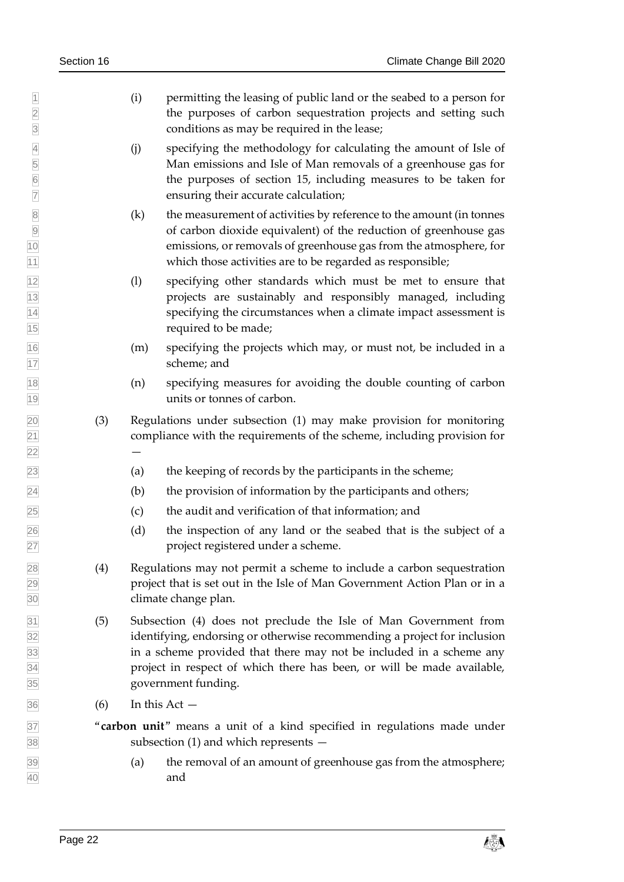- (i) permitting the leasing of public land or the seabed to a person for the purposes of carbon sequestration projects and setting such conditions as may be required in the lease;
- (j) specifying the methodology for calculating the amount of Isle of Man emissions and Isle of Man removals of a greenhouse gas for the purposes of section [15,](#page-20-1) including measures to be taken for ensuring their accurate calculation;
- (k) the measurement of activities by reference to the amount (in tonnes of carbon dioxide equivalent) of the reduction of greenhouse gas of carbon dioxide equivalent) of the reduction of greenhouse gas emissions, or removals of greenhouse gas from the atmosphere, for which those activities are to be regarded as responsible;
- (l) specifying other standards which must be met to ensure that projects are sustainably and responsibly managed, including specifying the circumstances when a climate impact assessment is required to be made;
- (m) specifying the projects which may, or must not, be included in a scheme; and
- (n) specifying measures for avoiding the double counting of carbon units or tonnes of carbon.
- (3) Regulations under subsection (1) may make provision for monitoring compliance with the requirements of the scheme, including provision for
- (a) the keeping of records by the participants in the scheme;
- $\sqrt{24}$  (b) the provision of information by the participants and others;
- (c) the audit and verification of that information; and
- (d) the inspection of any land or the seabed that is the subject of a project registered under a scheme.
- (4) Regulations may not permit a scheme to include a carbon sequestration project that is set out in the Isle of Man Government Action Plan or in a climate change plan.
- (5) Subsection (4) does not preclude the Isle of Man Government from identifying, endorsing or otherwise recommending a project for inclusion in a scheme provided that there may not be included in a scheme any project in respect of which there has been, or will be made available, government funding.
- <span id="page-21-0"></span> $\overline{36}$  (6) In this Act —
- "**carbon unit**" means a unit of a kind specified in regulations made under subsection (1) and which represents —
- (a) the removal of an amount of greenhouse gas from the atmosphere; and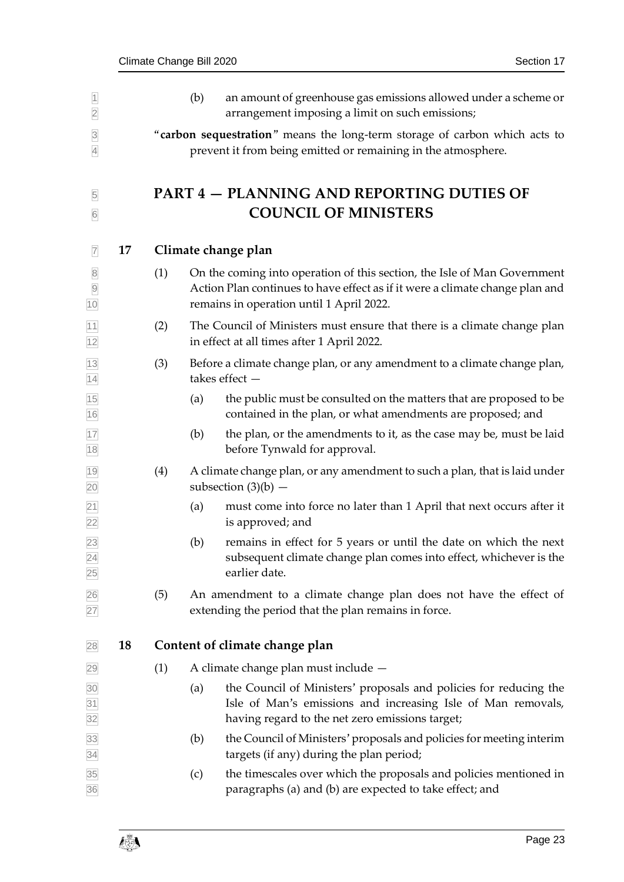<span id="page-22-2"></span><span id="page-22-1"></span><span id="page-22-0"></span>

| $\vert$ 1<br>$\overline{2}$            |    |     | (b) | an amount of greenhouse gas emissions allowed under a scheme or<br>arrangement imposing a limit on such emissions;                                                                                   |
|----------------------------------------|----|-----|-----|------------------------------------------------------------------------------------------------------------------------------------------------------------------------------------------------------|
| $\overline{3}$<br>$\overline{4}$       |    |     |     | "carbon sequestration" means the long-term storage of carbon which acts to<br>prevent it from being emitted or remaining in the atmosphere.                                                          |
| 5<br>$6\overline{6}$                   |    |     |     | <b>PART 4 – PLANNING AND REPORTING DUTIES OF</b><br><b>COUNCIL OF MINISTERS</b>                                                                                                                      |
| $\overline{7}$                         | 17 |     |     | Climate change plan                                                                                                                                                                                  |
| $\overline{8}$<br>$\overline{9}$<br>10 |    | (1) |     | On the coming into operation of this section, the Isle of Man Government<br>Action Plan continues to have effect as if it were a climate change plan and<br>remains in operation until 1 April 2022. |
| $\overline{11}$<br>12                  |    | (2) |     | The Council of Ministers must ensure that there is a climate change plan<br>in effect at all times after 1 April 2022.                                                                               |
| $\frac{13}{14}$                        |    | (3) |     | Before a climate change plan, or any amendment to a climate change plan,<br>takes effect $-$                                                                                                         |
| 15<br>16                               |    |     | (a) | the public must be consulted on the matters that are proposed to be<br>contained in the plan, or what amendments are proposed; and                                                                   |
| 17<br>18                               |    |     | (b) | the plan, or the amendments to it, as the case may be, must be laid<br>before Tynwald for approval.                                                                                                  |
| 19<br>$\overline{20}$                  |    | (4) |     | A climate change plan, or any amendment to such a plan, that is laid under<br>subsection $(3)(b)$ –                                                                                                  |
| $\frac{21}{22}$                        |    |     | (a) | must come into force no later than 1 April that next occurs after it<br>is approved; and                                                                                                             |
| $\frac{23}{24}$                        |    |     | (b) | remains in effect for 5 years or until the date on which the next<br>subsequent climate change plan comes into effect, whichever is the<br>earlier date.                                             |
| $\frac{26}{27}$                        |    | (5) |     | An amendment to a climate change plan does not have the effect of<br>extending the period that the plan remains in force.                                                                            |
| 28                                     | 18 |     |     | Content of climate change plan                                                                                                                                                                       |
| 29                                     |    | (1) |     | A climate change plan must include -                                                                                                                                                                 |
| $\frac{30}{31}$<br>32                  |    |     | (a) | the Council of Ministers' proposals and policies for reducing the<br>Isle of Man's emissions and increasing Isle of Man removals,<br>having regard to the net zero emissions target;                 |
| 33<br>34                               |    |     | (b) | the Council of Ministers' proposals and policies for meeting interim<br>targets (if any) during the plan period;                                                                                     |
| $\frac{35}{36}$                        |    |     | (c) | the timescales over which the proposals and policies mentioned in<br>paragraphs (a) and (b) are expected to take effect; and                                                                         |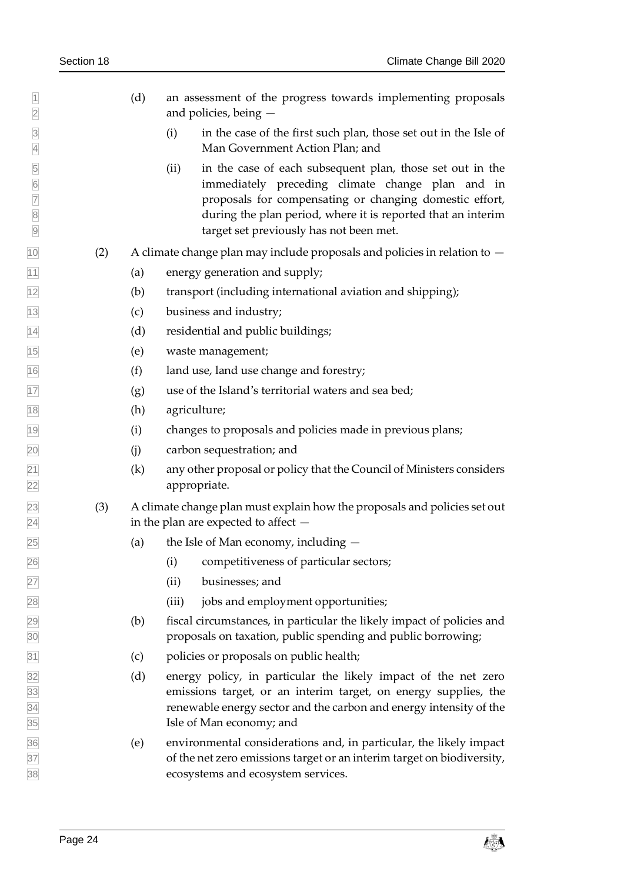- (d) an assessment of the progress towards implementing proposals and policies, being —
- (i) in the case of the first such plan, those set out in the Isle of Man Government Action Plan; and
- 5 (ii) in the case of each subsequent plan, those set out in the immediately preceding climate change plan and in proposals for compensating or changing domestic effort, immediately preceding climate change plan and in **7** proposals for compensating or changing domestic effort,<br>a during the plan period, where it is reported that an interim during the plan period, where it is reported that an interim target set previously has not been met.
- $\frac{1}{10}$  (2) A climate change plan may include proposals and policies in relation to  $-$
- (a) energy generation and supply;
- (b) transport (including international aviation and shipping);
- (c) business and industry;
- (d) residential and public buildings;
- (e) waste management;
- (f) land use, land use change and forestry;
- $\boxed{17}$  (g) use of the Island's territorial waters and sea bed;
- (h) agriculture;
- (i) changes to proposals and policies made in previous plans;
- (j) carbon sequestration; and
- $\boxed{21}$  (k) any other proposal or policy that the Council of Ministers considers appropriate.
- (3) A climate change plan must explain how the proposals and policies set out in the plan are expected to affect —
- (a) the Isle of Man economy, including —
- (i) competitiveness of particular sectors;
- (ii) businesses; and
- (iii) jobs and employment opportunities;
- (b) fiscal circumstances, in particular the likely impact of policies and proposals on taxation, public spending and public borrowing;
- (c) policies or proposals on public health;
- (d) energy policy, in particular the likely impact of the net zero emissions target, or an interim target, on energy supplies, the renewable energy sector and the carbon and energy intensity of the Isle of Man economy; and
- (e) environmental considerations and, in particular, the likely impact of the net zero emissions target or an interim target on biodiversity, ecosystems and ecosystem services.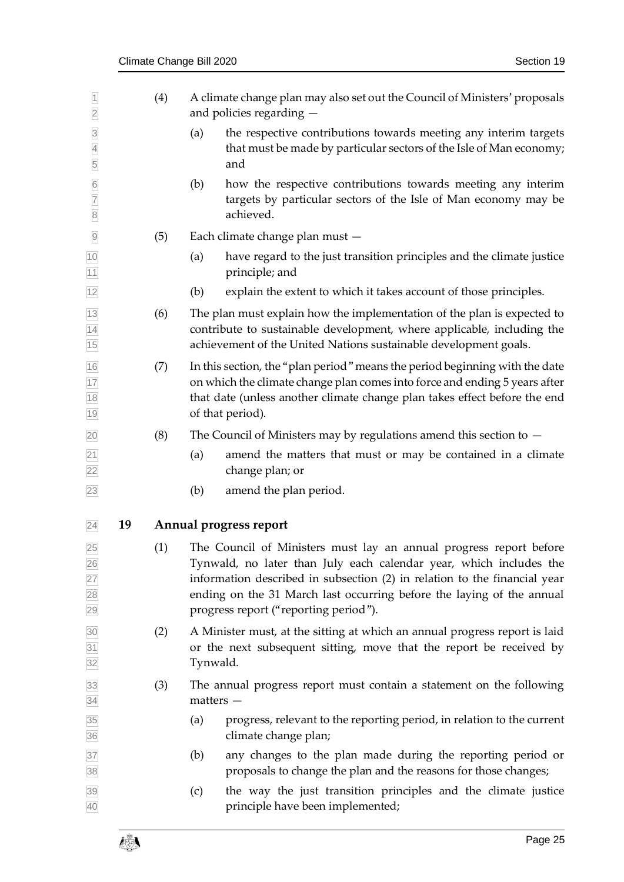<span id="page-24-1"></span><span id="page-24-0"></span>

| $\overline{1}$<br>$\overline{2}$      |    | (4) |             | A climate change plan may also set out the Council of Ministers' proposals<br>and policies regarding -                                                                                                                                                                                                                                  |
|---------------------------------------|----|-----|-------------|-----------------------------------------------------------------------------------------------------------------------------------------------------------------------------------------------------------------------------------------------------------------------------------------------------------------------------------------|
| $\overline{3}$<br>$\overline{4}$<br>5 |    |     | (a)         | the respective contributions towards meeting any interim targets<br>that must be made by particular sectors of the Isle of Man economy;<br>and                                                                                                                                                                                          |
| $\frac{6}{7}$<br>$\overline{8}$       |    |     | (b)         | how the respective contributions towards meeting any interim<br>targets by particular sectors of the Isle of Man economy may be<br>achieved.                                                                                                                                                                                            |
| $\overline{9}$                        |    | (5) |             | Each climate change plan must -                                                                                                                                                                                                                                                                                                         |
| 10<br>11                              |    |     | (a)         | have regard to the just transition principles and the climate justice<br>principle; and                                                                                                                                                                                                                                                 |
| 12                                    |    |     | (b)         | explain the extent to which it takes account of those principles.                                                                                                                                                                                                                                                                       |
| 13<br>$\overline{14}$<br>15           |    | (6) |             | The plan must explain how the implementation of the plan is expected to<br>contribute to sustainable development, where applicable, including the<br>achievement of the United Nations sustainable development goals.                                                                                                                   |
| 16<br>17<br>18<br>19                  |    | (7) |             | In this section, the "plan period" means the period beginning with the date<br>on which the climate change plan comes into force and ending 5 years after<br>that date (unless another climate change plan takes effect before the end<br>of that period).                                                                              |
| 20                                    |    | (8) |             | The Council of Ministers may by regulations amend this section to $-$                                                                                                                                                                                                                                                                   |
| $\overline{21}$<br>22                 |    |     | (a)         | amend the matters that must or may be contained in a climate<br>change plan; or                                                                                                                                                                                                                                                         |
| 23                                    |    |     | (b)         | amend the plan period.                                                                                                                                                                                                                                                                                                                  |
| 24                                    | 19 |     |             | Annual progress report                                                                                                                                                                                                                                                                                                                  |
| 25<br>26<br>27<br>28<br>29            |    | (1) |             | The Council of Ministers must lay an annual progress report before<br>Tynwald, no later than July each calendar year, which includes the<br>information described in subsection (2) in relation to the financial year<br>ending on the 31 March last occurring before the laying of the annual<br>progress report ("reporting period"). |
| 30<br>31<br>32                        |    | (2) | Tynwald.    | A Minister must, at the sitting at which an annual progress report is laid<br>or the next subsequent sitting, move that the report be received by                                                                                                                                                                                       |
| 33<br>34                              |    | (3) | $matters -$ | The annual progress report must contain a statement on the following                                                                                                                                                                                                                                                                    |
| 35<br>36                              |    |     | (a)         | progress, relevant to the reporting period, in relation to the current<br>climate change plan;                                                                                                                                                                                                                                          |
| 37<br>38                              |    |     | (b)         | any changes to the plan made during the reporting period or<br>proposals to change the plan and the reasons for those changes;                                                                                                                                                                                                          |
| 39<br>40                              |    |     | (c)         | the way the just transition principles and the climate justice<br>principle have been implemented;                                                                                                                                                                                                                                      |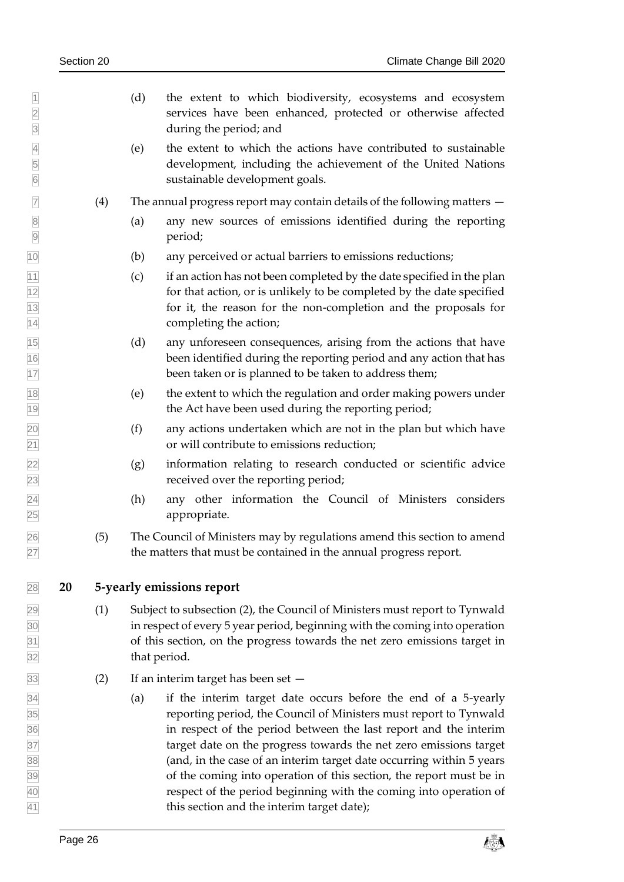(d) the extent to which biodiversity, ecosystems and ecosystem services have been enhanced, protected or otherwise affected during the period; and (e) the extent to which the actions have contributed to sustainable development, including the achievement of the United Nations sustainable development goals.  $\overline{7}$  (4) The annual progress report may contain details of the following matters  $-$  (a) any new sources of emissions identified during the reporting period; (b) any perceived or actual barriers to emissions reductions;  $\frac{1}{11}$  (c) if an action has not been completed by the date specified in the plan for that action, or is unlikely to be completed by the date specified for it, the reason for the non-completion and the proposals for completing the action; (d) any unforeseen consequences, arising from the actions that have been identified during the reporting period and any action that has **been taken or is planned to be taken to address them;**  (e) the extent to which the regulation and order making powers under the Act have been used during the reporting period;  $\overline{20}$  (f) any actions undertaken which are not in the plan but which have or will contribute to emissions reduction; (g) information relating to research conducted or scientific advice received over the reporting period; (h) any other information the Council of Ministers considers appropriate. (5) The Council of Ministers may by regulations amend this section to amend the matters that must be contained in the annual progress report. **20 5-yearly emissions report** (1) Subject to subsection (2), the Council of Ministers must report to Tynwald in respect of every 5 year period, beginning with the coming into operation of this section, on the progress towards the net zero emissions target in that period. (2) If an interim target has been set — (a) if the interim target date occurs before the end of a 5-yearly reporting period, the Council of Ministers must report to Tynwald in respect of the period between the last report and the interim target date on the progress towards the net zero emissions target (and, in the case of an interim target date occurring within 5 years of the coming into operation of this section, the report must be in

<span id="page-25-0"></span>Page 26 contract the contract of  $\mathbb{Z}^3$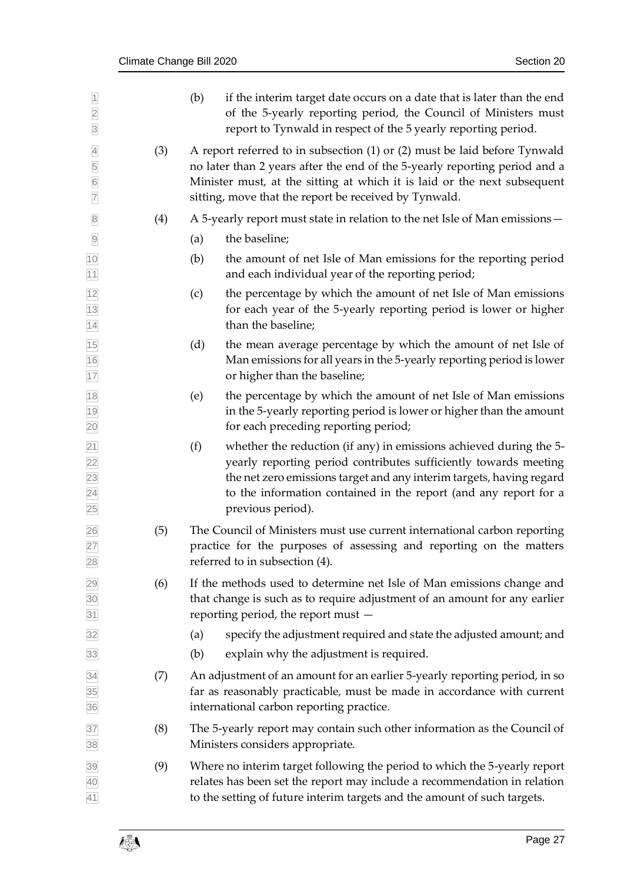| $\overline{1}$<br>$\overline{2}$<br>$\overline{3}$       |     | (b)<br>if the interim target date occurs on a date that is later than the end<br>of the 5-yearly reporting period, the Council of Ministers must<br>report to Tynwald in respect of the 5 yearly reporting period.                                                                                             |
|----------------------------------------------------------|-----|----------------------------------------------------------------------------------------------------------------------------------------------------------------------------------------------------------------------------------------------------------------------------------------------------------------|
| $\overline{4}$<br>5<br>$6\overline{6}$<br>$\overline{7}$ | (3) | A report referred to in subsection $(1)$ or $(2)$ must be laid before Tynwald<br>no later than 2 years after the end of the 5-yearly reporting period and a<br>Minister must, at the sitting at which it is laid or the next subsequent<br>sitting, move that the report be received by Tynwald.               |
| $\overline{\mathbf{8}}$                                  | (4) | A 5-yearly report must state in relation to the net Isle of Man emissions –                                                                                                                                                                                                                                    |
| $\overline{9}$                                           |     | the baseline;<br>(a)                                                                                                                                                                                                                                                                                           |
| 10<br>11                                                 |     | (b)<br>the amount of net Isle of Man emissions for the reporting period<br>and each individual year of the reporting period;                                                                                                                                                                                   |
| $\frac{12}{1}$<br>$\frac{13}{14}$                        |     | the percentage by which the amount of net Isle of Man emissions<br>(c)<br>for each year of the 5-yearly reporting period is lower or higher<br>than the baseline;                                                                                                                                              |
| $\frac{15}{16}$<br>17                                    |     | (d)<br>the mean average percentage by which the amount of net Isle of<br>Man emissions for all years in the 5-yearly reporting period is lower<br>or higher than the baseline;                                                                                                                                 |
|                                                          |     | the percentage by which the amount of net Isle of Man emissions<br>(e)<br>in the 5-yearly reporting period is lower or higher than the amount<br>for each preceding reporting period;                                                                                                                          |
| 18 19 20 21 22 23 24 25                                  |     | whether the reduction (if any) in emissions achieved during the 5-<br>(f)<br>yearly reporting period contributes sufficiently towards meeting<br>the net zero emissions target and any interim targets, having regard<br>to the information contained in the report (and any report for a<br>previous period). |
| $\frac{26}{27}$<br>28                                    | (5) | The Council of Ministers must use current international carbon reporting<br>practice for the purposes of assessing and reporting on the matters<br>referred to in subsection (4).                                                                                                                              |
| 29<br>30<br>31                                           | (6) | If the methods used to determine net Isle of Man emissions change and<br>that change is such as to require adjustment of an amount for any earlier<br>reporting period, the report must -                                                                                                                      |
| 32                                                       |     | specify the adjustment required and state the adjusted amount; and<br>(a)                                                                                                                                                                                                                                      |
| 33                                                       |     | explain why the adjustment is required.<br>(b)                                                                                                                                                                                                                                                                 |
| 34<br>35<br>36                                           | (7) | An adjustment of an amount for an earlier 5-yearly reporting period, in so<br>far as reasonably practicable, must be made in accordance with current<br>international carbon reporting practice.                                                                                                               |
| 37<br>38                                                 | (8) | The 5-yearly report may contain such other information as the Council of<br>Ministers considers appropriate.                                                                                                                                                                                                   |
| 39<br>40<br>41                                           | (9) | Where no interim target following the period to which the 5-yearly report<br>relates has been set the report may include a recommendation in relation<br>to the setting of future interim targets and the amount of such targets.                                                                              |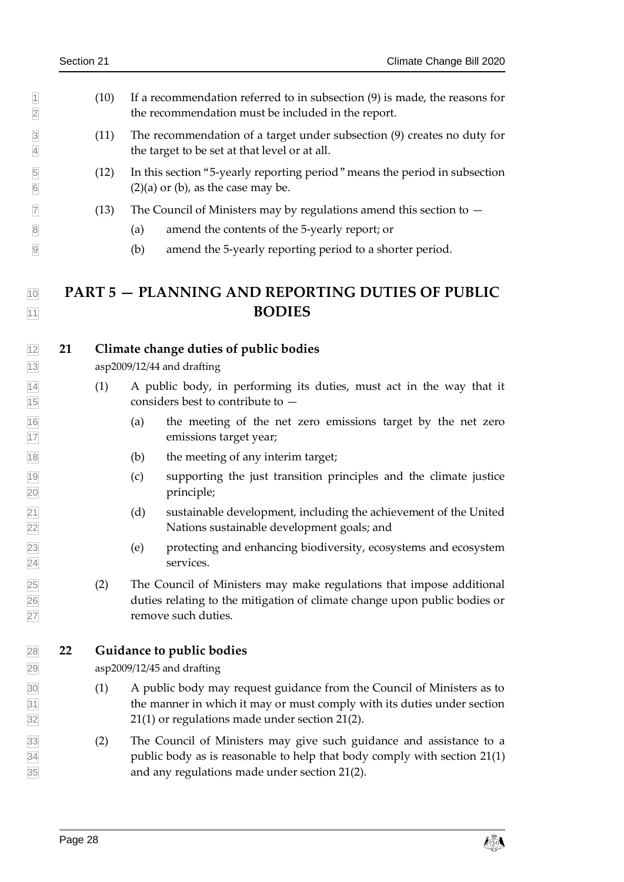- $1 \quad 10$  If a recommendation referred to in subsection (9) is made, the reasons for the recommendation must be included in the report.
- (11) The recommendation of a target under subsection (9) creates no duty for the target to be set at that level or at all.
- (12) In this section "5-yearly reporting period" means the period in subsection  $\boxed{6}$  (2)(a) or (b), as the case may be.
- $\boxed{7}$  (13) The Council of Ministers may by regulations amend this section to  $-$
- (a) amend the contents of the 5-yearly report; or
- <span id="page-27-2"></span>(b) amend the 5-yearly reporting period to a shorter period.

## **PART 5 — PLANNING AND REPORTING DUTIES OF PUBLIC BODIES**

<span id="page-27-0"></span>**21 Climate change duties of public bodies**

asp2009/12/44 and drafting

- <span id="page-27-3"></span> (1) A public body, in performing its duties, must act in the way that it considers best to contribute to —
- (a) the meeting of the net zero emissions target by the net zero emissions target year;
- (b) the meeting of any interim target;
- (c) supporting the just transition principles and the climate justice principle;
- (d) sustainable development, including the achievement of the United Nations sustainable development goals; and
- (e) protecting and enhancing biodiversity, ecosystems and ecosystem services.
- <span id="page-27-4"></span> (2) The Council of Ministers may make regulations that impose additional duties relating to the mitigation of climate change upon public bodies or remove such duties.

### <span id="page-27-1"></span>**22 Guidance to public bodies**

asp2009/12/45 and drafting

- (1) A public body may request guidance from the Council of Ministers as to the manner in which it may or must comply with its duties under section [21\(1\)](#page-27-3) or regulations made under section [21\(2\).](#page-27-4)
- (2) The Council of Ministers may give such guidance and assistance to a public body as is reasonable to help that body comply with section [21\(1\)](#page-27-3) and any regulations made under section [21\(2\).](#page-27-4)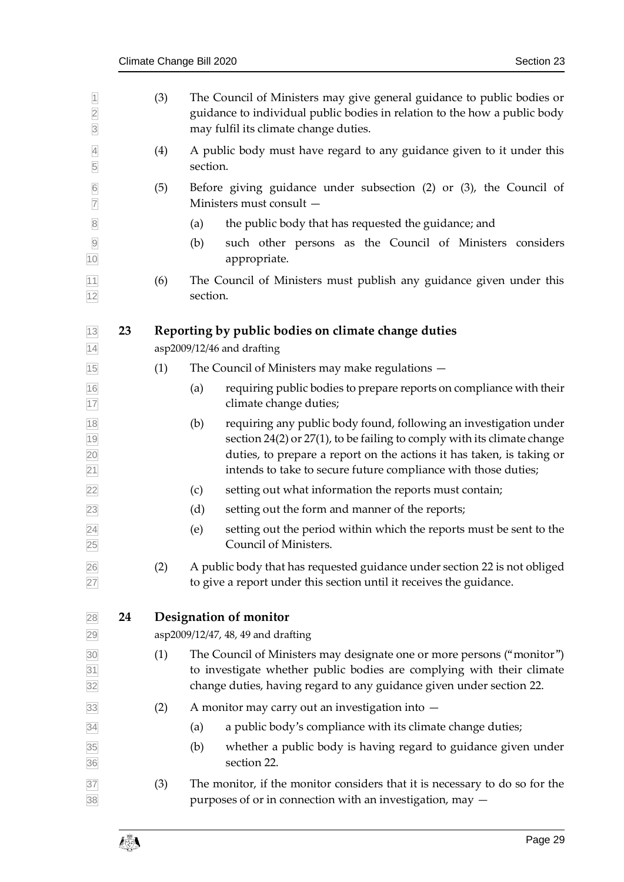<span id="page-28-3"></span><span id="page-28-2"></span><span id="page-28-1"></span><span id="page-28-0"></span>

| $\overline{1}$<br>$\overline{2}$<br>$\overline{3}$ |    | (3) | The Council of Ministers may give general guidance to public bodies or<br>guidance to individual public bodies in relation to the how a public body<br>may fulfil its climate change duties.                                                                                                        |
|----------------------------------------------------|----|-----|-----------------------------------------------------------------------------------------------------------------------------------------------------------------------------------------------------------------------------------------------------------------------------------------------------|
| $\overline{4}$<br>5                                |    | (4) | A public body must have regard to any guidance given to it under this<br>section.                                                                                                                                                                                                                   |
| $\frac{6}{7}$                                      |    | (5) | Before giving guidance under subsection $(2)$ or $(3)$ , the Council of<br>Ministers must consult -                                                                                                                                                                                                 |
| $\overline{8}$                                     |    |     | the public body that has requested the guidance; and<br>(a)                                                                                                                                                                                                                                         |
| $\overline{9}$<br>10                               |    |     | such other persons as the Council of Ministers considers<br>(b)<br>appropriate.                                                                                                                                                                                                                     |
| 11<br>12                                           |    | (6) | The Council of Ministers must publish any guidance given under this<br>section.                                                                                                                                                                                                                     |
| 13<br>14                                           | 23 |     | Reporting by public bodies on climate change duties<br>asp2009/12/46 and drafting                                                                                                                                                                                                                   |
| 15                                                 |    | (1) | The Council of Ministers may make regulations -                                                                                                                                                                                                                                                     |
| 16<br>17                                           |    |     | requiring public bodies to prepare reports on compliance with their<br>(a)<br>climate change duties;                                                                                                                                                                                                |
| 18<br>$\frac{19}{20}$<br>$\overline{21}$           |    |     | requiring any public body found, following an investigation under<br>(b)<br>section $24(2)$ or $27(1)$ , to be failing to comply with its climate change<br>duties, to prepare a report on the actions it has taken, is taking or<br>intends to take to secure future compliance with those duties; |
| 22                                                 |    |     | setting out what information the reports must contain;<br>(c)                                                                                                                                                                                                                                       |
| 23                                                 |    |     | setting out the form and manner of the reports;<br>(d)                                                                                                                                                                                                                                              |
| $\overline{24}$<br>25                              |    |     | (e)<br>setting out the period within which the reports must be sent to the<br>Council of Ministers.                                                                                                                                                                                                 |
| 26<br>27                                           |    | (2) | A public body that has requested guidance under section 22 is not obliged<br>to give a report under this section until it receives the guidance.                                                                                                                                                    |
| 28                                                 | 24 |     | Designation of monitor<br>asp2009/12/47, 48, 49 and drafting                                                                                                                                                                                                                                        |
| 29                                                 |    |     | The Council of Ministers may designate one or more persons ("monitor")                                                                                                                                                                                                                              |
| 30<br>31<br>32                                     |    | (1) | to investigate whether public bodies are complying with their climate<br>change duties, having regard to any guidance given under section 22.                                                                                                                                                       |
| 33                                                 |    | (2) | A monitor may carry out an investigation into -                                                                                                                                                                                                                                                     |
| 34                                                 |    |     | a public body's compliance with its climate change duties;<br>(a)                                                                                                                                                                                                                                   |
| 35<br>36                                           |    |     | whether a public body is having regard to guidance given under<br>(b)<br>section 22.                                                                                                                                                                                                                |
| 37<br>38                                           |    | (3) | The monitor, if the monitor considers that it is necessary to do so for the<br>purposes of or in connection with an investigation, may $-$                                                                                                                                                          |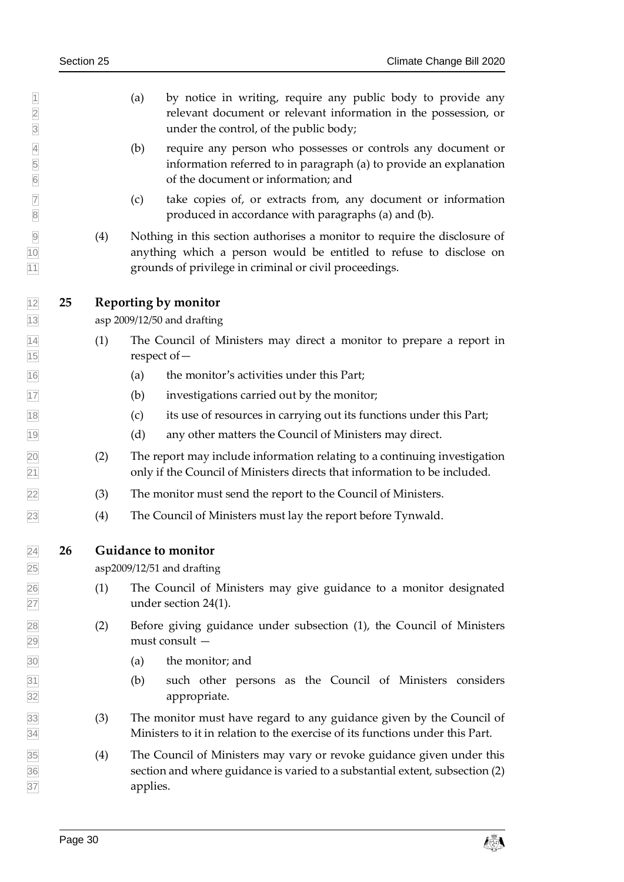- (a) by notice in writing, require any public body to provide any relevant document or relevant information in the possession, or under the control, of the public body;
- (b) require any person who possesses or controls any document or information referred to in paragraph (a) to provide an explanation of the document or information; and
- (c) take copies of, or extracts from, any document or information produced in accordance with paragraphs (a) and (b).
- (4) Nothing in this section authorises a monitor to require the disclosure of anything which a person would be entitled to refuse to disclose on grounds of privilege in criminal or civil proceedings.

### <span id="page-29-0"></span>**25 Reporting by monitor**

asp 2009/12/50 and drafting

- (1) The Council of Ministers may direct a monitor to prepare a report in respect of—
- (a) the monitor's activities under this Part;
- (b) investigations carried out by the monitor;
- (c) its use of resources in carrying out its functions under this Part;
- (d) any other matters the Council of Ministers may direct.
- (2) The report may include information relating to a continuing investigation only if the Council of Ministers directs that information to be included.
- (3) The monitor must send the report to the Council of Ministers.
- <span id="page-29-1"></span>(4) The Council of Ministers must lay the report before Tynwald.

**26 Guidance to monitor**

asp2009/12/51 and drafting

- (1) The Council of Ministers may give guidance to a monitor designated under section [24\(1\).](#page-28-3)
- (2) Before giving guidance under subsection (1), the Council of Ministers must consult —
- (a) the monitor; and
- (b) such other persons as the Council of Ministers considers appropriate.
- (3) The monitor must have regard to any guidance given by the Council of Ministers to it in relation to the exercise of its functions under this Part.
- (4) The Council of Ministers may vary or revoke guidance given under this section and where guidance is varied to a substantial extent, subsection (2) applies.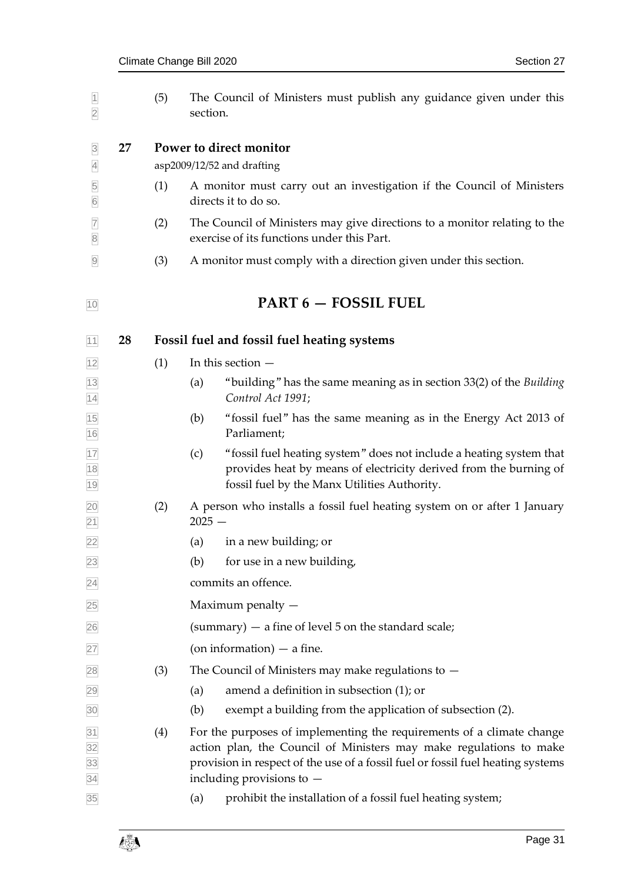<span id="page-30-6"></span><span id="page-30-5"></span><span id="page-30-4"></span><span id="page-30-3"></span><span id="page-30-2"></span><span id="page-30-1"></span><span id="page-30-0"></span>

| $\overline{1}$<br>$\overline{2}$                      |    | (5) | The Council of Ministers must publish any guidance given under this<br>section.                                                                                                                                                                               |  |  |  |  |
|-------------------------------------------------------|----|-----|---------------------------------------------------------------------------------------------------------------------------------------------------------------------------------------------------------------------------------------------------------------|--|--|--|--|
| $\overline{3}$<br>$\overline{4}$                      | 27 |     | Power to direct monitor<br>asp2009/12/52 and drafting                                                                                                                                                                                                         |  |  |  |  |
| $\overline{5}$<br>$6\overline{6}$                     |    | (1) | A monitor must carry out an investigation if the Council of Ministers<br>directs it to do so.                                                                                                                                                                 |  |  |  |  |
| $\overline{7}$<br>$\overline{8}$                      |    | (2) | The Council of Ministers may give directions to a monitor relating to the<br>exercise of its functions under this Part.                                                                                                                                       |  |  |  |  |
| $\overline{9}$                                        |    | (3) | A monitor must comply with a direction given under this section.                                                                                                                                                                                              |  |  |  |  |
| 10                                                    |    |     | <b>PART 6 - FOSSIL FUEL</b>                                                                                                                                                                                                                                   |  |  |  |  |
| 11                                                    | 28 |     | Fossil fuel and fossil fuel heating systems                                                                                                                                                                                                                   |  |  |  |  |
| 12                                                    |    | (1) | In this section $-$                                                                                                                                                                                                                                           |  |  |  |  |
| $\frac{13}{14}$                                       |    |     | "building" has the same meaning as in section 33(2) of the Building<br>(a)<br>Control Act 1991;                                                                                                                                                               |  |  |  |  |
| 15<br>16                                              |    |     | "fossil fuel" has the same meaning as in the Energy Act 2013 of<br>(b)<br>Parliament;                                                                                                                                                                         |  |  |  |  |
| 17<br>18<br>19                                        |    |     | "fossil fuel heating system" does not include a heating system that<br>(c)<br>provides heat by means of electricity derived from the burning of<br>fossil fuel by the Manx Utilities Authority.                                                               |  |  |  |  |
| $\frac{20}{21}$<br>$\frac{22}{22}$                    |    | (2) | A person who installs a fossil fuel heating system on or after 1 January<br>$2025 -$                                                                                                                                                                          |  |  |  |  |
|                                                       |    |     | in a new building; or<br>(a)                                                                                                                                                                                                                                  |  |  |  |  |
| 23                                                    |    |     | for use in a new building,<br>(b)                                                                                                                                                                                                                             |  |  |  |  |
| $\overline{24}$                                       |    |     | commits an offence.                                                                                                                                                                                                                                           |  |  |  |  |
| 25                                                    |    |     | Maximum penalty $-$                                                                                                                                                                                                                                           |  |  |  |  |
| 26                                                    |    |     | (summary) $-$ a fine of level 5 on the standard scale;                                                                                                                                                                                                        |  |  |  |  |
| 27                                                    |    |     | (on information) $-$ a fine.                                                                                                                                                                                                                                  |  |  |  |  |
| 28                                                    |    | (3) | The Council of Ministers may make regulations to $-$                                                                                                                                                                                                          |  |  |  |  |
| 29                                                    |    |     | amend a definition in subsection (1); or<br>(a)                                                                                                                                                                                                               |  |  |  |  |
| 30                                                    |    |     | exempt a building from the application of subsection (2).<br>(b)                                                                                                                                                                                              |  |  |  |  |
| $\frac{31}{32}$<br>$\frac{32}{33}$<br>$\frac{33}{34}$ |    | (4) | For the purposes of implementing the requirements of a climate change<br>action plan, the Council of Ministers may make regulations to make<br>provision in respect of the use of a fossil fuel or fossil fuel heating systems<br>including provisions to $-$ |  |  |  |  |
| 35                                                    |    |     | prohibit the installation of a fossil fuel heating system;<br>(a)                                                                                                                                                                                             |  |  |  |  |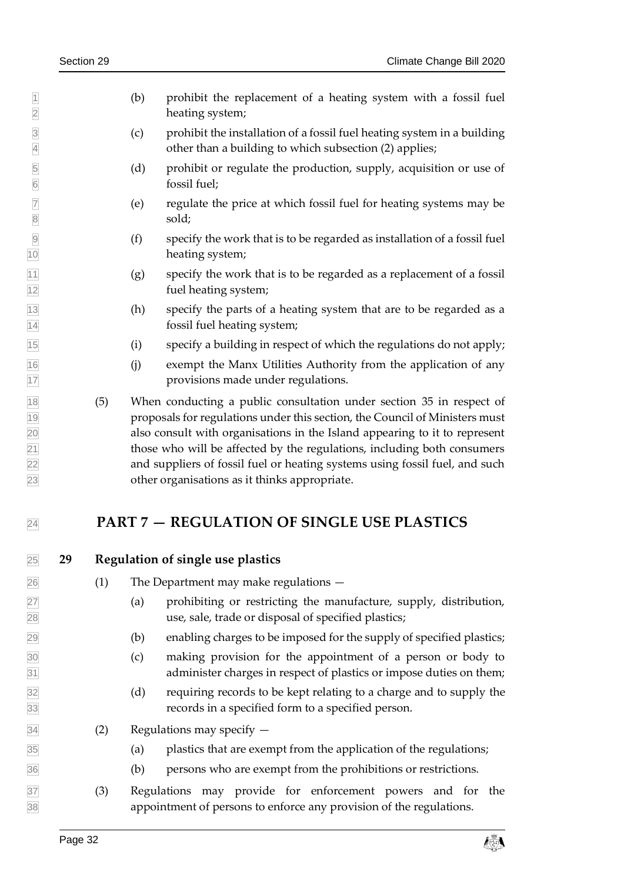- (b) prohibit the replacement of a heating system with a fossil fuel heating system;
- (c) prohibit the installation of a fossil fuel heating system in a building other than a building to which subsection (2) applies;
- (d) prohibit or regulate the production, supply, acquisition or use of fossil fuel;
- 7 (e) regulate the price at which fossil fuel for heating systems may be sold; sold;
- (f) specify the work that is to be regarded as installation of a fossil fuel heating system;
- $|11|$  (g) specify the work that is to be regarded as a replacement of a fossil fuel heating system;
- (h) specify the parts of a heating system that are to be regarded as a fossil fuel heating system;
- (i) specify a building in respect of which the regulations do not apply;
- (j) exempt the Manx Utilities Authority from the application of any provisions made under regulations.
- (5) When conducting a public consultation under section [35](#page-37-1) in respect of proposals for regulations under this section, the Council of Ministers must also consult with organisations in the Island appearing to it to represent  $\sqrt{21}$  those who will be affected by the regulations, including both consumers and suppliers of fossil fuel or heating systems using fossil fuel, and such other organisations as it thinks appropriate.

## <span id="page-31-1"></span><span id="page-31-0"></span>**PART 7 — REGULATION OF SINGLE USE PLASTICS**

### **29 Regulation of single use plastics**

- (1) The Department may make regulations —
- (a) prohibiting or restricting the manufacture, supply, distribution, use, sale, trade or disposal of specified plastics;
- (b) enabling charges to be imposed for the supply of specified plastics;
- (c) making provision for the appointment of a person or body to administer charges in respect of plastics or impose duties on them;
- (d) requiring records to be kept relating to a charge and to supply the records in a specified form to a specified person.
- $\overline{34}$  (2) Regulations may specify  $-$
- (a) plastics that are exempt from the application of the regulations;
- (b) persons who are exempt from the prohibitions or restrictions.
- (3) Regulations may provide for enforcement powers and for the appointment of persons to enforce any provision of the regulations.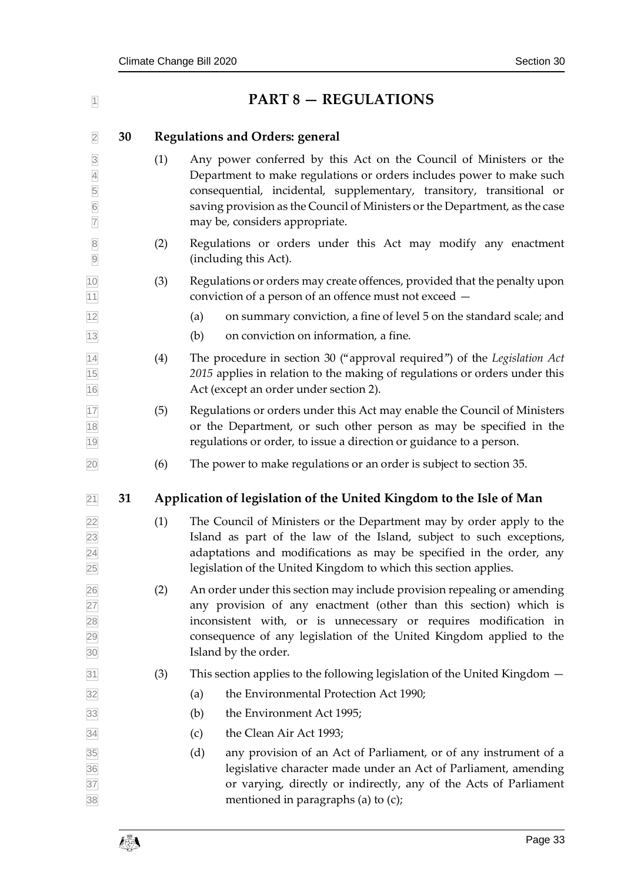<span id="page-32-2"></span><span id="page-32-1"></span><span id="page-32-0"></span>

| $\overline{1}$                                   |    |     | <b>PART 8 - REGULATIONS</b>                                                                                                                                                                                                                                                                                                          |
|--------------------------------------------------|----|-----|--------------------------------------------------------------------------------------------------------------------------------------------------------------------------------------------------------------------------------------------------------------------------------------------------------------------------------------|
| $\overline{2}$                                   | 30 |     | <b>Regulations and Orders: general</b>                                                                                                                                                                                                                                                                                               |
| $\overline{3}$<br>$\frac{4}{5}$<br>$\frac{6}{7}$ |    | (1) | Any power conferred by this Act on the Council of Ministers or the<br>Department to make regulations or orders includes power to make such<br>consequential, incidental, supplementary, transitory, transitional or<br>saving provision as the Council of Ministers or the Department, as the case<br>may be, considers appropriate. |
| $\begin{array}{c c} 8 \\ 9 \end{array}$          |    | (2) | Regulations or orders under this Act may modify any enactment<br>(including this Act).                                                                                                                                                                                                                                               |
| 10<br>11                                         |    | (3) | Regulations or orders may create offences, provided that the penalty upon<br>conviction of a person of an offence must not exceed -                                                                                                                                                                                                  |
| 12                                               |    |     | on summary conviction, a fine of level 5 on the standard scale; and<br>(a)                                                                                                                                                                                                                                                           |
| $13$                                             |    |     | (b)<br>on conviction on information, a fine.                                                                                                                                                                                                                                                                                         |
| $\frac{14}{15}$<br>16                            |    | (4) | The procedure in section 30 ("approval required") of the Legislation Act<br>2015 applies in relation to the making of regulations or orders under this<br>Act (except an order under section 2).                                                                                                                                     |
| 17<br>$\frac{18}{1}$<br>19                       |    | (5) | Regulations or orders under this Act may enable the Council of Ministers<br>or the Department, or such other person as may be specified in the<br>regulations or order, to issue a direction or guidance to a person.                                                                                                                |
| 20                                               |    | (6) | The power to make regulations or an order is subject to section 35.                                                                                                                                                                                                                                                                  |
| 21                                               | 31 |     | Application of legislation of the United Kingdom to the Isle of Man                                                                                                                                                                                                                                                                  |
| $\frac{22}{23}$ $\frac{23}{24}$<br>25            |    | (1) | The Council of Ministers or the Department may by order apply to the<br>Island as part of the law of the Island, subject to such exceptions,<br>adaptations and modifications as may be specified in the order, any<br>legislation of the United Kingdom to which this section applies.                                              |
| 26<br>27<br>28<br>29<br>30                       |    | (2) | An order under this section may include provision repealing or amending<br>any provision of any enactment (other than this section) which is<br>inconsistent with, or is unnecessary or requires modification in<br>consequence of any legislation of the United Kingdom applied to the<br>Island by the order.                      |
| 31                                               |    | (3) | This section applies to the following legislation of the United Kingdom $-$                                                                                                                                                                                                                                                          |
| 32                                               |    |     | the Environmental Protection Act 1990;<br>(a)                                                                                                                                                                                                                                                                                        |
| 33                                               |    |     | (b)<br>the Environment Act 1995;                                                                                                                                                                                                                                                                                                     |
| 34                                               |    |     | the Clean Air Act 1993;<br>(c)                                                                                                                                                                                                                                                                                                       |
| 35<br>36<br>37<br>38                             |    |     | (d)<br>any provision of an Act of Parliament, or of any instrument of a<br>legislative character made under an Act of Parliament, amending<br>or varying, directly or indirectly, any of the Acts of Parliament<br>mentioned in paragraphs (a) to (c);                                                                               |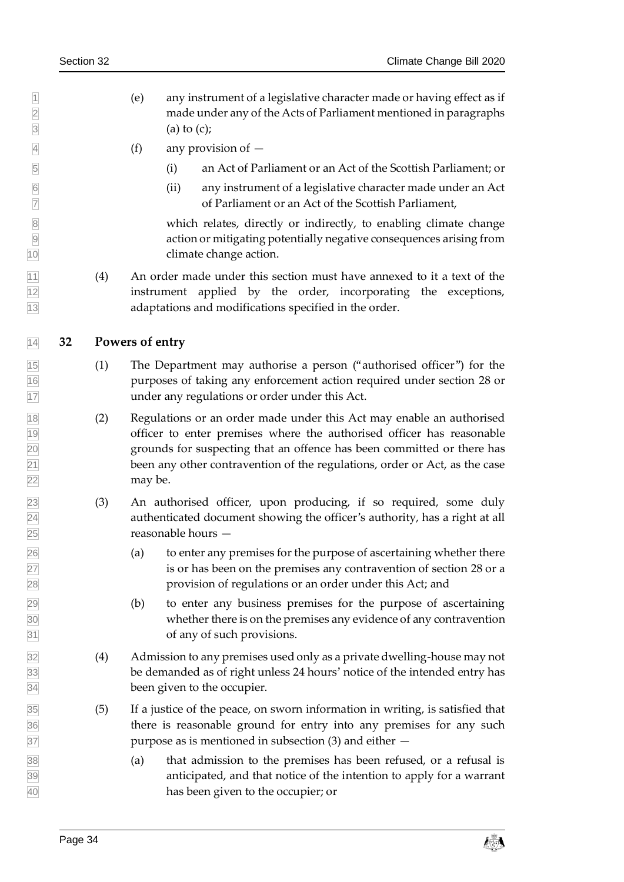- (e) any instrument of a legislative character made or having effect as if made under any of the Acts of Parliament mentioned in paragraphs  $\boxed{3}$  (a) to (c);
- (f) any provision of —
- (i) an Act of Parliament or an Act of the Scottish Parliament; or
- (ii) any instrument of a legislative character made under an Act of Parliament or an Act of the Scottish Parliament,

8 which relates, directly or indirectly, to enabling climate change<br>action or mitigating potentially negative consequences arising from action or mitigating potentially negative consequences arising from climate change action.

 $\overline{11}$  (4) An order made under this section must have annexed to it a text of the instrument applied by the order, incorporating the exceptions, adaptations and modifications specified in the order.

### <span id="page-33-0"></span>**32 Powers of entry**

- (1) The Department may authorise a person ("authorised officer") for the purposes of taking any enforcement action required under section [28](#page-30-1) or under any regulations or order under this Act.
- (2) Regulations or an order made under this Act may enable an authorised officer to enter premises where the authorised officer has reasonable grounds for suspecting that an offence has been committed or there has been any other contravention of the regulations, order or Act, as the case may be.
- (3) An authorised officer, upon producing, if so required, some duly authenticated document showing the officer's authority, has a right at all reasonable hours —
- (a) to enter any premises for the purpose of ascertaining whether there is or has been on the premises any contravention of section [28](#page-30-1) or a provision of regulations or an order under this Act; and
- (b) to enter any business premises for the purpose of ascertaining whether there is on the premises any evidence of any contravention of any of such provisions.
- (4) Admission to any premises used only as a private dwelling-house may not be demanded as of right unless 24 hours' notice of the intended entry has been given to the occupier.
- (5) If a justice of the peace, on sworn information in writing, is satisfied that there is reasonable ground for entry into any premises for any such purpose as is mentioned in subsection (3) and either —
- (a) that admission to the premises has been refused, or a refusal is anticipated, and that notice of the intention to apply for a warrant has been given to the occupier; or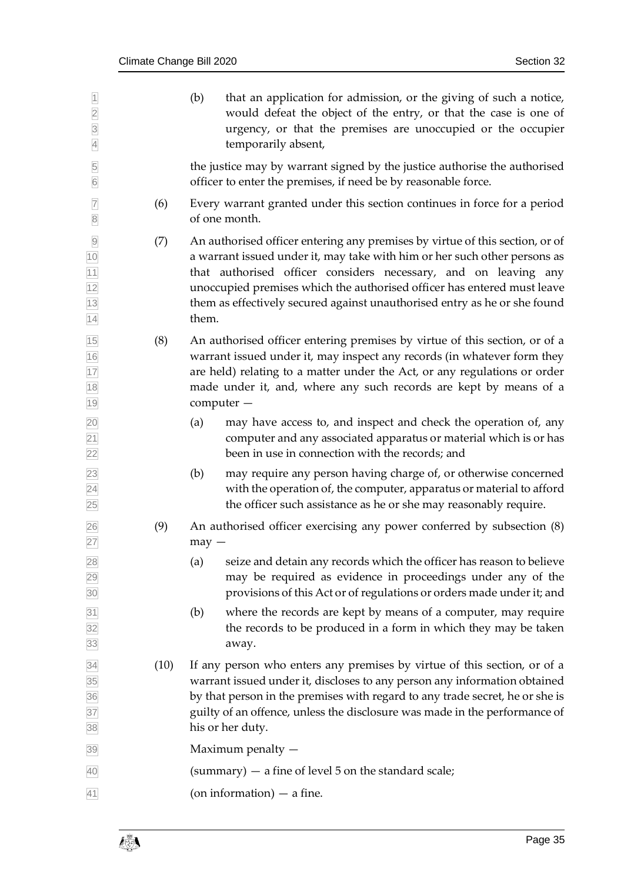| $\overline{1}$<br>$\overline{2}$<br>$\overline{3}$<br>$\overline{4}$ |      | (b)<br>that an application for admission, or the giving of such a notice,<br>would defeat the object of the entry, or that the case is one of<br>urgency, or that the premises are unoccupied or the occupier<br>temporarily absent,                                                                                                                                                          |
|----------------------------------------------------------------------|------|-----------------------------------------------------------------------------------------------------------------------------------------------------------------------------------------------------------------------------------------------------------------------------------------------------------------------------------------------------------------------------------------------|
| 5<br>$\overline{6}$                                                  |      | the justice may by warrant signed by the justice authorise the authorised<br>officer to enter the premises, if need be by reasonable force.                                                                                                                                                                                                                                                   |
| $\overline{7}$<br>$\overline{8}$                                     | (6)  | Every warrant granted under this section continues in force for a period<br>of one month.                                                                                                                                                                                                                                                                                                     |
| $\overline{9}$<br>10<br>11<br>$\frac{12}{13}$<br>14                  | (7)  | An authorised officer entering any premises by virtue of this section, or of<br>a warrant issued under it, may take with him or her such other persons as<br>that authorised officer considers necessary, and on leaving any<br>unoccupied premises which the authorised officer has entered must leave<br>them as effectively secured against unauthorised entry as he or she found<br>them. |
| 15<br>$\frac{16}{17}$<br>18<br>19                                    | (8)  | An authorised officer entering premises by virtue of this section, or of a<br>warrant issued under it, may inspect any records (in whatever form they<br>are held) relating to a matter under the Act, or any regulations or order<br>made under it, and, where any such records are kept by means of a<br>computer -                                                                         |
| $\overline{20}$<br>$\frac{21}{22}$                                   |      | may have access to, and inspect and check the operation of, any<br>(a)<br>computer and any associated apparatus or material which is or has<br>been in use in connection with the records; and                                                                                                                                                                                                |
| 23<br>$\overline{24}$<br>25                                          |      | may require any person having charge of, or otherwise concerned<br>(b)<br>with the operation of, the computer, apparatus or material to afford<br>the officer such assistance as he or she may reasonably require.                                                                                                                                                                            |
| 26<br>27                                                             | (9)  | An authorised officer exercising any power conferred by subsection (8)<br>$may -$                                                                                                                                                                                                                                                                                                             |
| 28 <br>29<br>30 <sup>2</sup>                                         |      | seize and detain any records which the officer has reason to believe<br>(a)<br>may be required as evidence in proceedings under any of the<br>provisions of this Act or of regulations or orders made under it; and                                                                                                                                                                           |
| 31<br>32<br>33                                                       |      | where the records are kept by means of a computer, may require<br>(b)<br>the records to be produced in a form in which they may be taken<br>away.                                                                                                                                                                                                                                             |
| 34<br>35<br>36<br>37<br>38                                           | (10) | If any person who enters any premises by virtue of this section, or of a<br>warrant issued under it, discloses to any person any information obtained<br>by that person in the premises with regard to any trade secret, he or she is<br>guilty of an offence, unless the disclosure was made in the performance of<br>his or her duty.                                                       |
| 39                                                                   |      | Maximum penalty -                                                                                                                                                                                                                                                                                                                                                                             |
| 40                                                                   |      | (summary) $-$ a fine of level 5 on the standard scale;                                                                                                                                                                                                                                                                                                                                        |
| 41                                                                   |      | (on information) $-$ a fine.                                                                                                                                                                                                                                                                                                                                                                  |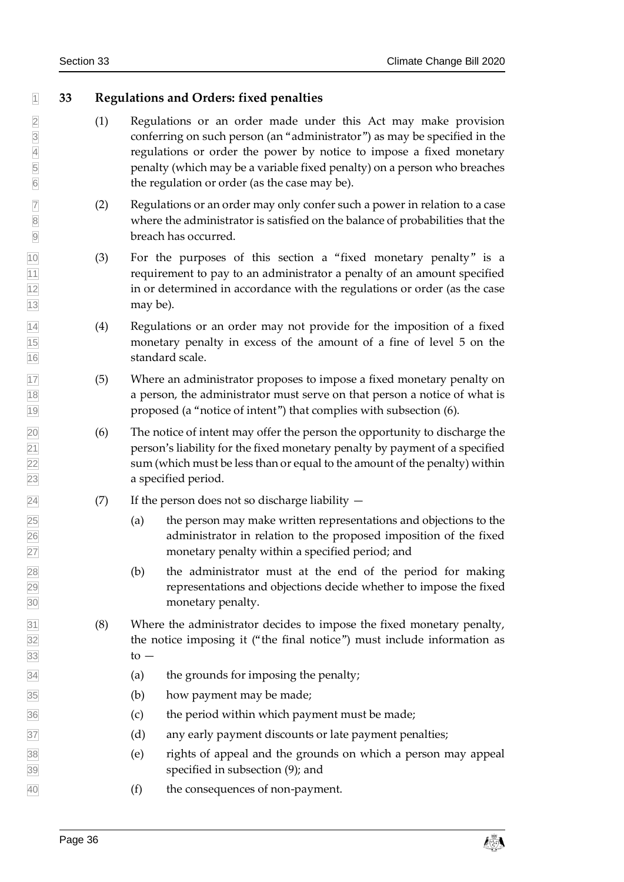### <span id="page-35-0"></span>**33 Regulations and Orders: fixed penalties**

- 2 (1) Regulations or an order made under this Act may make provision conferring on such person (an "administrator") as may be specified in the conferring on such person (an "administrator") as may be specified in the 4 regulations or order the power by notice to impose a fixed monetary<br>penalty (which may be a variable fixed penalty) on a person who breaches penalty (which may be a variable fixed penalty) on a person who breaches the regulation or order (as the case may be).
- $\overline{7}$  (2) Regulations or an order may only confer such a power in relation to a case where the administrator is satisfied on the balance of probabilities that the breach has occurred.
- (3) For the purposes of this section a "fixed monetary penalty" is a requirement to pay to an administrator a penalty of an amount specified in or determined in accordance with the regulations or order (as the case may be).
- (4) Regulations or an order may not provide for the imposition of a fixed monetary penalty in excess of the amount of a fine of level 5 on the 16 standard scale.
- (5) Where an administrator proposes to impose a fixed monetary penalty on a person, the administrator must serve on that person a notice of what is proposed (a "notice of intent") that complies with subsection (6).
- (6) The notice of intent may offer the person the opportunity to discharge the person's liability for the fixed monetary penalty by payment of a specified sum (which must be less than or equal to the amount of the penalty) within a specified period.
- $\boxed{24}$  (7) If the person does not so discharge liability  $-$
- $\sqrt{25}$  (a) the person may make written representations and objections to the administrator in relation to the proposed imposition of the fixed monetary penalty within a specified period; and
- (b) the administrator must at the end of the period for making representations and objections decide whether to impose the fixed monetary penalty.
- (8) Where the administrator decides to impose the fixed monetary penalty, the notice imposing it ("the final notice") must include information as to  $-$
- (a) the grounds for imposing the penalty;
- (b) how payment may be made;
- (c) the period within which payment must be made;
- $\overline{37}$  (d) any early payment discounts or late payment penalties;
- (e) rights of appeal and the grounds on which a person may appeal specified in subsection (9); and
- (f) the consequences of non-payment.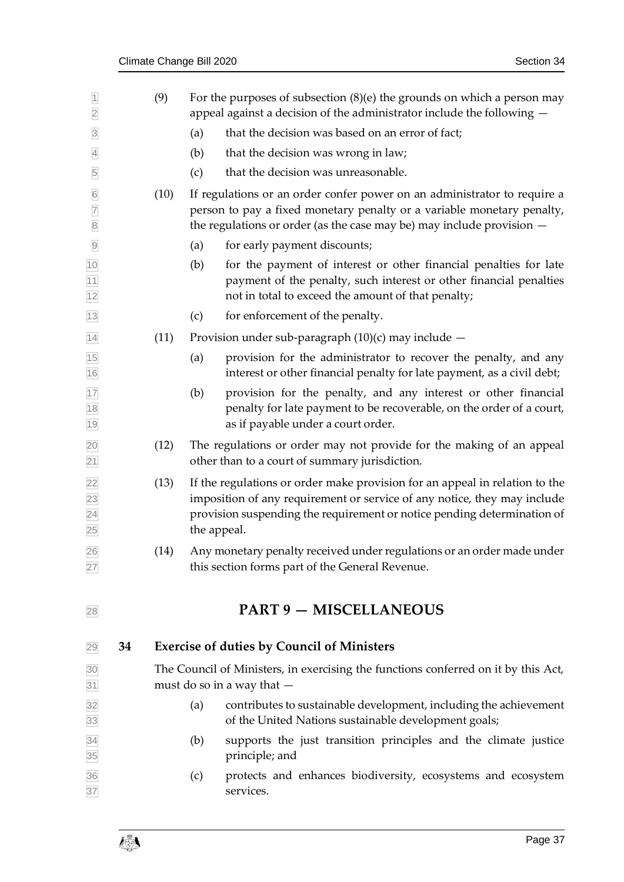<span id="page-36-1"></span><span id="page-36-0"></span>

| $\overline{1}$<br>$\overline{2}$                    |    | (9)  |     | For the purposes of subsection $(8)(e)$ the grounds on which a person may<br>appeal against a decision of the administrator include the following -                                                                                               |
|-----------------------------------------------------|----|------|-----|---------------------------------------------------------------------------------------------------------------------------------------------------------------------------------------------------------------------------------------------------|
| $\overline{3}$                                      |    |      | (a) | that the decision was based on an error of fact;                                                                                                                                                                                                  |
| $\overline{4}$                                      |    |      | (b) | that the decision was wrong in law;                                                                                                                                                                                                               |
| 5                                                   |    |      | (c) | that the decision was unreasonable.                                                                                                                                                                                                               |
| $6\overline{6}$<br>$\overline{7}$<br>$\overline{8}$ |    | (10) |     | If regulations or an order confer power on an administrator to require a<br>person to pay a fixed monetary penalty or a variable monetary penalty,<br>the regulations or order (as the case may be) may include provision $-$                     |
| $\overline{9}$                                      |    |      | (a) | for early payment discounts;                                                                                                                                                                                                                      |
| $\frac{10}{11}$<br>$\frac{11}{12}$                  |    |      | (b) | for the payment of interest or other financial penalties for late<br>payment of the penalty, such interest or other financial penalties<br>not in total to exceed the amount of that penalty;                                                     |
| 13                                                  |    |      | (c) | for enforcement of the penalty.                                                                                                                                                                                                                   |
| 14                                                  |    | (11) |     | Provision under sub-paragraph (10)(c) may include -                                                                                                                                                                                               |
| $\frac{15}{16}$                                     |    |      | (a) | provision for the administrator to recover the penalty, and any<br>interest or other financial penalty for late payment, as a civil debt;                                                                                                         |
| 17<br>18<br>19                                      |    |      | (b) | provision for the penalty, and any interest or other financial<br>penalty for late payment to be recoverable, on the order of a court,<br>as if payable under a court order.                                                                      |
| $\frac{20}{21}$                                     |    | (12) |     | The regulations or order may not provide for the making of an appeal<br>other than to a court of summary jurisdiction.                                                                                                                            |
| 22<br>23<br>24<br>25                                |    | (13) |     | If the regulations or order make provision for an appeal in relation to the<br>imposition of any requirement or service of any notice, they may include<br>provision suspending the requirement or notice pending determination of<br>the appeal. |
| 26<br>27                                            |    | (14) |     | Any monetary penalty received under regulations or an order made under<br>this section forms part of the General Revenue.                                                                                                                         |
| 28                                                  |    |      |     | <b>PART 9 - MISCELLANEOUS</b>                                                                                                                                                                                                                     |
| 29                                                  | 34 |      |     | <b>Exercise of duties by Council of Ministers</b>                                                                                                                                                                                                 |
| $\frac{30}{31}$                                     |    |      |     | The Council of Ministers, in exercising the functions conferred on it by this Act,<br>must do so in a way that -                                                                                                                                  |
| 32<br>33                                            |    |      | (a) | contributes to sustainable development, including the achievement<br>of the United Nations sustainable development goals;                                                                                                                         |
|                                                     |    |      | (b) | supports the just transition principles and the climate justice<br>principle; and                                                                                                                                                                 |
| 34<br>35<br>36<br>37                                |    |      | (c) | protects and enhances biodiversity, ecosystems and ecosystem<br>services.                                                                                                                                                                         |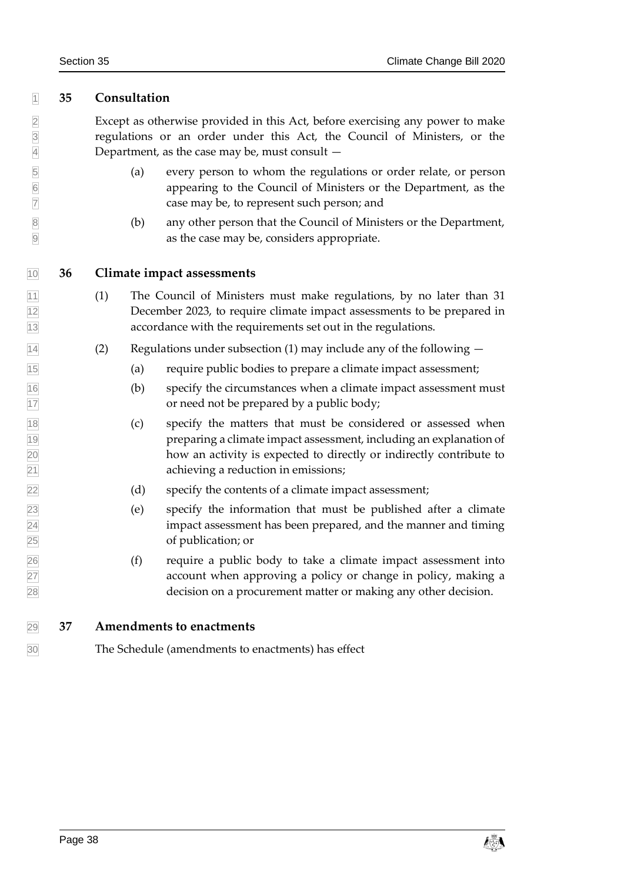### <span id="page-37-1"></span>**35 Consultation**

 Except as otherwise provided in this Act, before exercising any power to make regulations or an order under this Act, the Council of Ministers, or the Department, as the case may be, must consult —

- (a) every person to whom the regulations or order relate, or person 6 appearing to the Council of Ministers or the Department, as the case may be, to represent such person; and case may be, to represent such person; and
- (b) any other person that the Council of Ministers or the Department, as the case may be, considers appropriate.

#### <span id="page-37-2"></span>**36 Climate impact assessments**

- (1) The Council of Ministers must make regulations, by no later than 31 December 2023, to require climate impact assessments to be prepared in accordance with the requirements set out in the regulations.
- $\sqrt{14}$  (2) Regulations under subsection (1) may include any of the following  $-$
- (a) require public bodies to prepare a climate impact assessment;
- (b) specify the circumstances when a climate impact assessment must **17** or need not be prepared by a public body;
- (c) specify the matters that must be considered or assessed when preparing a climate impact assessment, including an explanation of how an activity is expected to directly or indirectly contribute to achieving a reduction in emissions;
- (d) specify the contents of a climate impact assessment;
- (e) specify the information that must be published after a climate impact assessment has been prepared, and the manner and timing of publication; or
- (f) require a public body to take a climate impact assessment into account when approving a policy or change in policy, making a decision on a procurement matter or making any other decision.

<span id="page-37-0"></span>**37 Amendments to enactments**

The Schedule (amendments to enactments) has effect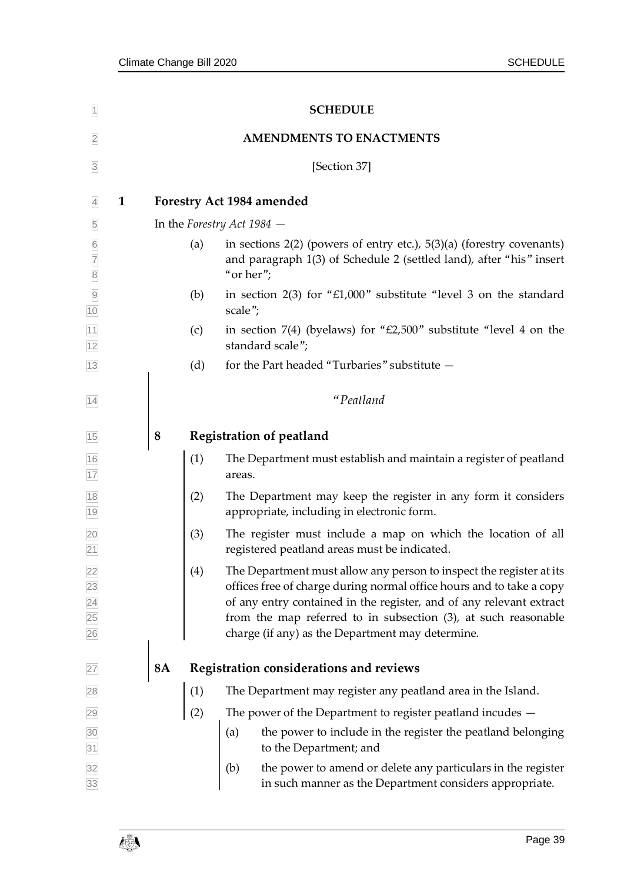<span id="page-38-2"></span><span id="page-38-1"></span><span id="page-38-0"></span>

| $\overline{1}$                   | <b>SCHEDULE</b> |                                 |                                                                                                                                                                                                                                                                                                                                          |  |  |  |  |  |  |
|----------------------------------|-----------------|---------------------------------|------------------------------------------------------------------------------------------------------------------------------------------------------------------------------------------------------------------------------------------------------------------------------------------------------------------------------------------|--|--|--|--|--|--|
| $\overline{2}$                   |                 | <b>AMENDMENTS TO ENACTMENTS</b> |                                                                                                                                                                                                                                                                                                                                          |  |  |  |  |  |  |
| $\overline{\mathbf{3}}$          |                 |                                 | [Section 37]                                                                                                                                                                                                                                                                                                                             |  |  |  |  |  |  |
| $\mathbf{1}$<br>$\overline{4}$   |                 |                                 | <b>Forestry Act 1984 amended</b>                                                                                                                                                                                                                                                                                                         |  |  |  |  |  |  |
| 5                                |                 |                                 | In the Forestry Act $1984$ $-$                                                                                                                                                                                                                                                                                                           |  |  |  |  |  |  |
| $6\overline{6}$<br>$\frac{7}{8}$ |                 | (a)                             | in sections $2(2)$ (powers of entry etc.), $5(3)(a)$ (forestry covenants)<br>and paragraph 1(3) of Schedule 2 (settled land), after "his" insert<br>"or her";                                                                                                                                                                            |  |  |  |  |  |  |
| $\frac{9}{10}$                   |                 | (b)                             | in section $2(3)$ for "£1,000" substitute "level 3 on the standard<br>scale";                                                                                                                                                                                                                                                            |  |  |  |  |  |  |
| $\frac{11}{12}$                  |                 | (c)                             | in section $7(4)$ (byelaws) for "£2,500" substitute "level 4 on the<br>standard scale";                                                                                                                                                                                                                                                  |  |  |  |  |  |  |
| $13$                             |                 | (d)                             | for the Part headed "Turbaries" substitute -                                                                                                                                                                                                                                                                                             |  |  |  |  |  |  |
| 14                               |                 |                                 | "Peatland                                                                                                                                                                                                                                                                                                                                |  |  |  |  |  |  |
| 15                               | 8               |                                 | <b>Registration of peatland</b>                                                                                                                                                                                                                                                                                                          |  |  |  |  |  |  |
| $\frac{16}{17}$                  |                 | (1)                             | The Department must establish and maintain a register of peatland<br>areas.                                                                                                                                                                                                                                                              |  |  |  |  |  |  |
| $\frac{18}{19}$                  |                 | (2)                             | The Department may keep the register in any form it considers<br>appropriate, including in electronic form.                                                                                                                                                                                                                              |  |  |  |  |  |  |
| $\frac{20}{21}$                  |                 | (3)                             | The register must include a map on which the location of all<br>registered peatland areas must be indicated.                                                                                                                                                                                                                             |  |  |  |  |  |  |
| 22<br>23<br>24<br>25<br>26       |                 | (4)                             | The Department must allow any person to inspect the register at its<br>offices free of charge during normal office hours and to take a copy<br>of any entry contained in the register, and of any relevant extract<br>from the map referred to in subsection (3), at such reasonable<br>charge (if any) as the Department may determine. |  |  |  |  |  |  |
| 27                               | <b>8A</b>       |                                 | Registration considerations and reviews                                                                                                                                                                                                                                                                                                  |  |  |  |  |  |  |
| 28                               |                 | (1)                             | The Department may register any peatland area in the Island.                                                                                                                                                                                                                                                                             |  |  |  |  |  |  |
| 29                               |                 | (2)                             | The power of the Department to register peatland incudes -                                                                                                                                                                                                                                                                               |  |  |  |  |  |  |
| $\frac{30}{31}$                  |                 |                                 | the power to include in the register the peatland belonging<br>(a)<br>to the Department; and                                                                                                                                                                                                                                             |  |  |  |  |  |  |
| 32<br>33                         |                 |                                 | (b)<br>the power to amend or delete any particulars in the register<br>in such manner as the Department considers appropriate.                                                                                                                                                                                                           |  |  |  |  |  |  |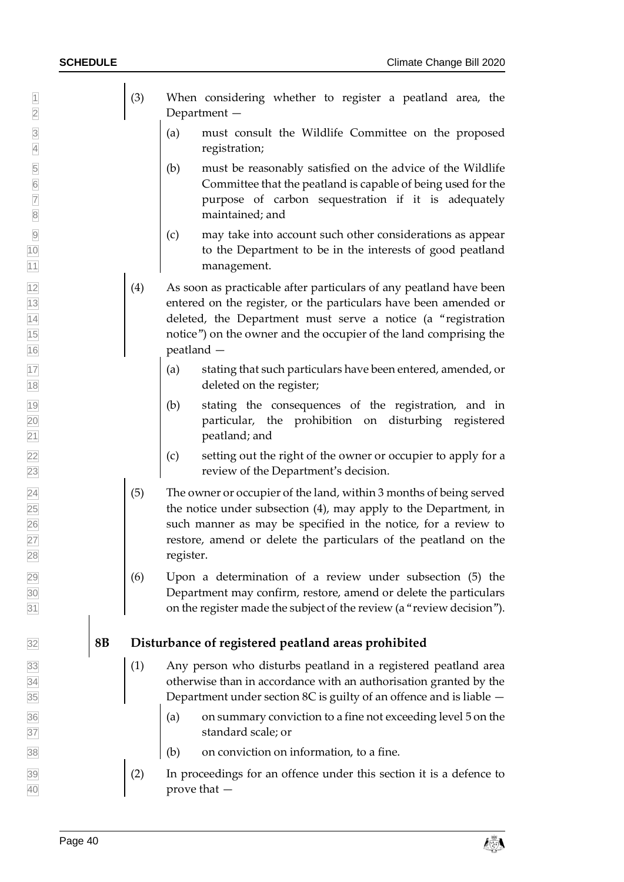- 1 (3) When considering whether to register a peatland area, the 2 Department —
- 3 (a) must consult the Wildlife Committee on the proposed 4 registration;
- 5 (b) must be reasonably satisfied on the advice of the Wildlife Committee that the peatland is capable of being used for the 6 Committee that the peatland is capable of being used for the **7 purpose of carbon sequestration if it is adequately** 8 maintained; and
- 9 (c) may take into account such other considerations as appear 10 to the Department to be in the interests of good peatland 11 management.
- $\begin{bmatrix} 12 \\ 4 \end{bmatrix}$  As soon as practicable after particulars of any peatland have been 13 entered on the register, or the particulars have been amended or 14 deleted, the Department must serve a notice (a "registration 15 notice") on the owner and the occupier of the land comprising the 16 peatland —
- $\vert$  (a) stating that such particulars have been entered, amended, or 18 deleted on the register;
- 19 (b) stating the consequences of the registration, and in 20 particular, the prohibition on disturbing registered 21 **peatland; and**
- $\vert$  (c) setting out the right of the owner or occupier to apply for a 23 review of the Department's decision.
- $\boxed{24}$  (5) The owner or occupier of the land, within 3 months of being served  $\boxed{25}$  the notice under subsection (4), may apply to the Department, in 26 such manner as may be specified in the notice, for a review to 27 restore, amend or delete the particulars of the peatland on the 28 register.
- $\boxed{29}$  (6) Upon a determination of a review under subsection (5) the 30 Department may confirm, restore, amend or delete the particulars 31 on the register made the subject of the review (a "review decision").

#### 32 **8B Disturbance of registered peatland areas prohibited**

- $\begin{bmatrix} 33 \end{bmatrix}$  (1) Any person who disturbs peatland in a registered peatland area 34 otherwise than in accordance with an authorisation granted by the  $\overline{35}$  Department under section 8C is guilty of an offence and is liable  $\overline{\phantom{a}}$
- $\begin{bmatrix} 36 \end{bmatrix}$  (a) on summary conviction to a fine not exceeding level 5 on the 37 standard scale; or
- $\begin{array}{|c|c|c|c|c|} \hline \end{array}$  (b) on conviction on information, to a fine.
- $\boxed{39}$  (2) In proceedings for an offence under this section it is a defence to 40 prove that —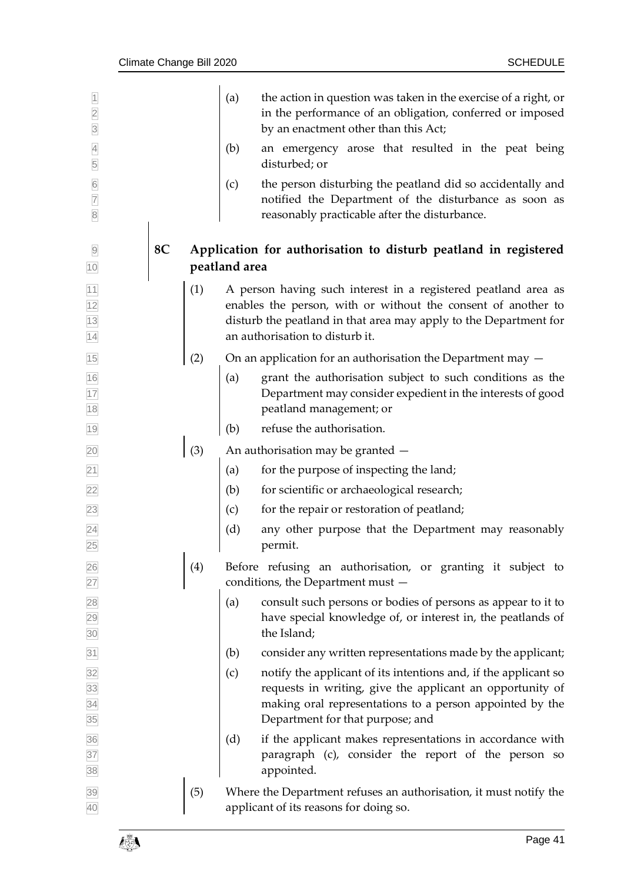| $\overline{2}$<br>$\overline{3}$                      |    |     | (a)           | the action in question was taken in the exercise of a right, or<br>in the performance of an obligation, conferred or imposed<br>by an enactment other than this Act;                                                                    |
|-------------------------------------------------------|----|-----|---------------|-----------------------------------------------------------------------------------------------------------------------------------------------------------------------------------------------------------------------------------------|
| $\overline{4}$<br>5                                   |    |     | (b)           | an emergency arose that resulted in the peat being<br>disturbed; or                                                                                                                                                                     |
| $6\overline{6}$<br>$\overline{7}$<br>$\overline{8}$   |    |     | (c)           | the person disturbing the peatland did so accidentally and<br>notified the Department of the disturbance as soon as<br>reasonably practicable after the disturbance.                                                                    |
| 10                                                    | 8C |     | peatland area | Application for authorisation to disturb peatland in registered                                                                                                                                                                         |
| $\frac{11}{12}$<br>$\frac{12}{13}$<br>$\frac{13}{14}$ |    | (1) |               | A person having such interest in a registered peatland area as<br>enables the person, with or without the consent of another to<br>disturb the peatland in that area may apply to the Department for<br>an authorisation to disturb it. |
| 15                                                    |    | (2) |               | On an application for an authorisation the Department may $-$                                                                                                                                                                           |
| $\frac{16}{17}$<br>$\frac{18}{18}$                    |    |     | (a)           | grant the authorisation subject to such conditions as the<br>Department may consider expedient in the interests of good<br>peatland management; or                                                                                      |
| 19                                                    |    |     | (b)           | refuse the authorisation.                                                                                                                                                                                                               |
| 20                                                    |    | (3) |               | An authorisation may be granted -                                                                                                                                                                                                       |
| $\overline{21}$                                       |    |     | (a)           | for the purpose of inspecting the land;                                                                                                                                                                                                 |
| <b>22</b>                                             |    |     | (b)           | for scientific or archaeological research;                                                                                                                                                                                              |
| $\boxed{23}$                                          |    |     | (c)           | for the repair or restoration of peatland;                                                                                                                                                                                              |
| $\overline{24}$<br>25                                 |    |     | (d)           | any other purpose that the Department may reasonably<br>permit.                                                                                                                                                                         |
| 26<br>27                                              |    | (4) |               | Before refusing an authorisation, or granting it subject to<br>conditions, the Department must -                                                                                                                                        |
| 28<br>29<br>30                                        |    |     | (a)           | consult such persons or bodies of persons as appear to it to<br>have special knowledge of, or interest in, the peatlands of<br>the Island;                                                                                              |
| $\overline{31}$                                       |    |     | (b)           | consider any written representations made by the applicant;                                                                                                                                                                             |
| 32<br>33<br>34<br>35                                  |    |     | (c)           | notify the applicant of its intentions and, if the applicant so<br>requests in writing, give the applicant an opportunity of<br>making oral representations to a person appointed by the<br>Department for that purpose; and            |
| 36<br>37<br>38                                        |    |     | (d)           | if the applicant makes representations in accordance with<br>paragraph (c), consider the report of the person so<br>appointed.                                                                                                          |
| 39<br>40                                              |    | (5) |               | Where the Department refuses an authorisation, it must notify the<br>applicant of its reasons for doing so.                                                                                                                             |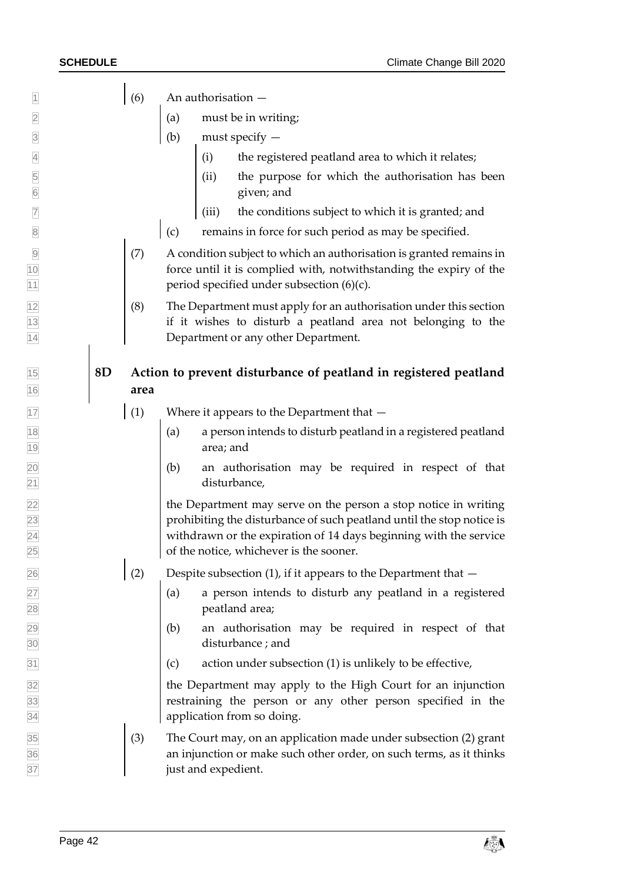$\boxed{1}$  (6) An authorisation —

- 2 (a) must be in writing;
- (b) must specify —
- $\vert$  (i) the registered peatland area to which it relates;
- (ii) the purpose for which the authorisation has been given; and
- $\frac{1}{10}$  (iii) the conditions subject to which it is granted; and
- $\vert$  (c) remains in force for such period as may be specified.
- (7) A condition subject to which an authorisation is granted remains in force until it is complied with, notwithstanding the expiry of the **period specified under subsection (6)(c).**
- $\vert$  (8) The Department must apply for an authorisation under this section if it wishes to disturb a peatland area not belonging to the Department or any other Department.

### **8D Action to prevent disturbance of peatland in registered peatland area**

- (1) Where it appears to the Department that —
- (a) a person intends to disturb peatland in a registered peatland area; and
- (b) an authorisation may be required in respect of that disturbance,

 the Department may serve on the person a stop notice in writing prohibiting the disturbance of such peatland until the stop notice is withdrawn or the expiration of 14 days beginning with the service of the notice, whichever is the sooner.

- 26 (2) Despite subsection (1), if it appears to the Department that  $-$
- $\begin{bmatrix} 27 \\ 2 \end{bmatrix}$  (a) a person intends to disturb any peatland in a registered peatland area;
- (b) an authorisation may be required in respect of that disturbance ; and
- $\boxed{31}$  (c) action under subsection (1) is unlikely to be effective,

 the Department may apply to the High Court for an injunction restraining the person or any other person specified in the application from so doing.

 $\boxed{35}$  (3) The Court may, on an application made under subsection (2) grant **an injunction or make such other order, on such terms, as it thinks just and expedient.**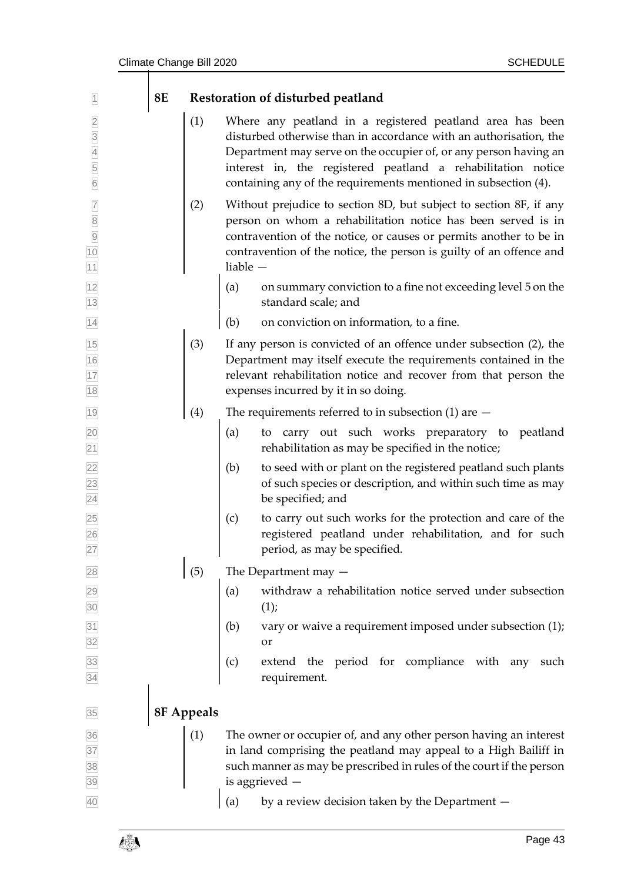| $\vert$ 1                                                                                                | <b>8E</b> |            |            | Restoration of disturbed peatland                                                                                                                                                                                                                                                                                                     |
|----------------------------------------------------------------------------------------------------------|-----------|------------|------------|---------------------------------------------------------------------------------------------------------------------------------------------------------------------------------------------------------------------------------------------------------------------------------------------------------------------------------------|
| $\overline{a}$<br>$\frac{3}{4}$<br>5<br>$6\overline{6}$                                                  |           | (1)        |            | Where any peatland in a registered peatland area has been<br>disturbed otherwise than in accordance with an authorisation, the<br>Department may serve on the occupier of, or any person having an<br>interest in, the registered peatland a rehabilitation notice<br>containing any of the requirements mentioned in subsection (4). |
| $\overline{7}$<br>$\begin{array}{c}\n 8 \\  \hline\n 9 \\  \hline\n 10\n \end{array}$<br>$\overline{11}$ |           | (2)        | liable $-$ | Without prejudice to section 8D, but subject to section 8F, if any<br>person on whom a rehabilitation notice has been served is in<br>contravention of the notice, or causes or permits another to be in<br>contravention of the notice, the person is guilty of an offence and                                                       |
| $\frac{12}{13}$                                                                                          |           |            | (a)        | on summary conviction to a fine not exceeding level 5 on the<br>standard scale; and                                                                                                                                                                                                                                                   |
| 14                                                                                                       |           |            | (b)        | on conviction on information, to a fine.                                                                                                                                                                                                                                                                                              |
| $\frac{15}{16}$<br>$\frac{17}{18}$                                                                       |           | (3)        |            | If any person is convicted of an offence under subsection (2), the<br>Department may itself execute the requirements contained in the<br>relevant rehabilitation notice and recover from that person the<br>expenses incurred by it in so doing.                                                                                      |
| 19                                                                                                       |           | (4)        |            | The requirements referred to in subsection $(1)$ are $-$                                                                                                                                                                                                                                                                              |
|                                                                                                          |           |            | (a)        | carry out such works preparatory to peatland<br>to<br>rehabilitation as may be specified in the notice;                                                                                                                                                                                                                               |
| 20<br>21<br>22<br>23<br>24<br>25<br>26<br>27                                                             |           |            | (b)        | to seed with or plant on the registered peatland such plants<br>of such species or description, and within such time as may<br>be specified; and                                                                                                                                                                                      |
|                                                                                                          |           |            | (c)        | to carry out such works for the protection and care of the<br>registered peatland under rehabilitation, and for such<br>period, as may be specified.                                                                                                                                                                                  |
|                                                                                                          |           | (5)        |            | The Department may $-$                                                                                                                                                                                                                                                                                                                |
| 28<br>29<br>30<br>31<br>32<br>32<br>33<br>34                                                             |           |            | (a)        | withdraw a rehabilitation notice served under subsection<br>(1);                                                                                                                                                                                                                                                                      |
|                                                                                                          |           |            | (b)        | vary or waive a requirement imposed under subsection (1);<br>or                                                                                                                                                                                                                                                                       |
|                                                                                                          |           |            | (c)        | extend the period for compliance with any such<br>requirement.                                                                                                                                                                                                                                                                        |
| 35                                                                                                       |           | 8F Appeals |            |                                                                                                                                                                                                                                                                                                                                       |
| 36<br>37<br>38<br>39                                                                                     |           | (1)        |            | The owner or occupier of, and any other person having an interest<br>in land comprising the peatland may appeal to a High Bailiff in                                                                                                                                                                                                  |
|                                                                                                          |           |            |            | such manner as may be prescribed in rules of the court if the person<br>is aggrieved -                                                                                                                                                                                                                                                |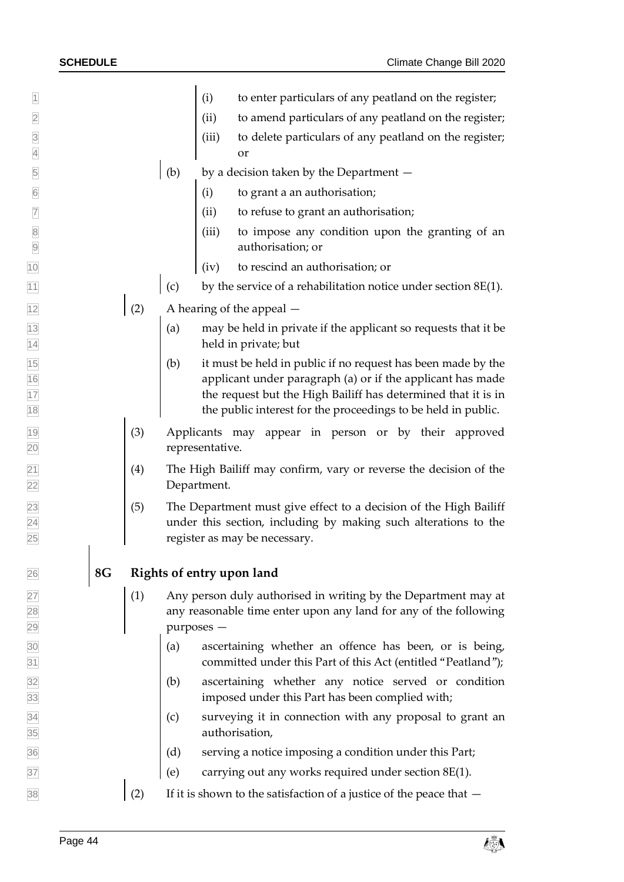| $\overline{1}$                   |    |     |            | (i)             | to enter particulars of any peatland on the register;                                                                                                                 |
|----------------------------------|----|-----|------------|-----------------|-----------------------------------------------------------------------------------------------------------------------------------------------------------------------|
| $\overline{2}$                   |    |     |            | (ii)            | to amend particulars of any peatland on the register;                                                                                                                 |
| $\overline{3}$<br>$\overline{4}$ |    |     |            | (iii)           | to delete particulars of any peatland on the register;<br>or                                                                                                          |
|                                  |    |     |            |                 |                                                                                                                                                                       |
| $\overline{5}$                   |    |     | (b)        |                 | by a decision taken by the Department -                                                                                                                               |
| $\boxed{6}$                      |    |     |            | (i)             | to grant a an authorisation;                                                                                                                                          |
| $\overline{7}$                   |    |     |            | (ii)            | to refuse to grant an authorisation;                                                                                                                                  |
| $\overline{8}$<br>$\overline{9}$ |    |     |            | (iii)           | to impose any condition upon the granting of an<br>authorisation; or                                                                                                  |
| 10                               |    |     |            | (iv)            | to rescind an authorisation; or                                                                                                                                       |
| 11                               |    |     | (c)        |                 | by the service of a rehabilitation notice under section $8E(1)$ .                                                                                                     |
| $\frac{12}{2}$                   |    | (2) |            |                 | A hearing of the appeal $-$                                                                                                                                           |
| $\frac{13}{14}$                  |    |     | (a)        |                 | may be held in private if the applicant so requests that it be                                                                                                        |
|                                  |    |     |            |                 | held in private; but                                                                                                                                                  |
| $\frac{15}{16}$ $\frac{17}{18}$  |    |     | (b)        |                 | it must be held in public if no request has been made by the<br>applicant under paragraph (a) or if the applicant has made                                            |
|                                  |    |     |            |                 | the request but the High Bailiff has determined that it is in                                                                                                         |
|                                  |    |     |            |                 | the public interest for the proceedings to be held in public.                                                                                                         |
| $\frac{19}{1}$                   |    | (3) |            |                 | Applicants may appear in person or by their approved                                                                                                                  |
| $\overline{20}$                  |    |     |            | representative. |                                                                                                                                                                       |
| $\frac{21}{22}$                  |    | (4) |            | Department.     | The High Bailiff may confirm, vary or reverse the decision of the                                                                                                     |
| $\frac{23}{24}$                  |    | (5) |            |                 | The Department must give effect to a decision of the High Bailiff<br>under this section, including by making such alterations to the<br>register as may be necessary. |
|                                  |    |     |            |                 |                                                                                                                                                                       |
| 26                               | 8G |     |            |                 | Rights of entry upon land                                                                                                                                             |
|                                  |    | (1) |            |                 | Any person duly authorised in writing by the Department may at                                                                                                        |
|                                  |    |     |            |                 | any reasonable time enter upon any land for any of the following                                                                                                      |
|                                  |    |     | purposes - |                 |                                                                                                                                                                       |
| 27<br>28<br>29<br>30<br>31       |    |     | (a)        |                 | ascertaining whether an offence has been, or is being,<br>committed under this Part of this Act (entitled "Peatland");                                                |
| $\frac{32}{33}$                  |    |     | (b)        |                 | ascertaining whether any notice served or condition<br>imposed under this Part has been complied with;                                                                |
| $\frac{34}{35}$                  |    |     | (c)        |                 | surveying it in connection with any proposal to grant an                                                                                                              |
|                                  |    |     |            |                 | authorisation,                                                                                                                                                        |
| $\frac{36}{5}$                   |    |     | (d)        |                 | serving a notice imposing a condition under this Part;                                                                                                                |
| 37                               |    |     | (e)        |                 | carrying out any works required under section 8E(1).                                                                                                                  |
| 38                               |    | (2) |            |                 | If it is shown to the satisfaction of a justice of the peace that $-$                                                                                                 |

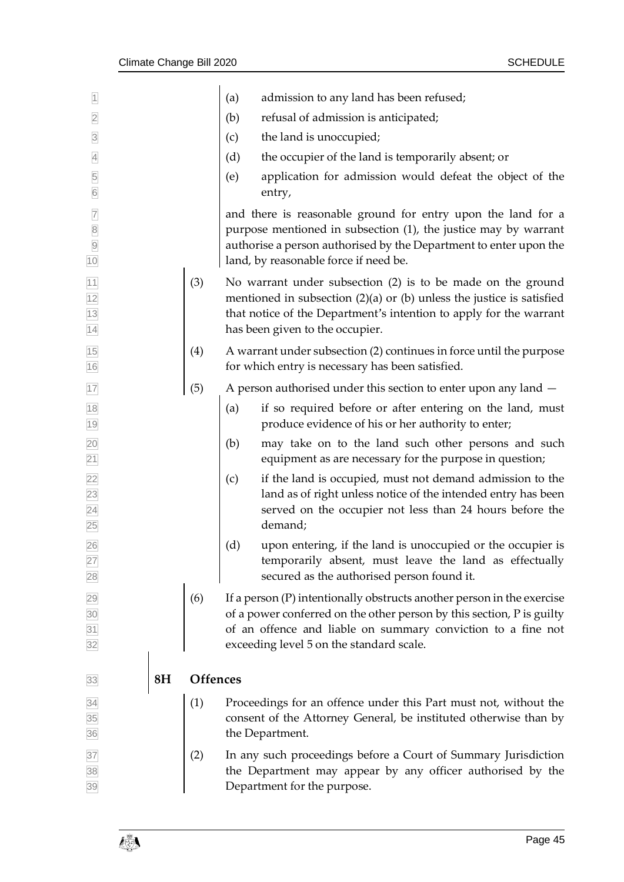| $\overline{1}$                                                                            |                |                 | admission to any land has been refused;<br>(a)                                                                                                                                                                                                                |  |
|-------------------------------------------------------------------------------------------|----------------|-----------------|---------------------------------------------------------------------------------------------------------------------------------------------------------------------------------------------------------------------------------------------------------------|--|
| $\overline{2}$                                                                            |                |                 | (b)<br>refusal of admission is anticipated;                                                                                                                                                                                                                   |  |
| $\overline{3}$                                                                            |                |                 | the land is unoccupied;<br>(c)                                                                                                                                                                                                                                |  |
| $\overline{4}$                                                                            |                |                 | (d)<br>the occupier of the land is temporarily absent; or                                                                                                                                                                                                     |  |
| 5<br>$6\overline{6}$                                                                      |                |                 | application for admission would defeat the object of the<br>(e)<br>entry,                                                                                                                                                                                     |  |
| $\overline{7}$<br>$\begin{array}{ c c } \hline 8 \\ \hline 9 \\ \hline \end{array}$<br>10 |                |                 | and there is reasonable ground for entry upon the land for a<br>purpose mentioned in subsection (1), the justice may by warrant<br>authorise a person authorised by the Department to enter upon the<br>land, by reasonable force if need be.                 |  |
| $\frac{11}{12}$ $\frac{12}{13}$ $\frac{11}{14}$                                           |                | (3)             | No warrant under subsection (2) is to be made on the ground<br>mentioned in subsection $(2)(a)$ or $(b)$ unless the justice is satisfied<br>that notice of the Department's intention to apply for the warrant<br>has been given to the occupier.             |  |
| 15<br>16                                                                                  |                | (4)             | A warrant under subsection (2) continues in force until the purpose<br>for which entry is necessary has been satisfied.                                                                                                                                       |  |
| 17                                                                                        |                | (5)             | A person authorised under this section to enter upon any land $-$                                                                                                                                                                                             |  |
| 18<br>19                                                                                  |                |                 | if so required before or after entering on the land, must<br>(a)<br>produce evidence of his or her authority to enter;                                                                                                                                        |  |
|                                                                                           |                |                 | may take on to the land such other persons and such<br>(b)<br>equipment as are necessary for the purpose in question;                                                                                                                                         |  |
| 20 21 22 23 24 25                                                                         |                |                 | if the land is occupied, must not demand admission to the<br>(c)<br>land as of right unless notice of the intended entry has been<br>served on the occupier not less than 24 hours before the<br>demand;                                                      |  |
| 26                                                                                        |                |                 | (d)<br>upon entering, if the land is unoccupied or the occupier is<br>temporarily absent, must leave the land as effectually<br>secured as the authorised person found it.                                                                                    |  |
| 27 28 29 30 31 32                                                                         |                | (6)             | If a person $(P)$ intentionally obstructs another person in the exercise<br>of a power conferred on the other person by this section, P is guilty<br>of an offence and liable on summary conviction to a fine not<br>exceeding level 5 on the standard scale. |  |
| 33                                                                                        | 8 <sub>H</sub> | <b>Offences</b> |                                                                                                                                                                                                                                                               |  |
| 34<br>35<br>36                                                                            |                | (1)             | Proceedings for an offence under this Part must not, without the<br>consent of the Attorney General, be instituted otherwise than by<br>the Department.                                                                                                       |  |
| 37<br>38<br>39                                                                            |                | (2)             | In any such proceedings before a Court of Summary Jurisdiction<br>the Department may appear by any officer authorised by the<br>Department for the purpose.                                                                                                   |  |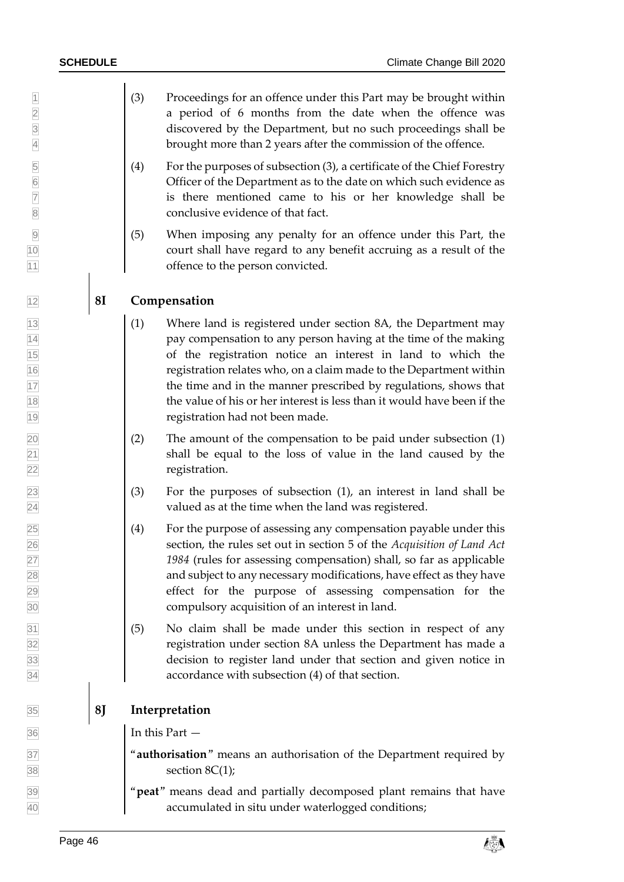- (3) Proceedings for an offence under this Part may be brought within **a** period of 6 months from the date when the offence was discovered by the Department, but no such proceedings shall be brought more than 2 years after the commission of the offence.
- $\begin{bmatrix} 6 \end{bmatrix}$  (4) For the purposes of subsection (3), a certificate of the Chief Forestry<br>Officer of the Department as to the date on which such evidence as<br>is there mentioned came to his or her knowledge shall be Officer of the Department as to the date on which such evidence as is there mentioned came to his or her knowledge shall be
- (5) When imposing any penalty for an offence under this Part, the court shall have regard to any benefit accruing as a result of the 11 offence to the person convicted.

### **8I Compensation**

- $\begin{bmatrix} 13 \\ 1 \end{bmatrix}$  (1) Where land is registered under section 8A, the Department may **pay compensation to any person having at the time of the making**  of the registration notice an interest in land to which the registration relates who, on a claim made to the Department within 17 11 the time and in the manner prescribed by regulations, shows that **the value of his or her interest is less than it would have been if the** registration had not been made.
- $\boxed{20}$  The amount of the compensation to be paid under subsection (1) shall be equal to the loss of value in the land caused by the **registration.**
- $\boxed{23}$  (3) For the purposes of subsection (1), an interest in land shall be valued as at the time when the land was registered.
- $\boxed{25}$  (4) For the purpose of assessing any compensation payable under this section, the rules set out in section 5 of the *Acquisition of Land Act 1984* (rules for assessing compensation) shall, so far as applicable 28 and subject to any necessary modifications, have effect as they have effect for the purpose of assessing compensation for the compulsory acquisition of an interest in land.
- $\boxed{31}$  (5) No claim shall be made under this section in respect of any registration under section 8A unless the Department has made a decision to register land under that section and given notice in accordance with subsection (4) of that section.

### **8J Interpretation**

In this Part —

<sup>37</sup> **authorisation**" means an authorisation of the Department required by  $\overline{38}$  section 8C(1);

 "**peat**" means dead and partially decomposed plant remains that have accumulated in situ under waterlogged conditions;

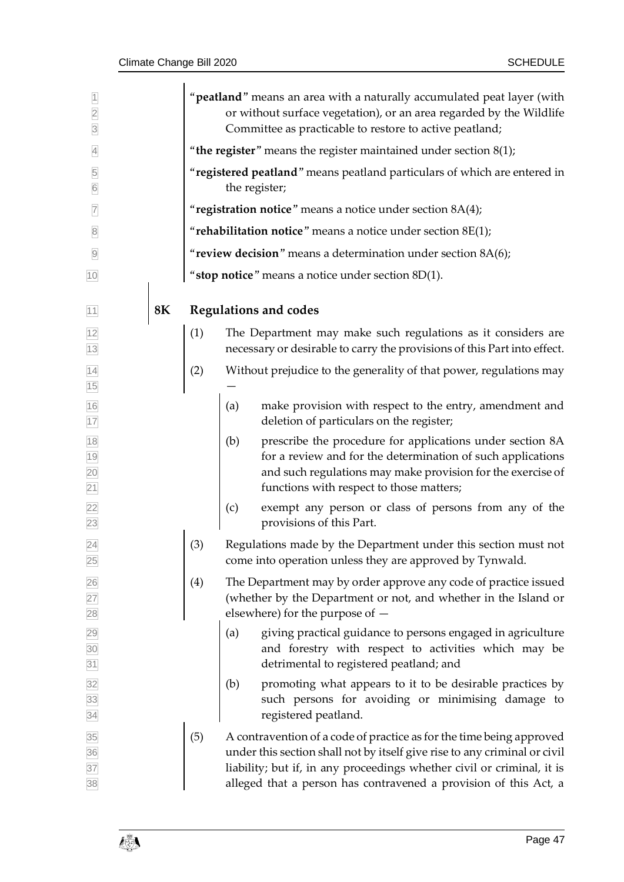| $\overline{2}$<br>$\overline{3}$ |    |     | " <b>peatland</b> " means an area with a naturally accumulated peat layer (with<br>or without surface vegetation), or an area regarded by the Wildlife<br>Committee as practicable to restore to active peatland;                                                                               |  |  |  |  |  |
|----------------------------------|----|-----|-------------------------------------------------------------------------------------------------------------------------------------------------------------------------------------------------------------------------------------------------------------------------------------------------|--|--|--|--|--|
| $\overline{4}$                   |    |     | "the register" means the register maintained under section $8(1)$ ;                                                                                                                                                                                                                             |  |  |  |  |  |
| 5<br>$6\overline{6}$             |    |     | "registered peatland" means peatland particulars of which are entered in<br>the register;                                                                                                                                                                                                       |  |  |  |  |  |
| $\overline{7}$                   |    |     | "registration notice" means a notice under section 8A(4);                                                                                                                                                                                                                                       |  |  |  |  |  |
| $\overline{8}$                   |    |     | "rehabilitation notice" means a notice under section $8E(1)$ ;                                                                                                                                                                                                                                  |  |  |  |  |  |
| $\overline{9}$                   |    |     | "review decision" means a determination under section $8A(6)$ ;                                                                                                                                                                                                                                 |  |  |  |  |  |
| 10                               |    |     | "stop notice" means a notice under section 8D(1).                                                                                                                                                                                                                                               |  |  |  |  |  |
|                                  |    |     |                                                                                                                                                                                                                                                                                                 |  |  |  |  |  |
| 11                               | 8K |     | <b>Regulations and codes</b>                                                                                                                                                                                                                                                                    |  |  |  |  |  |
| 12<br>13                         |    | (1) | The Department may make such regulations as it considers are<br>necessary or desirable to carry the provisions of this Part into effect.                                                                                                                                                        |  |  |  |  |  |
| $\overline{14}$<br>15            |    | (2) | Without prejudice to the generality of that power, regulations may                                                                                                                                                                                                                              |  |  |  |  |  |
| 16<br>17                         |    |     | make provision with respect to the entry, amendment and<br>(a)<br>deletion of particulars on the register;                                                                                                                                                                                      |  |  |  |  |  |
| 18<br>19<br>20<br>21             |    |     | (b)<br>prescribe the procedure for applications under section 8A<br>for a review and for the determination of such applications<br>and such regulations may make provision for the exercise of<br>functions with respect to those matters;                                                      |  |  |  |  |  |
| $\frac{22}{23}$                  |    |     | exempt any person or class of persons from any of the<br>(c)<br>provisions of this Part.                                                                                                                                                                                                        |  |  |  |  |  |
| 24<br>25                         |    | (3) | Regulations made by the Department under this section must not<br>come into operation unless they are approved by Tynwald.                                                                                                                                                                      |  |  |  |  |  |
|                                  |    | (4) | The Department may by order approve any code of practice issued<br>(whether by the Department or not, and whether in the Island or<br>elsewhere) for the purpose of $-$                                                                                                                         |  |  |  |  |  |
| 26<br>27<br>28<br>29<br>30<br>31 |    |     | giving practical guidance to persons engaged in agriculture<br>(a)<br>and forestry with respect to activities which may be<br>detrimental to registered peatland; and                                                                                                                           |  |  |  |  |  |
| 32<br>33<br>34                   |    |     | (b)<br>promoting what appears to it to be desirable practices by<br>such persons for avoiding or minimising damage to<br>registered peatland.                                                                                                                                                   |  |  |  |  |  |
| 35<br>36<br>37<br>38             |    | (5) | A contravention of a code of practice as for the time being approved<br>under this section shall not by itself give rise to any criminal or civil<br>liability; but if, in any proceedings whether civil or criminal, it is<br>alleged that a person has contravened a provision of this Act, a |  |  |  |  |  |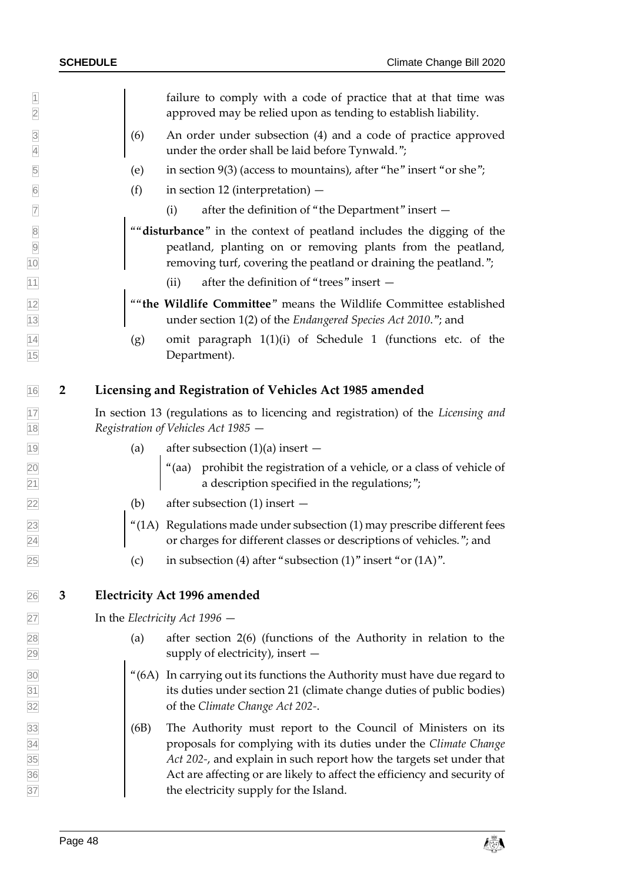<span id="page-47-1"></span><span id="page-47-0"></span> failure to comply with a code of practice that at that time was approved may be relied upon as tending to establish liability. (6) An order under subsection (4) and a code of practice approved under the order shall be laid before Tynwald."; (e) in section 9(3) (access to mountains), after "he" insert "or she";  $\boxed{6}$  (f) in section 12 (interpretation) –  $\frac{1}{7}$  (i) after the definition of "the Department" insert  $-$  ""**disturbance**" in the context of peatland includes the digging of the peatland, planting on or removing plants from the peatland, **10** removing turf, covering the peatland or draining the peatland."; (ii) after the definition of "trees" insert — ""**the Wildlife Committee**" means the Wildlife Committee established under section 1(2) of the *Endangered Species Act 2010*."; and  $\frac{1}{4}$  (g) omit paragraph 1(1)(i) of Schedule 1 (functions etc. of the Department). **2 Licensing and Registration of Vehicles Act 1985 amended** In section 13 (regulations as to licencing and registration) of the *Licensing and Registration of Vehicles Act 1985* — 19 (a) after subsection  $(1)(a)$  insert  $\alpha$   $\alpha$   $\beta$   $\beta$   $\beta$   $\gamma$   $\alpha$   $\alpha$   $\beta$   $\gamma$   $\beta$   $\gamma$   $\alpha$   $\alpha$   $\beta$   $\gamma$   $\alpha$   $\beta$   $\gamma$   $\alpha$   $\alpha$   $\beta$   $\gamma$   $\alpha$   $\gamma$   $\alpha$   $\gamma$   $\alpha$   $\gamma$   $\alpha$   $\gamma$   $\alpha$   $\gamma$   $\alpha$   $\gamma$   $\alpha$   $\gamma$   $\alpha$   $\gamma$   $\gamma$   $\gamma$   $\gamma$   $\gamma$   $\gamma$  21 a description specified in the regulations;"; (b) after subsection (1) insert —  $\approx$  [ $\frac{4}{1}$ ] (1A) Regulations made under subsection (1) may prescribe different fees or charges for different classes or descriptions of vehicles."; and  $\boxed{25}$  (c) in subsection (4) after "subsection (1)" insert "or (1A)". **3 Electricity Act 1996 amended** In the *Electricity Act 1996* — (a) after section 2(6) (functions of the Authority in relation to the supply of electricity), insert —  $\frac{30}{30}$  (6A) In carrying out its functions the Authority must have due regard to its duties under section 21 (climate change duties of public bodies) of the *Climate Change Act 202-*. (6B) The Authority must report to the Council of Ministers on its proposals for complying with its duties under the *Climate Change Act 202-*, and explain in such report how the targets set under that Act are affecting or are likely to affect the efficiency and security of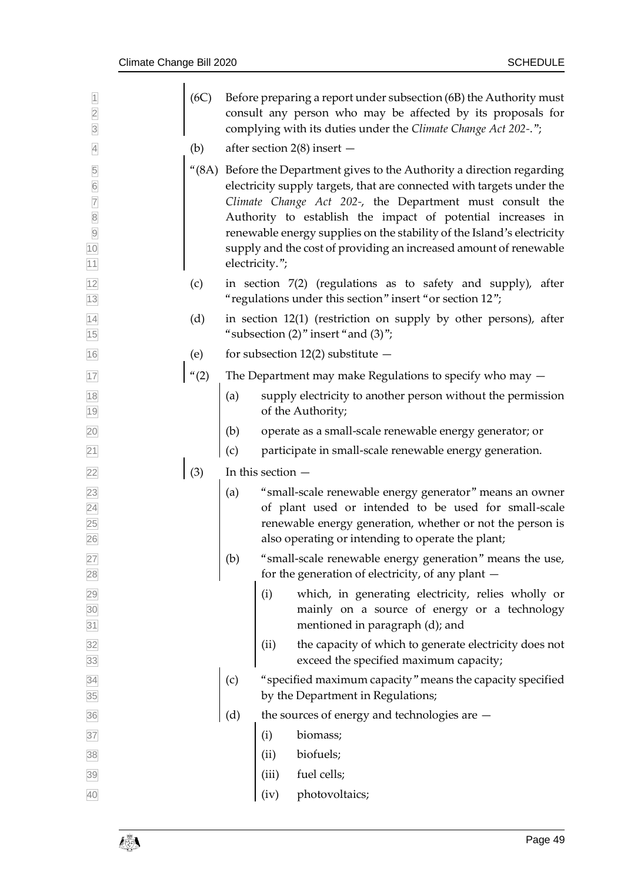| (6C) |     |       | Before preparing a report under subsection (6B) the Authority must<br>consult any person who may be affected by its proposals for<br>complying with its duties under the Climate Change Act 202-.";                                                                                                                                                                                                                         |
|------|-----|-------|-----------------------------------------------------------------------------------------------------------------------------------------------------------------------------------------------------------------------------------------------------------------------------------------------------------------------------------------------------------------------------------------------------------------------------|
| (b)  |     |       |                                                                                                                                                                                                                                                                                                                                                                                                                             |
|      |     |       | "(8A) Before the Department gives to the Authority a direction regarding<br>electricity supply targets, that are connected with targets under the<br>Climate Change Act 202-, the Department must consult the<br>Authority to establish the impact of potential increases in<br>renewable energy supplies on the stability of the Island's electricity<br>supply and the cost of providing an increased amount of renewable |
| (c)  |     |       | in section 7(2) (regulations as to safety and supply), after<br>"regulations under this section" insert "or section 12";                                                                                                                                                                                                                                                                                                    |
| (d)  |     |       | in section 12(1) (restriction on supply by other persons), after<br>"subsection $(2)$ " insert "and $(3)$ ";                                                                                                                                                                                                                                                                                                                |
| (e)  |     |       | for subsection $12(2)$ substitute $-$                                                                                                                                                                                                                                                                                                                                                                                       |
| (2)  |     |       | The Department may make Regulations to specify who may $-$                                                                                                                                                                                                                                                                                                                                                                  |
|      | (a) |       | supply electricity to another person without the permission<br>of the Authority;                                                                                                                                                                                                                                                                                                                                            |
|      | (b) |       | operate as a small-scale renewable energy generator; or                                                                                                                                                                                                                                                                                                                                                                     |
|      | (c) |       | participate in small-scale renewable energy generation.                                                                                                                                                                                                                                                                                                                                                                     |
| (3)  |     |       |                                                                                                                                                                                                                                                                                                                                                                                                                             |
|      | (a) |       | "small-scale renewable energy generator" means an owner<br>of plant used or intended to be used for small-scale<br>renewable energy generation, whether or not the person is<br>also operating or intending to operate the plant;                                                                                                                                                                                           |
|      | (b) |       | "small-scale renewable energy generation" means the use,<br>for the generation of electricity, of any plant -                                                                                                                                                                                                                                                                                                               |
|      |     | (i)   | which, in generating electricity, relies wholly or<br>mainly on a source of energy or a technology<br>mentioned in paragraph (d); and                                                                                                                                                                                                                                                                                       |
|      |     | (ii)  | the capacity of which to generate electricity does not<br>exceed the specified maximum capacity;                                                                                                                                                                                                                                                                                                                            |
|      | (c) |       | "specified maximum capacity" means the capacity specified<br>by the Department in Regulations;                                                                                                                                                                                                                                                                                                                              |
|      | (d) |       | the sources of energy and technologies are -                                                                                                                                                                                                                                                                                                                                                                                |
|      |     | (i)   | biomass;                                                                                                                                                                                                                                                                                                                                                                                                                    |
|      |     | (ii)  | biofuels;                                                                                                                                                                                                                                                                                                                                                                                                                   |
|      |     | (iii) | fuel cells;                                                                                                                                                                                                                                                                                                                                                                                                                 |
|      |     | (iv)  | photovoltaics;                                                                                                                                                                                                                                                                                                                                                                                                              |
|      |     |       | after section $2(8)$ insert $-$<br>electricity.";<br>In this section $-$                                                                                                                                                                                                                                                                                                                                                    |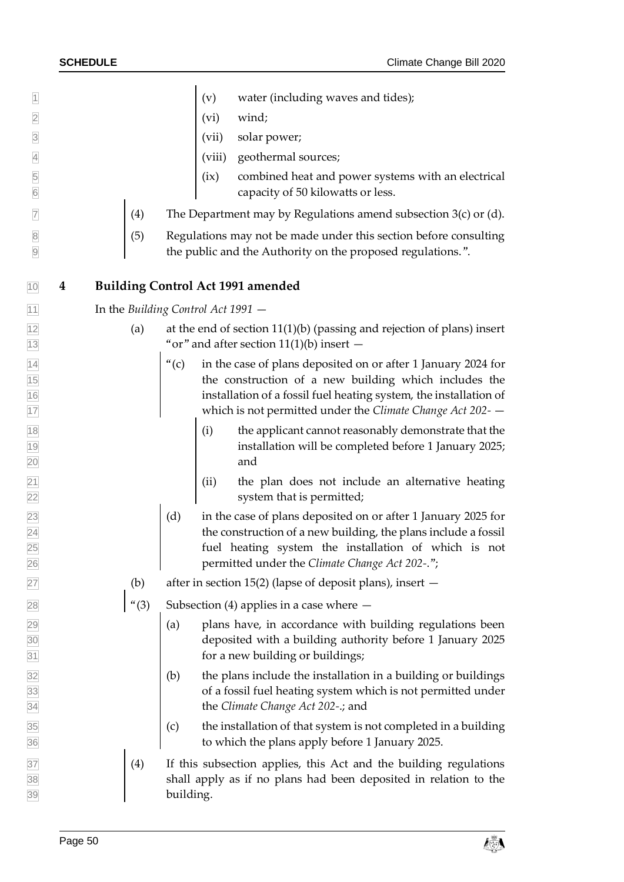<span id="page-49-0"></span> (v) water (including waves and tides); (vi) wind; (vii) solar power; (viii) geothermal sources; (ix) combined heat and power systems with an electrical capacity of 50 kilowatts or less.  $\frac{1}{2}$  (4) The Department may by Regulations amend subsection 3(c) or (d).  $\begin{bmatrix} 8 \\ 1 \end{bmatrix}$  (5) Regulations may not be made under this section before consulting the public and the Authority on the proposed regulations.". **4 Building Control Act 1991 amended** In the *Building Control Act 1991* — (a) at the end of section 11(1)(b) (passing and rejection of plans) insert  $\frac{13}{13}$  "or" and after section 11(1)(b) insert  $\frac{1}{4}$  (c) in the case of plans deposited on or after 1 January 2024 for the construction of a new building which includes the installation of a fossil fuel heating system, the installation of which is not permitted under the *Climate Change Act 202-* — (i) the applicant cannot reasonably demonstrate that the installation will be completed before 1 January 2025; 20 and 20 and 20 and 20 and 20 and 20 and 20 and 20 and 20 and 20 and 20 and 20 and 20 and 20 and 20 and 20 and  $\boxed{21}$  (ii) the plan does not include an alternative heating 22 system that is permitted;  $\begin{bmatrix} 23 \\ 23 \end{bmatrix}$  (d) in the case of plans deposited on or after 1 January 2025 for  $\boxed{24}$  the construction of a new building, the plans include a fossil fuel heating system the installation of which is not permitted under the *Climate Change Act 202-*.";  $\boxed{27}$  (b) after in section 15(2) (lapse of deposit plans), insert  $\left( \begin{array}{cc} \n ^\infty \ (3) \quad \text{Subsection (4) applies in a case where} \end{array} \right)$  $\vert$  (a) plans have, in accordance with building regulations been deposited with a building authority before 1 January 2025 **121 for a new building or buildings;**  $\vert$  (b) the plans include the installation in a building or buildings of a fossil fuel heating system which is not permitted under the *Climate Change Act 202-*.; and  $\overline{35}$  (c) the installation of that system is not completed in a building to which the plans apply before 1 January 2025.  $\frac{1}{37}$  (4) If this subsection applies, this Act and the building regulations shall apply as if no plans had been deposited in relation to the 39 building.

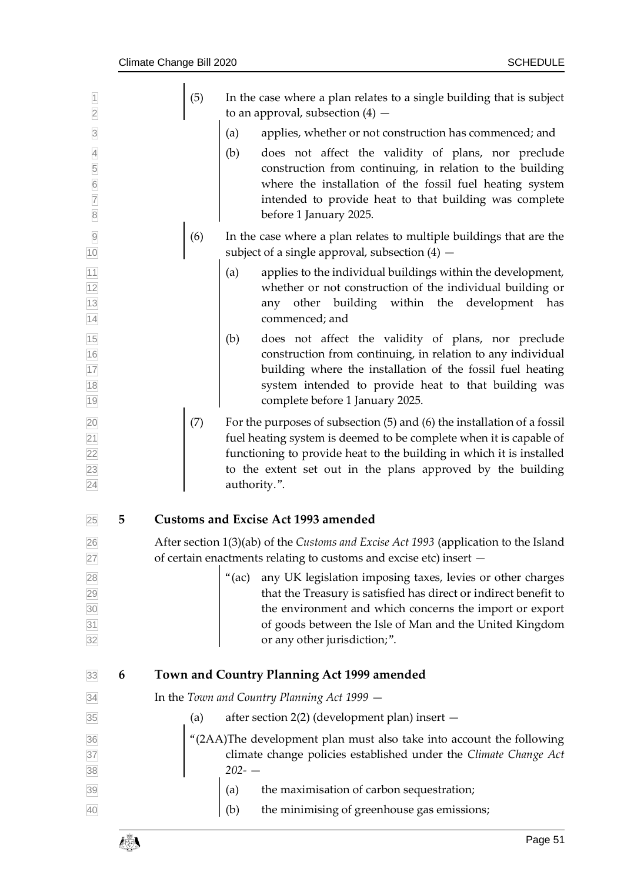<span id="page-50-1"></span><span id="page-50-0"></span>

| $\overline{1}$<br>$\overline{2}$<br>$\overline{\mathbf{3}}$<br>$\overline{4}$<br>5<br>$\frac{6}{7}$<br>$\overline{8}$ |   | (5) | In the case where a plan relates to a single building that is subject<br>to an approval, subsection $(4)$ -<br>applies, whether or not construction has commenced; and<br>(a)<br>does not affect the validity of plans, nor preclude<br>(b)<br>construction from continuing, in relation to the building<br>where the installation of the fossil fuel heating system<br>intended to provide heat to that building was complete<br>before 1 January 2025. |
|-----------------------------------------------------------------------------------------------------------------------|---|-----|----------------------------------------------------------------------------------------------------------------------------------------------------------------------------------------------------------------------------------------------------------------------------------------------------------------------------------------------------------------------------------------------------------------------------------------------------------|
| $\overline{9}$<br>10                                                                                                  |   | (6) | In the case where a plan relates to multiple buildings that are the<br>subject of a single approval, subsection $(4)$ –                                                                                                                                                                                                                                                                                                                                  |
|                                                                                                                       |   |     | applies to the individual buildings within the development,<br>(a)<br>whether or not construction of the individual building or<br>other building within the<br>development<br>has<br>any<br>commenced; and                                                                                                                                                                                                                                              |
| 11 12 13 14 15 16 17 18 19                                                                                            |   |     | does not affect the validity of plans, nor preclude<br>(b)<br>construction from continuing, in relation to any individual<br>building where the installation of the fossil fuel heating<br>system intended to provide heat to that building was<br>complete before 1 January 2025.                                                                                                                                                                       |
| $\frac{20}{21}$ $\frac{21}{23}$ $\frac{23}{24}$                                                                       |   | (7) | For the purposes of subsection (5) and (6) the installation of a fossil<br>fuel heating system is deemed to be complete when it is capable of<br>functioning to provide heat to the building in which it is installed<br>to the extent set out in the plans approved by the building<br>authority.".                                                                                                                                                     |
| 25                                                                                                                    | 5 |     | <b>Customs and Excise Act 1993 amended</b>                                                                                                                                                                                                                                                                                                                                                                                                               |
| 26<br><b>27</b>                                                                                                       |   |     | After section 1(3)(ab) of the Customs and Excise Act 1993 (application to the Island<br>of certain enactments relating to customs and excise etc) insert -                                                                                                                                                                                                                                                                                               |
| 28<br>29<br>30<br>31<br>31<br>32                                                                                      |   |     | "(ac) any UK legislation imposing taxes, levies or other charges<br>that the Treasury is satisfied has direct or indirect benefit to<br>the environment and which concerns the import or export<br>of goods between the Isle of Man and the United Kingdom<br>or any other jurisdiction;".                                                                                                                                                               |
| 33                                                                                                                    | 6 |     | Town and Country Planning Act 1999 amended                                                                                                                                                                                                                                                                                                                                                                                                               |
| 34                                                                                                                    |   |     | In the Town and Country Planning Act 1999 -                                                                                                                                                                                                                                                                                                                                                                                                              |
| 35                                                                                                                    |   | (a) | after section 2(2) (development plan) insert -                                                                                                                                                                                                                                                                                                                                                                                                           |
| 36<br>37<br>38                                                                                                        |   |     | "(2AA)The development plan must also take into account the following<br>climate change policies established under the Climate Change Act<br>$202 - -$                                                                                                                                                                                                                                                                                                    |
| 39                                                                                                                    |   |     | (a) the maximisation of carbon sequestration;                                                                                                                                                                                                                                                                                                                                                                                                            |
| 40                                                                                                                    |   |     | the minimising of greenhouse gas emissions;<br>(b)                                                                                                                                                                                                                                                                                                                                                                                                       |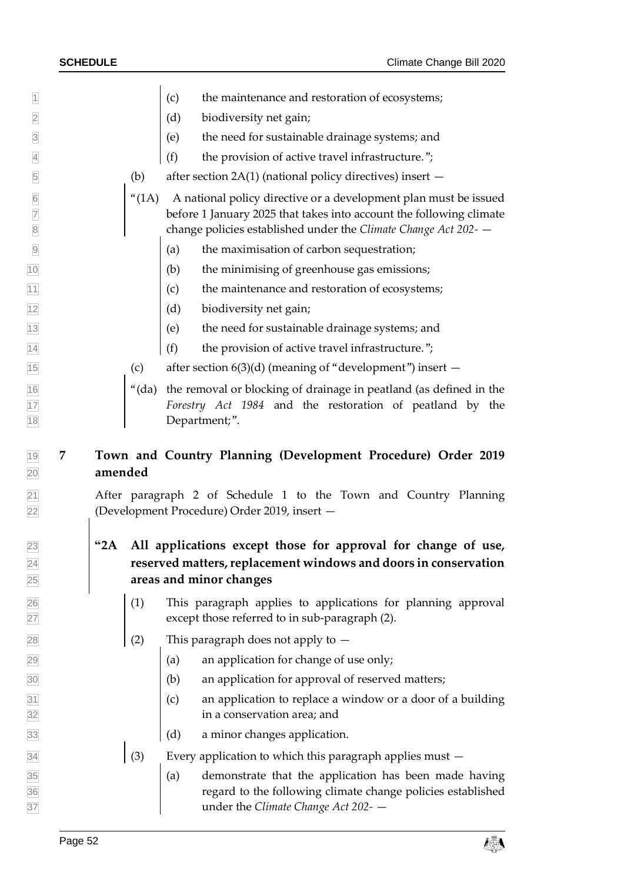| $\overline{1}$                                      |          | the maintenance and restoration of ecosystems;<br>(c)                                                                                                                                                      |
|-----------------------------------------------------|----------|------------------------------------------------------------------------------------------------------------------------------------------------------------------------------------------------------------|
| $\overline{2}$                                      |          | (d)<br>biodiversity net gain;                                                                                                                                                                              |
| $\overline{3}$                                      |          | the need for sustainable drainage systems; and<br>(e)                                                                                                                                                      |
| $\overline{4}$                                      |          | (f)<br>the provision of active travel infrastructure.";                                                                                                                                                    |
| $\overline{5}$                                      | (b)      | after section $2A(1)$ (national policy directives) insert $-$                                                                                                                                              |
| $6\overline{6}$<br>$\overline{7}$<br>$\overline{8}$ | (1A)     | A national policy directive or a development plan must be issued<br>before 1 January 2025 that takes into account the following climate<br>change policies established under the Climate Change Act 202- - |
| $\overline{9}$                                      |          | the maximisation of carbon sequestration;<br>(a)                                                                                                                                                           |
| 10                                                  |          | (b)<br>the minimising of greenhouse gas emissions;                                                                                                                                                         |
| 11                                                  |          | the maintenance and restoration of ecosystems;<br>(c)                                                                                                                                                      |
| 12                                                  |          | (d)<br>biodiversity net gain;                                                                                                                                                                              |
| $\overline{13}$                                     |          | (e)<br>the need for sustainable drainage systems; and                                                                                                                                                      |
| $\overline{14}$                                     |          | (f)<br>the provision of active travel infrastructure.";                                                                                                                                                    |
| 15                                                  | (c)      | after section $6(3)(d)$ (meaning of "development") insert $-$                                                                                                                                              |
| $\frac{16}{17}$ $\frac{17}{18}$                     | " $(da)$ | the removal or blocking of drainage in peatland (as defined in the<br>Forestry Act 1984 and the restoration of peatland by the<br>Department;".                                                            |
| 1 <sub>Q</sub>                                      |          | Town and Country Planning (Development Procedure) Order 2019                                                                                                                                               |

## <span id="page-51-0"></span>**19 7 Town and Country Planning (Development Pro amended**

 After paragraph 2 of Schedule 1 to the Town and Country Planning (Development Procedure) Order 2019, insert —

## **"2A All applications except those for approval for change of use, reserved matters, replacement windows and doors in conservation areas and minor changes**

- $\boxed{26}$  (1) This paragraph applies to applications for planning approval 27 except those referred to in sub-paragraph (2).
- 28 (2) This paragraph does not apply to  $-$
- $\boxed{29}$  (a) an application for change of use only;
- (b) an application for approval of reserved matters;
- $\boxed{31}$  (c) an application to replace a window or a door of a building in a conservation area; and
- 33 (d) a minor changes application.

 $\frac{34}{34}$  (3) Every application to which this paragraph applies must –

 $\frac{35}{35}$  (a) demonstrate that the application has been made having regard to the following climate change policies established under the *Climate Change Act 202-* —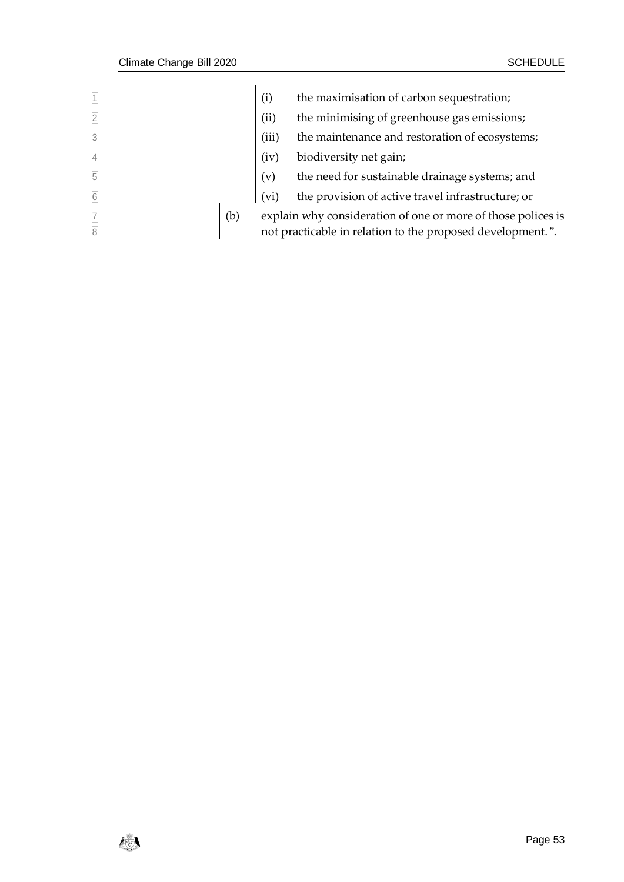| $\vert$ 1               | (i)   | the maximisation of carbon sequestration;                    |
|-------------------------|-------|--------------------------------------------------------------|
| $\overline{2}$          | (ii)  | the minimising of greenhouse gas emissions;                  |
| $\overline{\mathbf{3}}$ | (iii) | the maintenance and restoration of ecosystems;               |
| $\overline{A}$          | (iv)  | biodiversity net gain;                                       |
| $\overline{5}$          | (v)   | the need for sustainable drainage systems; and               |
| 6                       | (vi)  | the provision of active travel infrastructure; or            |
| $\overline{7}$<br>(b)   |       | explain why consideration of one or more of those polices is |
| $\overline{8}$          |       | not practicable in relation to the proposed development.".   |